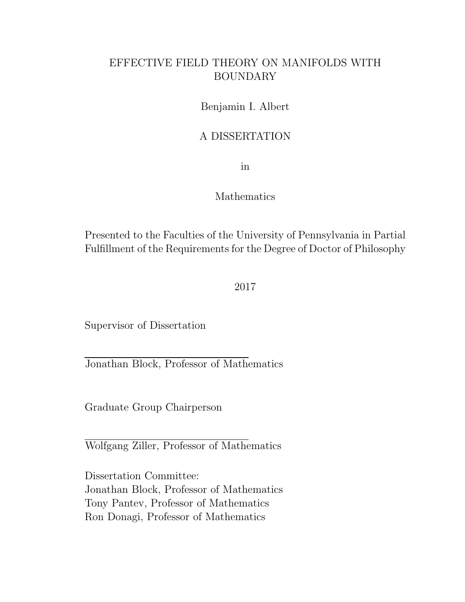### EFFECTIVE FIELD THEORY ON MANIFOLDS WITH BOUNDARY

Benjamin I. Albert

#### A DISSERTATION

in

#### Mathematics

Presented to the Faculties of the University of Pennsylvania in Partial Fulfillment of the Requirements for the Degree of Doctor of Philosophy

2017

Supervisor of Dissertation

Jonathan Block, Professor of Mathematics

Graduate Group Chairperson

Wolfgang Ziller, Professor of Mathematics

Dissertation Committee: Jonathan Block, Professor of Mathematics Tony Pantev, Professor of Mathematics Ron Donagi, Professor of Mathematics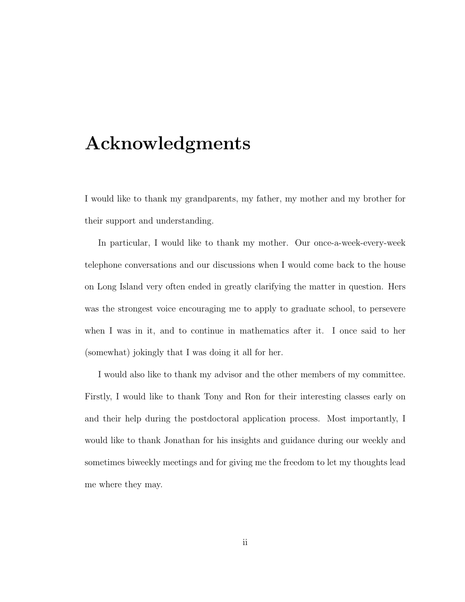# Acknowledgments

I would like to thank my grandparents, my father, my mother and my brother for their support and understanding.

In particular, I would like to thank my mother. Our once-a-week-every-week telephone conversations and our discussions when I would come back to the house on Long Island very often ended in greatly clarifying the matter in question. Hers was the strongest voice encouraging me to apply to graduate school, to persevere when I was in it, and to continue in mathematics after it. I once said to her (somewhat) jokingly that I was doing it all for her.

I would also like to thank my advisor and the other members of my committee. Firstly, I would like to thank Tony and Ron for their interesting classes early on and their help during the postdoctoral application process. Most importantly, I would like to thank Jonathan for his insights and guidance during our weekly and sometimes biweekly meetings and for giving me the freedom to let my thoughts lead me where they may.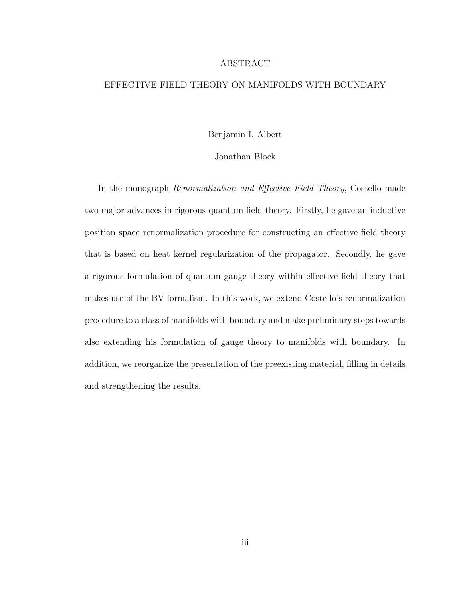#### ABSTRACT

#### EFFECTIVE FIELD THEORY ON MANIFOLDS WITH BOUNDARY

Benjamin I. Albert

Jonathan Block

In the monograph *Renormalization and Effective Field Theory*, Costello made two major advances in rigorous quantum field theory. Firstly, he gave an inductive position space renormalization procedure for constructing an effective field theory that is based on heat kernel regularization of the propagator. Secondly, he gave a rigorous formulation of quantum gauge theory within effective field theory that makes use of the BV formalism. In this work, we extend Costello's renormalization procedure to a class of manifolds with boundary and make preliminary steps towards also extending his formulation of gauge theory to manifolds with boundary. In addition, we reorganize the presentation of the preexisting material, filling in details and strengthening the results.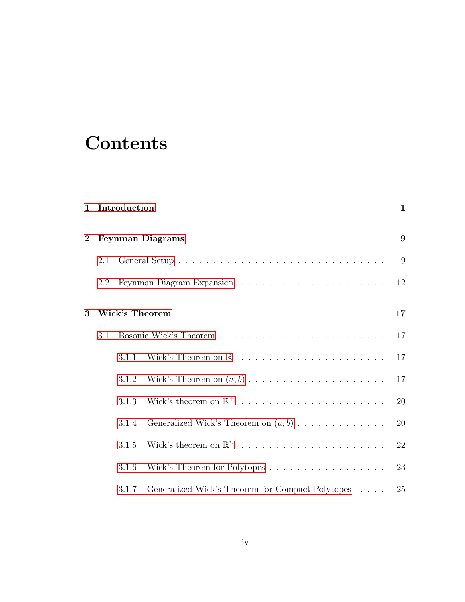# **Contents**

| 1        | Introduction |                         |                                                  |    |  |  |
|----------|--------------|-------------------------|--------------------------------------------------|----|--|--|
| $\bf{2}$ |              | <b>Feynman Diagrams</b> |                                                  |    |  |  |
|          | 2.1          |                         |                                                  | 9  |  |  |
|          | 2.2          |                         |                                                  | 12 |  |  |
| 3        |              | Wick's Theorem          |                                                  |    |  |  |
|          | 3.1          |                         |                                                  |    |  |  |
|          |              | 3.1.1                   |                                                  | 17 |  |  |
|          |              | 3.1.2                   |                                                  | 17 |  |  |
|          |              | 3.1.3                   |                                                  | 20 |  |  |
|          |              | 3.1.4                   | Generalized Wick's Theorem on $(a, b)$           | 20 |  |  |
|          |              | 3.1.5                   |                                                  | 22 |  |  |
|          |              | 3.1.6                   | Wick's Theorem for Polytopes                     | 23 |  |  |
|          |              | 3.1.7                   | Generalized Wick's Theorem for Compact Polytopes | 25 |  |  |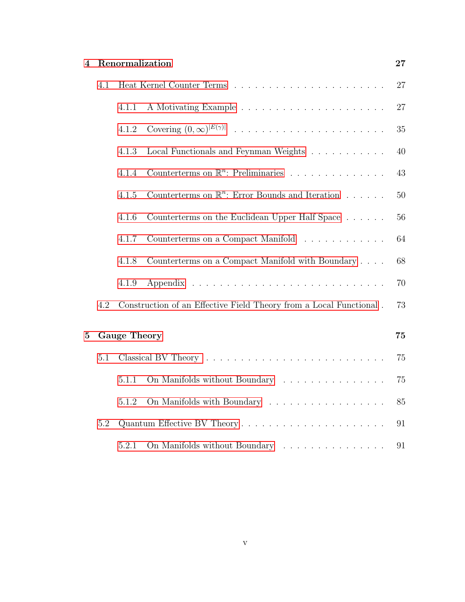### [4 Renormalization](#page-31-0) 27

|   | 4.1 |                                                                    |                                                                                        |    |  |  |
|---|-----|--------------------------------------------------------------------|----------------------------------------------------------------------------------------|----|--|--|
|   |     | 4.1.1                                                              |                                                                                        | 27 |  |  |
|   |     | 4.1.2                                                              | Covering $(0, \infty)^{ E(\gamma) }$                                                   | 35 |  |  |
|   |     | 4.1.3                                                              | Local Functionals and Feynman Weights                                                  | 40 |  |  |
|   |     | 4.1.4                                                              | Counterterms on $\mathbb{R}^n$ : Preliminaries                                         | 43 |  |  |
|   |     | 4.1.5                                                              | Counterterms on $\mathbb{R}^n$ : Error Bounds and Iteration                            | 50 |  |  |
|   |     | 4.1.6                                                              | Counterterms on the Euclidean Upper Half Space                                         | 56 |  |  |
|   |     | 4.1.7                                                              | Counterterms on a Compact Manifold                                                     | 64 |  |  |
|   |     | 4.1.8                                                              | Counterterms on a Compact Manifold with Boundary                                       | 68 |  |  |
|   |     | 4.1.9                                                              |                                                                                        | 70 |  |  |
|   | 4.2 | Construction of an Effective Field Theory from a Local Functional. |                                                                                        |    |  |  |
| 5 |     |                                                                    |                                                                                        |    |  |  |
|   |     | <b>Gauge Theory</b>                                                |                                                                                        |    |  |  |
|   | 5.1 |                                                                    |                                                                                        |    |  |  |
|   |     | 5.1.1                                                              | On Manifolds without Boundary                                                          | 75 |  |  |
|   |     | 5.1.2                                                              | On Manifolds with Boundary                                                             | 85 |  |  |
|   | 5.2 | Quantum Effective BV Theory                                        |                                                                                        |    |  |  |
|   |     | 5.2.1                                                              | On Manifolds without Boundary $\hfill\ldots\ldots\ldots\ldots\ldots\ldots\ldots\ldots$ | 91 |  |  |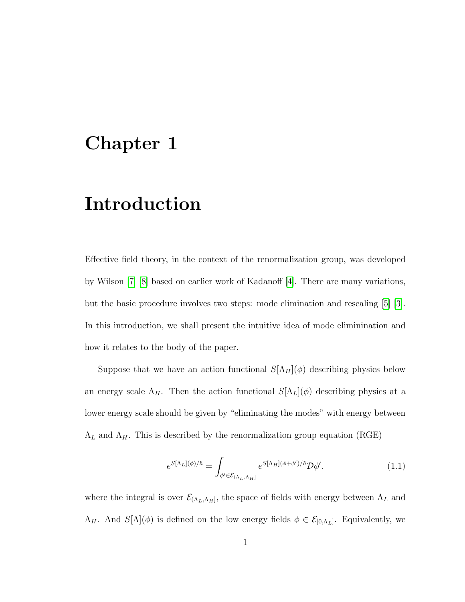# <span id="page-5-0"></span>Chapter 1

# Introduction

Effective field theory, in the context of the renormalization group, was developed by Wilson [\[7\]](#page-107-0) [\[8\]](#page-107-1) based on earlier work of Kadanoff [\[4\]](#page-106-0). There are many variations, but the basic procedure involves two steps: mode elimination and rescaling [\[5\]](#page-106-1) [\[3\]](#page-106-2). In this introduction, we shall present the intuitive idea of mode eliminination and how it relates to the body of the paper.

Suppose that we have an action functional  $S[\Lambda_H](\phi)$  describing physics below an energy scale  $\Lambda_H$ . Then the action functional  $S[\Lambda_L](\phi)$  describing physics at a lower energy scale should be given by "eliminating the modes" with energy between  $\Lambda_L$  and  $\Lambda_H$ . This is described by the renormalization group equation (RGE)

$$
e^{S[\Lambda_L](\phi)/\hbar} = \int_{\phi' \in \mathcal{E}_{(\Lambda_L,\Lambda_H]}} e^{S[\Lambda_H](\phi + \phi')/\hbar} \mathcal{D}\phi'. \tag{1.1}
$$

where the integral is over  $\mathcal{E}_{(\Lambda_L,\Lambda_H]}$ , the space of fields with energy between  $\Lambda_L$  and  $\Lambda_H$ . And  $S[\Lambda](\phi)$  is defined on the low energy fields  $\phi \in \mathcal{E}_{[0,\Lambda_L]}$ . Equivalently, we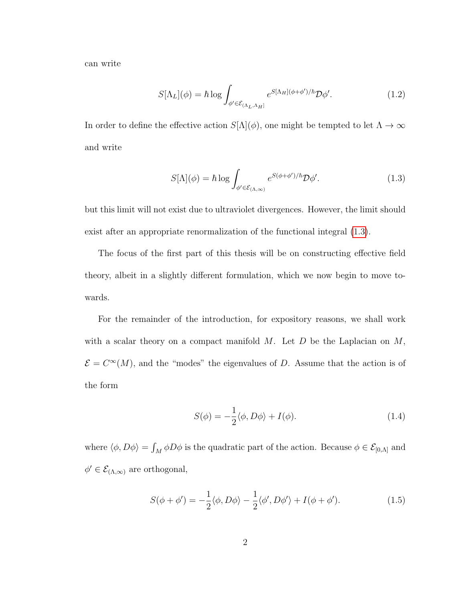can write

$$
S[\Lambda_L](\phi) = \hbar \log \int_{\phi' \in \mathcal{E}_{(\Lambda_L, \Lambda_H]}} e^{S[\Lambda_H](\phi + \phi')/\hbar} \mathcal{D}\phi'. \tag{1.2}
$$

In order to define the effective action  $S[\Lambda](\phi),$  one might be tempted to let  $\Lambda\to\infty$ and write

<span id="page-6-0"></span>
$$
S[\Lambda](\phi) = \hbar \log \int_{\phi' \in \mathcal{E}_{(\Lambda,\infty)}} e^{S(\phi + \phi')/\hbar} \mathcal{D}\phi'. \tag{1.3}
$$

but this limit will not exist due to ultraviolet divergences. However, the limit should exist after an appropriate renormalization of the functional integral [\(1.3\)](#page-6-0).

The focus of the first part of this thesis will be on constructing effective field theory, albeit in a slightly different formulation, which we now begin to move towards.

For the remainder of the introduction, for expository reasons, we shall work with a scalar theory on a compact manifold  $M$ . Let  $D$  be the Laplacian on  $M$ ,  $\mathcal{E} = C^{\infty}(M)$ , and the "modes" the eigenvalues of D. Assume that the action is of the form

$$
S(\phi) = -\frac{1}{2}\langle \phi, D\phi \rangle + I(\phi). \tag{1.4}
$$

where  $\langle \phi, D\phi \rangle = \int_M \phi D\phi$  is the quadratic part of the action. Because  $\phi \in \mathcal{E}_{[0,\Lambda]}$  and  $\phi' \in \mathcal{E}_{(\Lambda,\infty)}$  are orthogonal,

$$
S(\phi + \phi') = -\frac{1}{2}\langle \phi, D\phi \rangle - \frac{1}{2}\langle \phi', D\phi' \rangle + I(\phi + \phi'). \tag{1.5}
$$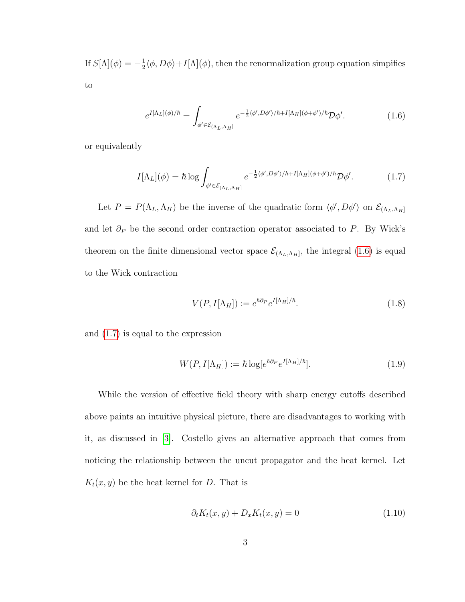If  $S[\Lambda](\phi) = -\frac{1}{2}$  $\frac{1}{2}\langle \phi, D\phi \rangle + I[\Lambda](\phi)$ , then the renormalization group equation simplifies to

<span id="page-7-0"></span>
$$
e^{I[\Lambda_L](\phi)/\hbar} = \int_{\phi' \in \mathcal{E}_{(\Lambda_L, \Lambda_H]}} e^{-\frac{1}{2} \langle \phi', D\phi' \rangle / \hbar + I[\Lambda_H](\phi + \phi') / \hbar} \mathcal{D}\phi'. \tag{1.6}
$$

or equivalently

$$
I[\Lambda_L](\phi) = \hbar \log \int_{\phi' \in \mathcal{E}_{(\Lambda_L, \Lambda_H]}} e^{-\frac{1}{2} \langle \phi', D\phi' \rangle / \hbar + I[\Lambda_H](\phi + \phi') / \hbar} \mathcal{D}\phi'. \tag{1.7}
$$

Let  $P = P(\Lambda_L, \Lambda_H)$  be the inverse of the quadratic form  $\langle \phi', D\phi' \rangle$  on  $\mathcal{E}_{(\Lambda_L, \Lambda_H]}$ and let  $\partial_P$  be the second order contraction operator associated to P. By Wick's theorem on the finite dimensional vector space  $\mathcal{E}_{(\Lambda_L,\Lambda_H]}$ , the integral [\(1.6\)](#page-7-0) is equal to the Wick contraction

<span id="page-7-1"></span>
$$
V(P, I[\Lambda_H]) := e^{\hbar \partial_P} e^{I[\Lambda_H]/\hbar}.
$$
\n(1.8)

and [\(1.7\)](#page-7-1) is equal to the expression

$$
W(P, I[\Lambda_H]) := \hbar \log[e^{\hbar \partial_P} e^{I[\Lambda_H]/\hbar}]. \tag{1.9}
$$

While the version of effective field theory with sharp energy cutoffs described above paints an intuitive physical picture, there are disadvantages to working with it, as discussed in [\[3\]](#page-106-2). Costello gives an alternative approach that comes from noticing the relationship between the uncut propagator and the heat kernel. Let  $K_t(x, y)$  be the heat kernel for D. That is

$$
\partial_t K_t(x, y) + D_x K_t(x, y) = 0 \tag{1.10}
$$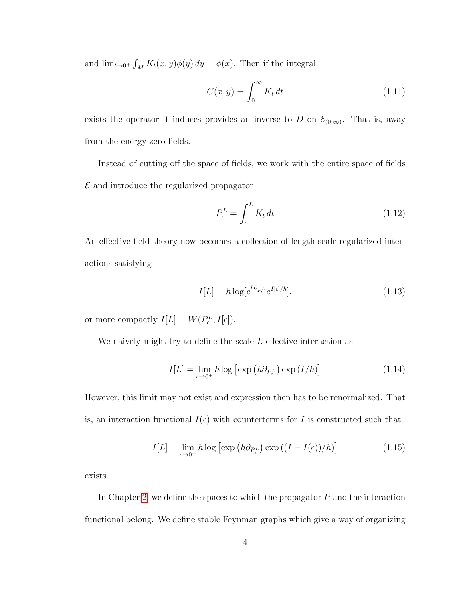and  $\lim_{t\to 0^+} \int_M K_t(x, y) \phi(y) dy = \phi(x)$ . Then if the integral

$$
G(x,y) = \int_0^\infty K_t dt
$$
 (1.11)

exists the operator it induces provides an inverse to D on  $\mathcal{E}_{(0,\infty)}$ . That is, away from the energy zero fields.

Instead of cutting off the space of fields, we work with the entire space of fields  $\mathcal E$  and introduce the regularized propagator

<span id="page-8-0"></span>
$$
P_{\epsilon}^{L} = \int_{\epsilon}^{L} K_t dt
$$
 (1.12)

An effective field theory now becomes a collection of length scale regularized interactions satisfying

$$
I[L] = \hbar \log \left[e^{\hbar \partial_{P^L_\epsilon}} e^{I[\epsilon]/\hbar}\right].\tag{1.13}
$$

or more compactly  $I[L] = W(P_{\epsilon}^L, I[\epsilon]).$ 

We naively might try to define the scale  $L$  effective interaction as

$$
I[L] = \lim_{\epsilon \to 0^+} \hbar \log \left[ \exp \left( \hbar \partial_{P_{\epsilon}^L} \right) \exp \left( I/\hbar \right) \right] \tag{1.14}
$$

However, this limit may not exist and expression then has to be renormalized. That is, an interaction functional  $I(\epsilon)$  with counterterms for I is constructed such that

$$
I[L] = \lim_{\epsilon \to 0^+} \hbar \log \left[ \exp \left( \hbar \partial_{P_{\epsilon}^L} \right) \exp \left( (I - I(\epsilon)) / \hbar \right) \right] \tag{1.15}
$$

exists.

In Chapter [2,](#page-13-0) we define the spaces to which the propagator  $P$  and the interaction functional belong. We define stable Feynman graphs which give a way of organizing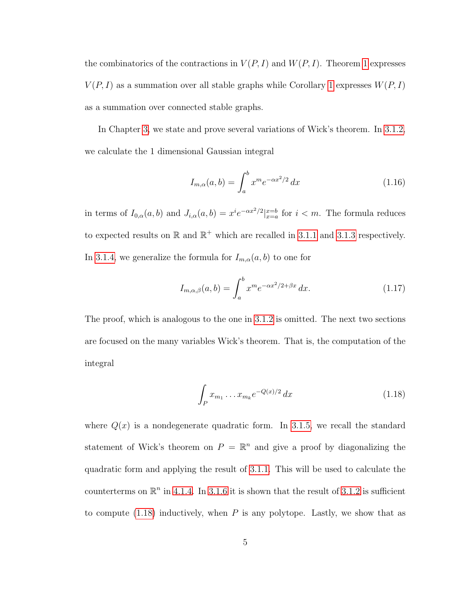the combinatorics of the contractions in  $V(P, I)$  and  $W(P, I)$ . Theorem [1](#page-18-0) expresses  $V(P, I)$  as a summation over all stable graphs while Corollary [1](#page-19-0) expresses  $W(P, I)$ as a summation over connected stable graphs.

In Chapter [3,](#page-21-0) we state and prove several variations of Wick's theorem. In [3.1.2,](#page-21-3) we calculate the 1 dimensional Gaussian integral

$$
I_{m,\alpha}(a,b) = \int_{a}^{b} x^{m} e^{-\alpha x^{2}/2} dx
$$
 (1.16)

in terms of  $I_{0,\alpha}(a,b)$  and  $J_{i,\alpha}(a,b) = x^{i}e^{-\alpha x^{2}/2} \vert_{x=a}^{x=b}$  for  $i < m$ . The formula reduces to expected results on  $\mathbb R$  and  $\mathbb R^+$  which are recalled in [3.1.1](#page-21-2) and [3.1.3](#page-24-0) respectively. In [3.1.4,](#page-24-1) we generalize the formula for  $I_{m,\alpha}(a, b)$  to one for

$$
I_{m,\alpha,\beta}(a,b) = \int_{a}^{b} x^{m} e^{-\alpha x^{2}/2 + \beta x} dx.
$$
 (1.17)

The proof, which is analogous to the one in [3.1.2](#page-21-3) is omitted. The next two sections are focused on the many variables Wick's theorem. That is, the computation of the integral

<span id="page-9-0"></span>
$$
\int_{P} x_{m_1} \dots x_{m_k} e^{-Q(x)/2} dx \tag{1.18}
$$

where  $Q(x)$  is a nondegenerate quadratic form. In [3.1.5,](#page-26-0) we recall the standard statement of Wick's theorem on  $P = \mathbb{R}^n$  and give a proof by diagonalizing the quadratic form and applying the result of [3.1.1.](#page-21-2) This will be used to calculate the counterterms on  $\mathbb{R}^n$  in [4.1.4.](#page-47-0) In [3.1.6](#page-27-0) it is shown that the result of [3.1.2](#page-21-3) is sufficient to compute  $(1.18)$  inductively, when P is any polytope. Lastly, we show that as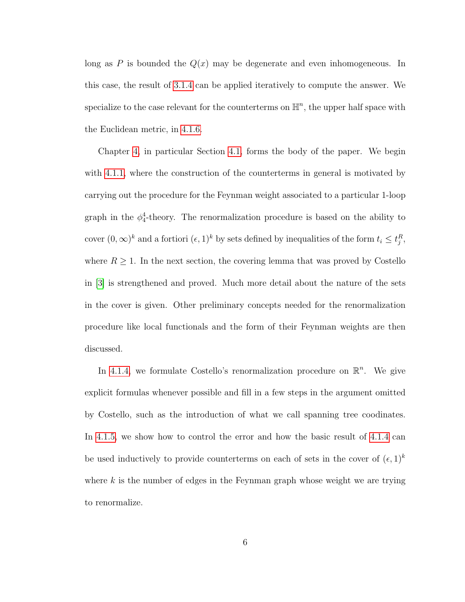long as P is bounded the  $Q(x)$  may be degenerate and even inhomogeneous. In this case, the result of [3.1.4](#page-24-1) can be applied iteratively to compute the answer. We specialize to the case relevant for the counterterms on  $\mathbb{H}^n$ , the upper half space with the Euclidean metric, in [4.1.6.](#page-60-0)

Chapter [4,](#page-31-0) in particular Section [4.1,](#page-31-1) forms the body of the paper. We begin with [4.1.1,](#page-31-2) where the construction of the counterterms in general is motivated by carrying out the procedure for the Feynman weight associated to a particular 1-loop graph in the  $\phi_4^4$ -theory. The renormalization procedure is based on the ability to cover  $(0, \infty)^k$  and a fortiori  $(\epsilon, 1)^k$  by sets defined by inequalities of the form  $t_i \leq t_j^R$ , where  $R \geq 1$ . In the next section, the covering lemma that was proved by Costello in [\[3\]](#page-106-2) is strengthened and proved. Much more detail about the nature of the sets in the cover is given. Other preliminary concepts needed for the renormalization procedure like local functionals and the form of their Feynman weights are then discussed.

In [4.1.4,](#page-47-0) we formulate Costello's renormalization procedure on  $\mathbb{R}^n$ . We give explicit formulas whenever possible and fill in a few steps in the argument omitted by Costello, such as the introduction of what we call spanning tree coodinates. In [4.1.5,](#page-54-0) we show how to control the error and how the basic result of [4.1.4](#page-47-0) can be used inductively to provide counterterms on each of sets in the cover of  $(\epsilon, 1)^k$ where  $k$  is the number of edges in the Feynman graph whose weight we are trying to renormalize.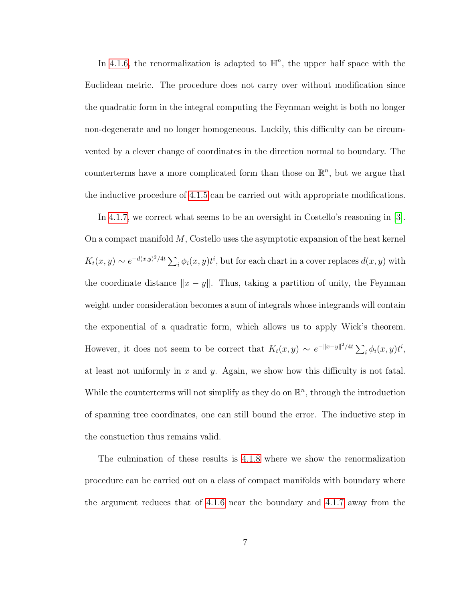In [4.1.6,](#page-60-0) the renormalization is adapted to  $\mathbb{H}^n$ , the upper half space with the Euclidean metric. The procedure does not carry over without modification since the quadratic form in the integral computing the Feynman weight is both no longer non-degenerate and no longer homogeneous. Luckily, this difficulty can be circumvented by a clever change of coordinates in the direction normal to boundary. The counterterms have a more complicated form than those on  $\mathbb{R}^n$ , but we argue that the inductive procedure of [4.1.5](#page-54-0) can be carried out with appropriate modifications.

In [4.1.7,](#page-68-0) we correct what seems to be an oversight in Costello's reasoning in [\[3\]](#page-106-2). On a compact manifold  $M$ , Costello uses the asymptotic expansion of the heat kernel  $K_t(x, y) \sim e^{-d(x, y)^2/4t} \sum_i \phi_i(x, y) t^i$ , but for each chart in a cover replaces  $d(x, y)$  with the coordinate distance  $||x - y||$ . Thus, taking a partition of unity, the Feynman weight under consideration becomes a sum of integrals whose integrands will contain the exponential of a quadratic form, which allows us to apply Wick's theorem. However, it does not seem to be correct that  $K_t(x,y) \sim e^{-||x-y||^2/4t} \sum_i \phi_i(x,y) t^i$ , at least not uniformly in x and y. Again, we show how this difficulty is not fatal. While the counterterms will not simplify as they do on  $\mathbb{R}^n$ , through the introduction of spanning tree coordinates, one can still bound the error. The inductive step in the constuction thus remains valid.

The culmination of these results is [4.1.8](#page-72-0) where we show the renormalization procedure can be carried out on a class of compact manifolds with boundary where the argument reduces that of [4.1.6](#page-60-0) near the boundary and [4.1.7](#page-68-0) away from the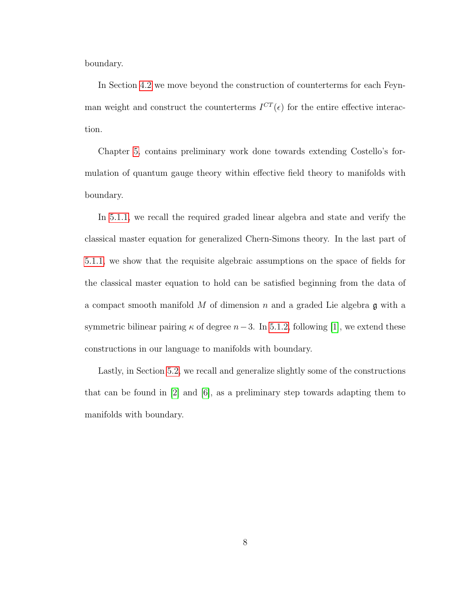boundary.

In Section [4.2](#page-77-0) we move beyond the construction of counterterms for each Feynman weight and construct the counterterms  $I^{CT}(\epsilon)$  for the entire effective interaction.

Chapter [5,](#page-79-0) contains preliminary work done towards extending Costello's formulation of quantum gauge theory within effective field theory to manifolds with boundary.

In [5.1.1,](#page-79-2) we recall the required graded linear algebra and state and verify the classical master equation for generalized Chern-Simons theory. In the last part of [5.1.1,](#page-79-2) we show that the requisite algebraic assumptions on the space of fields for the classical master equation to hold can be satisfied beginning from the data of a compact smooth manifold M of dimension n and a graded Lie algebra  $\mathfrak g$  with a symmetric bilinear pairing  $\kappa$  of degree  $n-3$ . In [5.1.2,](#page-89-0) following [\[1\]](#page-106-3), we extend these constructions in our language to manifolds with boundary.

Lastly, in Section [5.2,](#page-95-0) we recall and generalize slightly some of the constructions that can be found in [\[2\]](#page-106-4) and [\[6\]](#page-106-5), as a preliminary step towards adapting them to manifolds with boundary.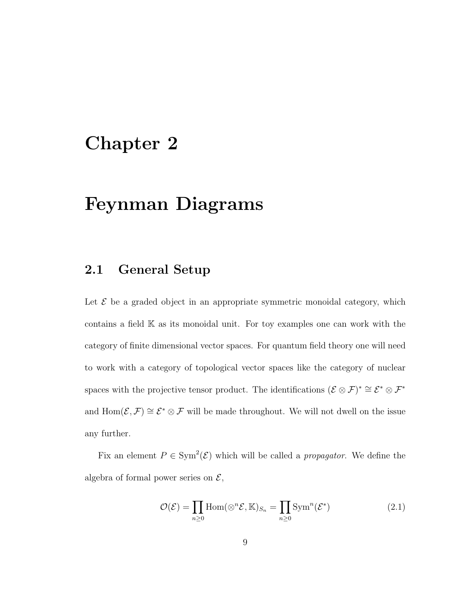## <span id="page-13-0"></span>Chapter 2

# Feynman Diagrams

### <span id="page-13-1"></span>2.1 General Setup

Let  $\mathcal E$  be a graded object in an appropriate symmetric monoidal category, which contains a field K as its monoidal unit. For toy examples one can work with the category of finite dimensional vector spaces. For quantum field theory one will need to work with a category of topological vector spaces like the category of nuclear spaces with the projective tensor product. The identifications  $(\mathcal{E} \otimes \mathcal{F})^* \cong \mathcal{E}^* \otimes \mathcal{F}^*$ and  $\text{Hom}(\mathcal{E}, \mathcal{F}) \cong \mathcal{E}^* \otimes \mathcal{F}$  will be made throughout. We will not dwell on the issue any further.

Fix an element  $P \in \text{Sym}^2(\mathcal{E})$  which will be called a *propagator*. We define the algebra of formal power series on  $\mathcal{E},$ 

$$
\mathcal{O}(\mathcal{E}) = \prod_{n \ge 0} \text{Hom}(\otimes^n \mathcal{E}, \mathbb{K})_{S_n} = \prod_{n \ge 0} \text{Sym}^n(\mathcal{E}^*)
$$
 (2.1)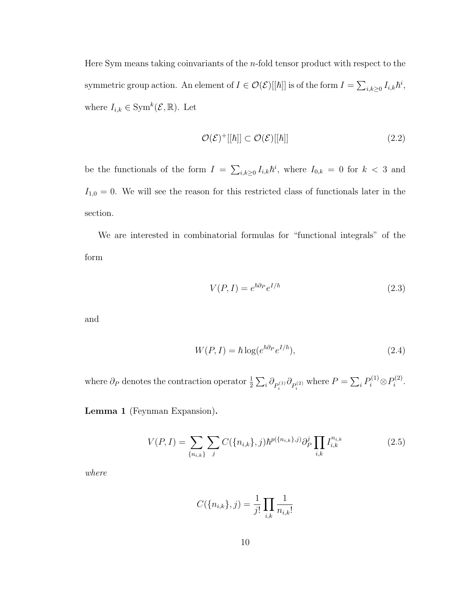Here Sym means taking coinvariants of the n-fold tensor product with respect to the symmetric group action. An element of  $I \in \mathcal{O}(\mathcal{E})[[\hbar]]$  is of the form  $I = \sum_{i,k \geq 0} I_{i,k} \hbar^i$ , where  $I_{i,k} \in \text{Sym}^k(\mathcal{E}, \mathbb{R})$ . Let

$$
\mathcal{O}(\mathcal{E})^+[[\hbar]] \subset \mathcal{O}(\mathcal{E})[[\hbar]] \tag{2.2}
$$

be the functionals of the form  $I = \sum_{i,k \geq 0} I_{i,k} \hbar^i$ , where  $I_{0,k} = 0$  for  $k < 3$  and  $I_{1,0} = 0$ . We will see the reason for this restricted class of functionals later in the section.

We are interested in combinatorial formulas for "functional integrals" of the form

$$
V(P, I) = e^{\hbar \partial_P} e^{I/\hbar} \tag{2.3}
$$

and

$$
W(P, I) = \hbar \log(e^{\hbar \partial_P} e^{I/\hbar}), \qquad (2.4)
$$

where  $\partial_P$  denotes the contraction operator  $\frac{1}{2} \sum_i \partial_{P_i^{(1)}} \partial_{P_i^{(2)}}$  where  $P = \sum_i P_i^{(1)} \otimes P_i^{(2)}$  $i^{(2)}$ .

Lemma 1 (Feynman Expansion).

$$
V(P, I) = \sum_{\{n_{i,k}\}} \sum_{j} C(\{n_{i,k}\}, j) \hbar^{p(\{n_{i,k}\}, j)} \partial_P^j \prod_{i,k} I_{i,k}^{n_{i,k}}
$$
(2.5)

where

$$
C(\{n_{i,k}\},j) = \frac{1}{j!} \prod_{i,k} \frac{1}{n_{i,k}!}
$$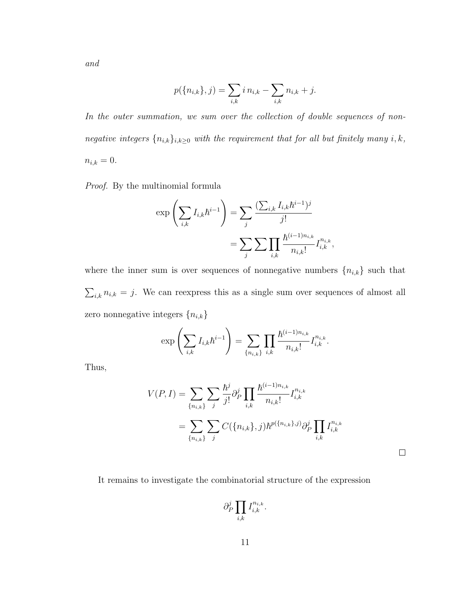and

$$
p(\{n_{i,k}\},j) = \sum_{i,k} i \, n_{i,k} - \sum_{i,k} n_{i,k} + j.
$$

In the outer summation, we sum over the collection of double sequences of nonnegative integers  $\{n_{i,k}\}_{i,k\geq 0}$  with the requirement that for all but finitely many  $i,k,$  $n_{i,k} = 0.$ 

Proof. By the multinomial formula

$$
\exp\left(\sum_{i,k} I_{i,k} \hbar^{i-1}\right) = \sum_{j} \frac{(\sum_{i,k} I_{i,k} \hbar^{i-1})^j}{j!}
$$

$$
= \sum_{j} \sum \prod_{i,k} \frac{\hbar^{(i-1)n_{i,k}}}{n_{i,k}!} I_{i,k}^{n_{i,k}},
$$

where the inner sum is over sequences of nonnegative numbers  $\{n_{i,k}\}$  such that  $\sum_{i,k} n_{i,k} = j$ . We can reexpress this as a single sum over sequences of almost all zero nonnegative integers  $\{n_{i,k}\}$ 

$$
\exp\left(\sum_{i,k} I_{i,k} \hbar^{i-1}\right) = \sum_{\{n_{i,k}\}} \prod_{i,k} \frac{\hbar^{(i-1)n_{i,k}}}{n_{i,k}!} I_{i,k}^{n_{i,k}}.
$$

Thus,

$$
V(P, I) = \sum_{\{n_{i,k}\}} \sum_{j} \frac{\hbar^j}{j!} \partial_P^j \prod_{i,k} \frac{\hbar^{(i-1)n_{i,k}}}{n_{i,k}!} I_{i,k}^{n_{i,k}}
$$
  
= 
$$
\sum_{\{n_{i,k}\}} \sum_{j} C(\{n_{i,k}\}, j) \hbar^{p(\{n_{i,k}\}, j)} \partial_P^j \prod_{i,k} I_{i,k}^{n_{i,k}}
$$

 $\Box$ 

It remains to investigate the combinatorial structure of the expression

$$
\partial_P^j \prod_{i,k} I_{i,k}^{n_{i,k}}.
$$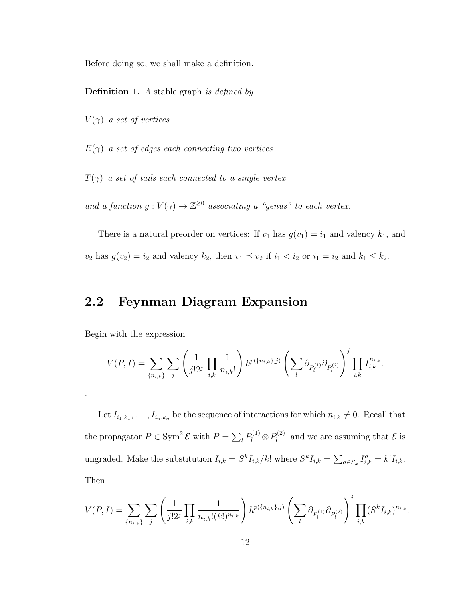Before doing so, we shall make a definition.

**Definition 1.** A stable graph is defined by

- $V(\gamma)$  a set of vertices
- $E(\gamma)$  a set of edges each connecting two vertices
- $T(\gamma)$  a set of tails each connected to a single vertex

and a function  $g: V(\gamma) \to \mathbb{Z}^{\geq 0}$  associating a "genus" to each vertex.

There is a natural preorder on vertices: If  $v_1$  has  $g(v_1) = i_1$  and valency  $k_1$ , and  $v_2$  has  $g(v_2) = i_2$  and valency  $k_2$ , then  $v_1 \preceq v_2$  if  $i_1 < i_2$  or  $i_1 = i_2$  and  $k_1 \leq k_2$ .

### <span id="page-16-0"></span>2.2 Feynman Diagram Expansion

Begin with the expression

.

$$
V(P,I) = \sum_{\{n_{i,k}\}} \sum_j \left( \frac{1}{j!2^j} \prod_{i,k} \frac{1}{n_{i,k}!} \right) \hbar^{p(\{n_{i,k}\},j)} \left( \sum_l \partial_{P_l^{(1)}} \partial_{P_l^{(2)}} \right)^j \prod_{i,k} I_{i,k}^{n_{i,k}}.
$$

Let  $I_{i_1,k_1}, \ldots, I_{i_n,k_n}$  be the sequence of interactions for which  $n_{i,k} \neq 0$ . Recall that the propagator  $P \in \text{Sym}^2 \mathcal{E}$  with  $P = \sum_l P_l^{(1)} \otimes P_l^{(2)}$  $\mathcal{U}^{(2)}$ , and we are assuming that  $\mathcal E$  is ungraded. Make the substitution  $I_{i,k} = S^k I_{i,k}/k!$  where  $S^k I_{i,k} = \sum_{\sigma \in S_k} I_{i,k}^{\sigma} = k! I_{i,k}$ . Then

$$
V(P,I) = \sum_{\{n_{i,k}\}} \sum_{j} \left( \frac{1}{j!2^{j}} \prod_{i,k} \frac{1}{n_{i,k}!(k!)^{n_{i,k}}} \right) \hbar^{p(\{n_{i,k}\},j)} \left( \sum_{l} \partial_{P_{l}^{(1)}} \partial_{P_{l}^{(2)}} \right)^{j} \prod_{i,k} (S^{k}I_{i,k})^{n_{i,k}}.
$$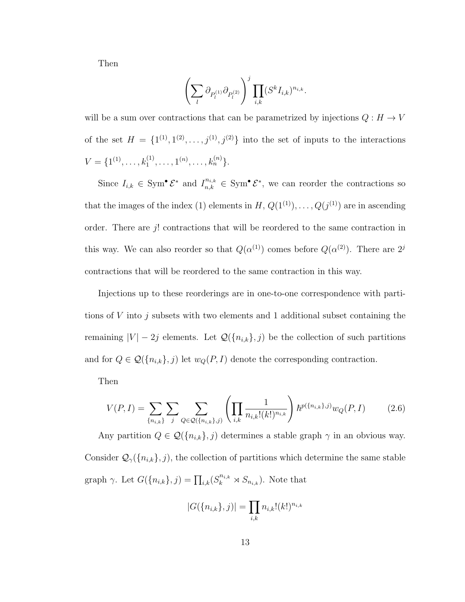Then

$$
\left(\sum_l \partial_{P_l^{(1)}}\partial_{P_l^{(2)}}\right)^j\prod_{i,k}(S^kI_{i,k})^{n_{i,k}}.
$$

will be a sum over contractions that can be parametrized by injections  $Q: H \rightarrow V$ of the set  $H = \{1^{(1)}, 1^{(2)}, \ldots, j^{(1)}, j^{(2)}\}$  into the set of inputs to the interactions  $V = \{1^{(1)}, \ldots, k_1^{(1)}, \ldots, 1^{(n)}, \ldots, k_n^{(n)}\}.$ 

Since  $I_{i,k} \in \text{Sym}^{\bullet} \mathcal{E}^*$  and  $I_{n,k}^{n_{i,k}} \in \text{Sym}^{\bullet} \mathcal{E}^*$ , we can reorder the contractions so that the images of the index (1) elements in  $H, Q(1^{(1)}), \ldots, Q(j^{(1)})$  are in ascending order. There are j! contractions that will be reordered to the same contraction in this way. We can also reorder so that  $Q(\alpha^{(1)})$  comes before  $Q(\alpha^{(2)})$ . There are  $2^j$ contractions that will be reordered to the same contraction in this way.

Injections up to these reorderings are in one-to-one correspondence with partitions of  $V$  into  $j$  subsets with two elements and 1 additional subset containing the remaining  $|V| - 2j$  elements. Let  $\mathcal{Q}(\{n_{i,k}\},j)$  be the collection of such partitions and for  $Q \in \mathcal{Q}(\{n_{i,k}\}, j)$  let  $w_Q(P, I)$  denote the corresponding contraction.

Then

$$
V(P,I) = \sum_{\{n_{i,k}\}} \sum_{j} \sum_{Q \in \mathcal{Q}(\{n_{i,k}\},j)} \left( \prod_{i,k} \frac{1}{n_{i,k}!(k!)^{n_{i,k}}} \right) \hbar^{p(\{n_{i,k}\},j)} w_Q(P,I) \tag{2.6}
$$

Any partition  $Q \in \mathcal{Q}(\{n_{i,k}\}, j)$  determines a stable graph  $\gamma$  in an obvious way. Consider  $\mathcal{Q}_{\gamma}(\{n_{i,k}\},j)$ , the collection of partitions which determine the same stable graph  $\gamma$ . Let  $G({n_{i,k}};j) = \prod_{i,k} (S_k^{n_{i,k}} \rtimes S_{n_{i,k}})$ . Note that

<span id="page-17-0"></span>
$$
|G(\{n_{i,k}\},j)| = \prod_{i,k} n_{i,k}!(k!)^{n_{i,k}}
$$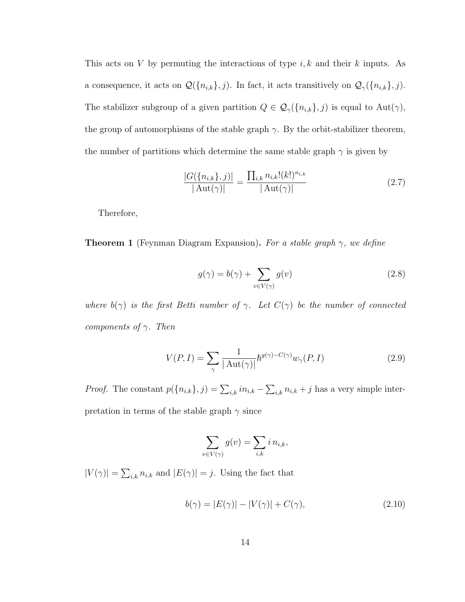This acts on V by permuting the interactions of type  $i, k$  and their k inputs. As a consequence, it acts on  $\mathcal{Q}(\{n_{i,k}\},j)$ . In fact, it acts transitively on  $\mathcal{Q}_{\gamma}(\{n_{i,k}\},j)$ . The stabilizer subgroup of a given partition  $Q \in \mathcal{Q}_{\gamma}(\{n_{i,k}\},j)$  is equal to  $\text{Aut}(\gamma)$ , the group of automorphisms of the stable graph  $\gamma$ . By the orbit-stabilizer theorem, the number of partitions which determine the same stable graph  $\gamma$  is given by

<span id="page-18-1"></span>
$$
\frac{|G(\{n_{i,k}\},j)|}{|\operatorname{Aut}(\gamma)|} = \frac{\prod_{i,k} n_{i,k}!(k!)^{n_{i,k}}}{|\operatorname{Aut}(\gamma)|}
$$
(2.7)

Therefore,

<span id="page-18-0"></span>**Theorem 1** (Feynman Diagram Expansion). For a stable graph  $\gamma$ , we define

$$
g(\gamma) = b(\gamma) + \sum_{v \in V(\gamma)} g(v) \tag{2.8}
$$

where  $b(\gamma)$  is the first Betti number of  $\gamma$ . Let  $C(\gamma)$  be the number of connected components of  $\gamma$ . Then

$$
V(P, I) = \sum_{\gamma} \frac{1}{|\operatorname{Aut}(\gamma)|} \hbar^{g(\gamma) - C(\gamma)} w_{\gamma}(P, I)
$$
 (2.9)

*Proof.* The constant  $p(\lbrace n_{i,k} \rbrace, j) = \sum_{i,k} i n_{i,k} - \sum_{i,k} n_{i,k} + j$  has a very simple interpretation in terms of the stable graph  $\gamma$  since

$$
\sum_{v \in V(\gamma)} g(v) = \sum_{i,k} i n_{i,k},
$$

 $|V(\gamma)| = \sum_{i,k} n_{i,k}$  and  $|E(\gamma)| = j$ . Using the fact that

 $\iota$ 

$$
b(\gamma) = |E(\gamma)| - |V(\gamma)| + C(\gamma), \tag{2.10}
$$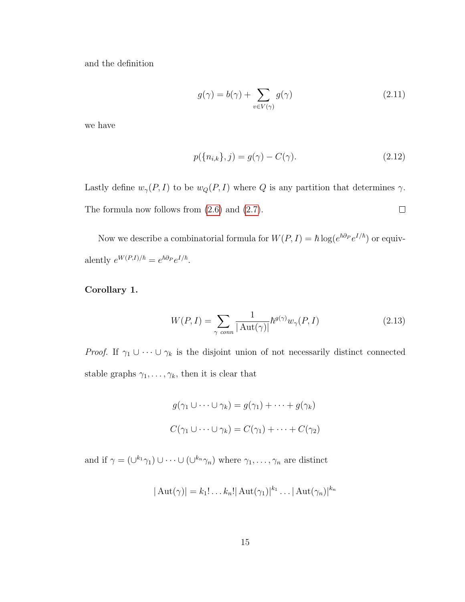and the definition

$$
g(\gamma) = b(\gamma) + \sum_{v \in V(\gamma)} g(\gamma) \tag{2.11}
$$

we have

$$
p(\{n_{i,k}\},j) = g(\gamma) - C(\gamma).
$$
 (2.12)

Lastly define  $w_{\gamma}(P, I)$  to be  $w_Q(P, I)$  where  $Q$  is any partition that determines  $\gamma$ .  $\Box$ The formula now follows from  $(2.6)$  and  $(2.7)$ .

Now we describe a combinatorial formula for  $W(P, I) = \hbar \log(e^{\hbar \partial P} e^{I/\hbar})$  or equivalently  $e^{W(P,I)/\hbar} = e^{\hbar \partial_P} e^{I/\hbar}$ .

<span id="page-19-0"></span>Corollary 1.

$$
W(P, I) = \sum_{\gamma \text{ conn}} \frac{1}{|\operatorname{Aut}(\gamma)|} \hbar^{g(\gamma)} w_{\gamma}(P, I)
$$
\n(2.13)

*Proof.* If  $\gamma_1 \cup \cdots \cup \gamma_k$  is the disjoint union of not necessarily distinct connected stable graphs  $\gamma_1, \ldots, \gamma_k$ , then it is clear that

$$
g(\gamma_1 \cup \dots \cup \gamma_k) = g(\gamma_1) + \dots + g(\gamma_k)
$$

$$
C(\gamma_1 \cup \dots \cup \gamma_k) = C(\gamma_1) + \dots + C(\gamma_2)
$$

and if  $\gamma = (\bigcup^{k_1} \gamma_1) \cup \cdots \cup (\bigcup^{k_n} \gamma_n)$  where  $\gamma_1, \ldots, \gamma_n$  are distinct

$$
|\operatorname{Aut}(\gamma)| = k_1! \dots k_n! |\operatorname{Aut}(\gamma_1)|^{k_1} \dots |\operatorname{Aut}(\gamma_n)|^{k_n}
$$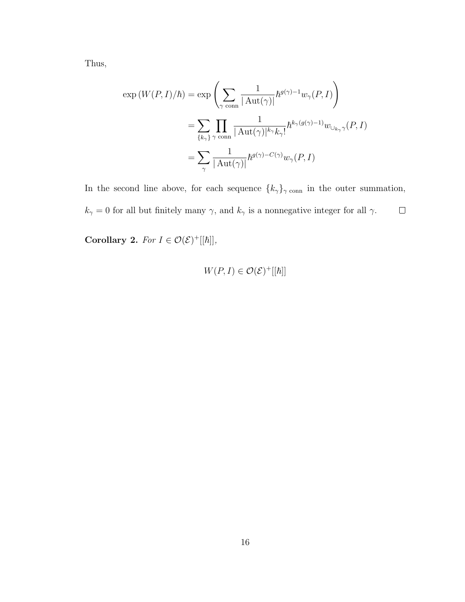Thus,

$$
\exp(W(P, I)/\hbar) = \exp\left(\sum_{\gamma \text{ conn}} \frac{1}{|\operatorname{Aut}(\gamma)|} \hbar^{g(\gamma)-1} w_{\gamma}(P, I)\right)
$$

$$
= \sum_{\{k_{\gamma}\}} \prod_{\gamma \text{ conn}} \frac{1}{|\operatorname{Aut}(\gamma)|^{k_{\gamma}} k_{\gamma}!} \hbar^{k_{\gamma}(g(\gamma)-1)} w_{\cup_{k_{\gamma}} \gamma}(P, I)
$$

$$
= \sum_{\gamma} \frac{1}{|\operatorname{Aut}(\gamma)|} \hbar^{g(\gamma)-C(\gamma)} w_{\gamma}(P, I)
$$

In the second line above, for each sequence  $\{k_\gamma\}_{\gamma\ \rm conn}$  in the outer summation,  $k_{\gamma}=0$  for all but finitely many  $\gamma,$  and  $k_{\gamma}$  is a nonnegative integer for all  $\gamma.$  $\Box$ 

Corollary 2. For  $I \in \mathcal{O}(\mathcal{E})^+[[\hbar]]$ ,

$$
W(P,I) \in \mathcal{O}(\mathcal{E})^+[[\hbar]]
$$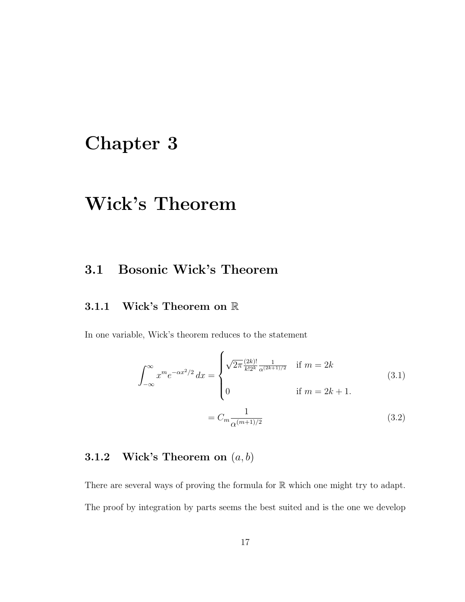# <span id="page-21-0"></span>Chapter 3

# Wick's Theorem

### <span id="page-21-1"></span>3.1 Bosonic Wick's Theorem

### <span id="page-21-2"></span>3.1.1 Wick's Theorem on R

In one variable, Wick's theorem reduces to the statement

$$
\int_{-\infty}^{\infty} x^m e^{-\alpha x^2/2} dx = \begin{cases} \sqrt{2\pi} \frac{(2k)!}{k!2^k} \frac{1}{\alpha^{(2k+1)/2}} & \text{if } m = 2k\\ 0 & \text{if } m = 2k+1. \end{cases}
$$
(3.1)  

$$
= C_m \frac{1}{\alpha^{(m+1)/2}}
$$

### <span id="page-21-3"></span>3.1.2 Wick's Theorem on  $(a, b)$

There are several ways of proving the formula for  $\mathbb R$  which one might try to adapt. The proof by integration by parts seems the best suited and is the one we develop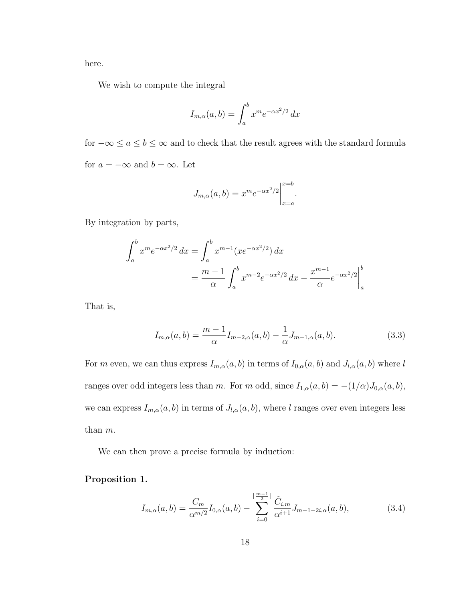here.

We wish to compute the integral

$$
I_{m,\alpha}(a,b) = \int_a^b x^m e^{-\alpha x^2/2} dx
$$

for  $-\infty\leq a\leq b\leq\infty$  and to check that the result agrees with the standard formula for  $a = -\infty$  and  $b = \infty$ . Let

$$
J_{m,\alpha}(a,b) = x^m e^{-\alpha x^2/2} \Big|_{x=a}^{x=b}.
$$

By integration by parts,

$$
\int_{a}^{b} x^{m} e^{-\alpha x^{2}/2} dx = \int_{a}^{b} x^{m-1} (x e^{-\alpha x^{2}/2}) dx
$$

$$
= \frac{m-1}{\alpha} \int_{a}^{b} x^{m-2} e^{-\alpha x^{2}/2} dx - \frac{x^{m-1}}{\alpha} e^{-\alpha x^{2}/2} \Big|_{a}^{b}
$$

That is,

<span id="page-22-0"></span>
$$
I_{m,\alpha}(a,b) = \frac{m-1}{\alpha} I_{m-2,\alpha}(a,b) - \frac{1}{\alpha} J_{m-1,\alpha}(a,b).
$$
 (3.3)

For m even, we can thus express  $I_{m,\alpha}(a, b)$  in terms of  $I_{0,\alpha}(a, b)$  and  $J_{l,\alpha}(a, b)$  where l ranges over odd integers less than m. For m odd, since  $I_{1,\alpha}(a, b) = -(1/\alpha)J_{0,\alpha}(a, b)$ , we can express  $I_{m,\alpha}(a, b)$  in terms of  $J_{l,\alpha}(a, b)$ , where l ranges over even integers less than m.

We can then prove a precise formula by induction:

#### <span id="page-22-1"></span>Proposition 1.

$$
I_{m,\alpha}(a,b) = \frac{C_m}{\alpha^{m/2}} I_{0,\alpha}(a,b) - \sum_{i=0}^{\lfloor \frac{m-1}{2} \rfloor} \frac{\tilde{C}_{i,m}}{\alpha^{i+1}} J_{m-1-2i,\alpha}(a,b), \tag{3.4}
$$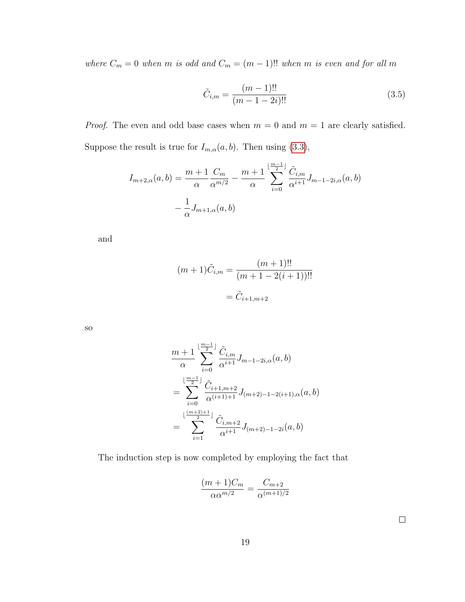where  $C_m = 0$  when m is odd and  $C_m = (m - 1)!!$  when m is even and for all m

$$
\tilde{C}_{i,m} = \frac{(m-1)!!}{(m-1-2i)!!}
$$
\n(3.5)

*Proof.* The even and odd base cases when  $m = 0$  and  $m = 1$  are clearly satisfied. Suppose the result is true for  $I_{m,\alpha}(a, b)$ . Then using [\(3.3\)](#page-22-0),

$$
I_{m+2,\alpha}(a,b) = \frac{m+1}{\alpha} \frac{C_m}{\alpha^{m/2}} - \frac{m+1}{\alpha} \sum_{i=0}^{\lfloor \frac{m-1}{2} \rfloor} \frac{\tilde{C}_{i,m}}{\alpha^{i+1}} J_{m-1-2i,\alpha}(a,b) - \frac{1}{\alpha} J_{m+1,\alpha}(a,b)
$$

and

$$
(m+1)\tilde{C}_{i,m} = \frac{(m+1)!!}{(m+1-2(i+1))!!}
$$

$$
= \tilde{C}_{i+1,m+2}
$$

so

$$
\frac{m+1}{\alpha} \sum_{i=0}^{\lfloor \frac{m-1}{2} \rfloor} \frac{\tilde{C}_{i,m}}{\alpha^{i+1}} J_{m-1-2i,\alpha}(a,b)
$$
  
= 
$$
\sum_{i=0}^{\lfloor \frac{m-1}{2} \rfloor} \frac{\tilde{C}_{i+1,m+2}}{\alpha^{(i+1)+1}} J_{(m+2)-1-2(i+1),\alpha}(a,b)
$$
  
= 
$$
\sum_{i=1}^{\lfloor \frac{(m+2)+1}{2} \rfloor} \frac{\tilde{C}_{i,m+2}}{\alpha^{i+1}} J_{(m+2)-1-2i}(a,b)
$$

The induction step is now completed by employing the fact that

$$
\frac{(m+1)C_m}{\alpha \alpha^{m/2}} = \frac{C_{m+2}}{\alpha^{(m+1)/2}}
$$

 $\Box$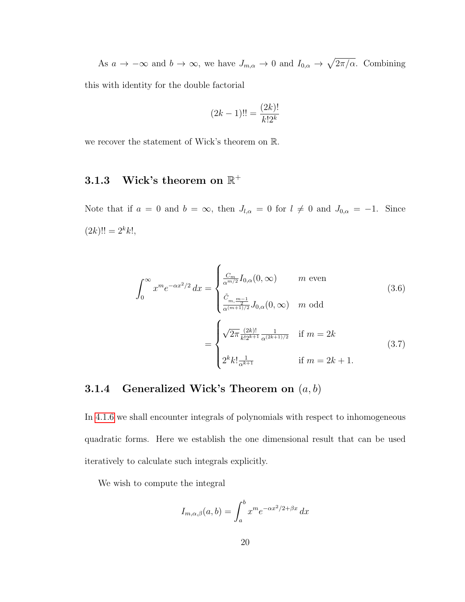As  $a \to -\infty$  and  $b \to \infty$ , we have  $J_{m,\alpha} \to 0$  and  $I_{0,\alpha} \to \sqrt{2\pi/\alpha}$ . Combining this with identity for the double factorial

$$
(2k-1)!! = \frac{(2k)!}{k!2^k}
$$

we recover the statement of Wick's theorem on R.

## <span id="page-24-0"></span> $3.1.3$  Wick's theorem on  $\mathbb{R}^+$

Note that if  $a = 0$  and  $b = \infty$ , then  $J_{l,\alpha} = 0$  for  $l \neq 0$  and  $J_{0,\alpha} = -1$ . Since  $(2k)!! = 2^k k!,$ 

$$
\int_0^\infty x^m e^{-\alpha x^2/2} dx = \begin{cases} \frac{C_m}{\alpha^{m/2}} I_{0,\alpha}(0,\infty) & m \text{ even} \\ \frac{\tilde{C}_m \frac{m-1}{2}}{\alpha^{(m+1)/2}} J_{0,\alpha}(0,\infty) & m \text{ odd} \end{cases}
$$
(3.6)  

$$
= \begin{cases} \sqrt{2\pi} \frac{(2k)!}{k!2^{k+1}} \frac{1}{\alpha^{(2k+1)/2}} & \text{if } m = 2k \\ 2^k k! \frac{1}{\alpha^{k+1}} & \text{if } m = 2k + 1. \end{cases}
$$
(3.7)

## <span id="page-24-1"></span>3.1.4 Generalized Wick's Theorem on  $(a, b)$

In [4.1.6](#page-60-0) we shall encounter integrals of polynomials with respect to inhomogeneous quadratic forms. Here we establish the one dimensional result that can be used iteratively to calculate such integrals explicitly.

We wish to compute the integral

$$
I_{m,\alpha,\beta}(a,b) = \int_a^b x^m e^{-\alpha x^2/2 + \beta x} dx
$$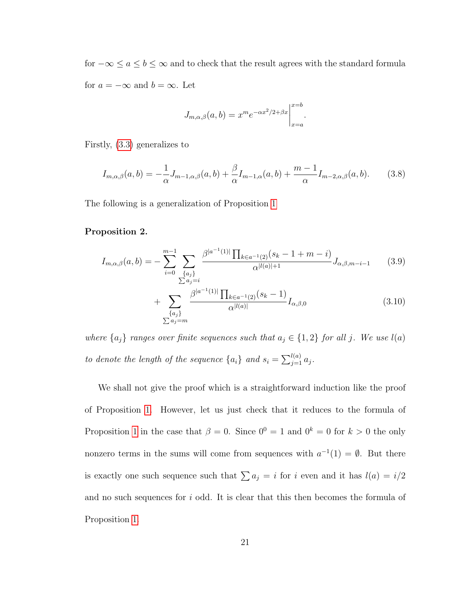for  $-\infty\leq a\leq b\leq\infty$  and to check that the result agrees with the standard formula for  $a = -\infty$  and  $b = \infty$ . Let

$$
J_{m,\alpha,\beta}(a,b) = x^m e^{-\alpha x^2/2 + \beta x} \Big|_{x=a}^{x=b}.
$$

Firstly, [\(3.3\)](#page-22-0) generalizes to

$$
I_{m,\alpha,\beta}(a,b) = -\frac{1}{\alpha} J_{m-1,\alpha,\beta}(a,b) + \frac{\beta}{\alpha} I_{m-1,\alpha}(a,b) + \frac{m-1}{\alpha} I_{m-2,\alpha,\beta}(a,b).
$$
 (3.8)

The following is a generalization of Proposition [1](#page-22-1)

P

 $a_j = m$ 

#### Proposition 2.

$$
I_{m,\alpha,\beta}(a,b) = -\sum_{i=0}^{m-1} \sum_{\substack{\{a_j\} \ \sum a_j = i}} \frac{\beta^{|a^{-1}(1)|} \prod_{k \in a^{-1}(2)} (s_k - 1 + m - i)}{\alpha^{|l(a)| + 1}} J_{\alpha,\beta,m-i-1}
$$
(3.9)  
+ 
$$
\sum_{\{a_j\}} \frac{\beta^{|a^{-1}(1)|} \prod_{k \in a^{-1}(2)} (s_k - 1)}{\alpha^{|l(a)|}} I_{\alpha,\beta,0}
$$
(3.10)

where  $\{a_j\}$  ranges over finite sequences such that  $a_j \in \{1,2\}$  for all j. We use  $l(a)$ to denote the length of the sequence  $\{a_i\}$  and  $s_i = \sum_{j=1}^{l(a)} a_j$ .

We shall not give the proof which is a straightforward induction like the proof of Proposition [1.](#page-22-1) However, let us just check that it reduces to the formula of Proposition [1](#page-22-1) in the case that  $\beta = 0$ . Since  $0^0 = 1$  and  $0^k = 0$  for  $k > 0$  the only nonzero terms in the sums will come from sequences with  $a^{-1}(1) = \emptyset$ . But there is exactly one such sequence such that  $\sum a_j = i$  for i even and it has  $l(a) = i/2$ and no such sequences for i odd. It is clear that this then becomes the formula of Proposition [1.](#page-22-1)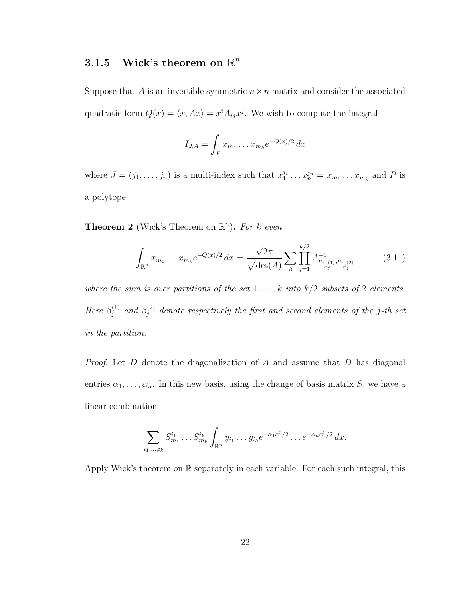## <span id="page-26-0"></span>3.1.5 Wick's theorem on  $\mathbb{R}^n$

Suppose that A is an invertible symmetric  $n \times n$  matrix and consider the associated quadratic form  $Q(x) = \langle x, Ax \rangle = x^{i} A_{ij} x^{j}$ . We wish to compute the integral

$$
I_{J,A} = \int_{P} x_{m_1} \dots x_{m_k} e^{-Q(x)/2} dx
$$

where  $J = (j_1, \ldots, j_n)$  is a multi-index such that  $x_1^{j_1} \ldots x_n^{j_n} = x_{m_1} \ldots x_{m_k}$  and P is a polytope.

**Theorem 2** (Wick's Theorem on  $\mathbb{R}^n$ ). For k even

$$
\int_{\mathbb{R}^n} x_{m_1} \dots x_{m_k} e^{-Q(x)/2} dx = \frac{\sqrt{2\pi}}{\sqrt{\det(A)}} \sum_{\beta} \prod_{j=1}^{k/2} A^{-1}_{m_{\beta_j^{(1)}}, m_{\beta_j^{(2)}}}
$$
(3.11)

where the sum is over partitions of the set  $1, \ldots, k$  into  $k/2$  subsets of 2 elements. Here  $\beta_i^{(1)}$  $j^{(1)}$  and  $\beta_j^{(2)}$  $j_j^{(2)}$  denote respectively the first and second elements of the j-th set in the partition.

*Proof.* Let  $D$  denote the diagonalization of  $A$  and assume that  $D$  has diagonal entries  $\alpha_1, \ldots, \alpha_n$ . In this new basis, using the change of basis matrix S, we have a linear combination

$$
\sum_{i_1,\dots,i_k} S_{m_1}^{i_1} \dots S_{m_k}^{i_k} \int_{\mathbb{R}^n} y_{i_1} \dots y_{i_k} e^{-\alpha_1 x^2/2} \dots e^{-\alpha_n x^2/2} dx.
$$

Apply Wick's theorem on  $\mathbb R$  separately in each variable. For each such integral, this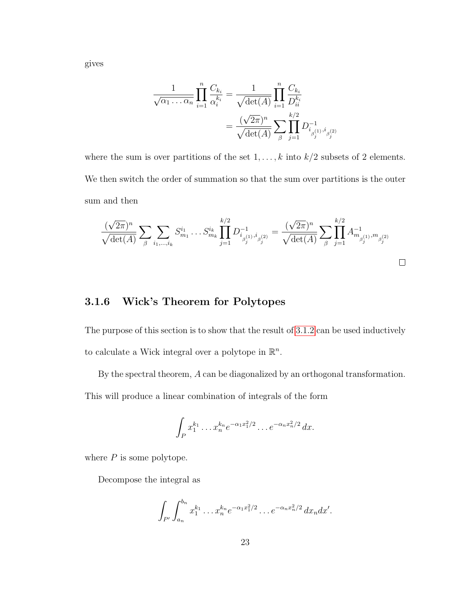$$
\frac{1}{\sqrt{\alpha_1 \dots \alpha_n}} \prod_{i=1}^n \frac{C_{k_i}}{\alpha_i^{k_i}} = \frac{1}{\sqrt{\det(A)}} \prod_{i=1}^n \frac{C_{k_i}}{D_{ii}^{k_i}}
$$

$$
= \frac{(\sqrt{2\pi})^n}{\sqrt{\det(A)}} \sum_{\beta} \prod_{j=1}^{k/2} D_{i_{\beta_j^{(1)}}; i_{\beta_j^{(2)}}}
$$

where the sum is over partitions of the set  $1, \ldots, k$  into  $k/2$  subsets of 2 elements. We then switch the order of summation so that the sum over partitions is the outer sum and then

$$
\frac{(\sqrt{2\pi})^n}{\sqrt{\det(A)}} \sum_{\beta} \sum_{i_1,\dots,i_k} S_{m_1}^{i_1} \dots S_{m_k}^{i_k} \prod_{j=1}^{k/2} D_{i_{\beta_j^{(1)}},i_{\beta_j^{(2)}}}^{-1} = \frac{(\sqrt{2\pi})^n}{\sqrt{\det(A)}} \sum_{\beta} \prod_{j=1}^{k/2} A_{m_{\beta_j^{(1)}},m_{\beta_j^{(2)}}}^{-1}
$$

#### <span id="page-27-0"></span>3.1.6 Wick's Theorem for Polytopes

The purpose of this section is to show that the result of [3.1.2](#page-21-3) can be used inductively to calculate a Wick integral over a polytope in  $\mathbb{R}^n$ .

By the spectral theorem, A can be diagonalized by an orthogonal transformation.

This will produce a linear combination of integrals of the form

$$
\int_{P} x_1^{k_1} \dots x_n^{k_n} e^{-\alpha_1 x_1^2/2} \dots e^{-\alpha_n x_n^2/2} dx.
$$

where  $P$  is some polytope.

Decompose the integral as

$$
\int_{P'} \int_{a_n}^{b_n} x_1^{k_1} \dots x_n^{k_n} e^{-\alpha_1 x_1^2/2} \dots e^{-\alpha_n x_n^2/2} dx_n dx'.
$$

gives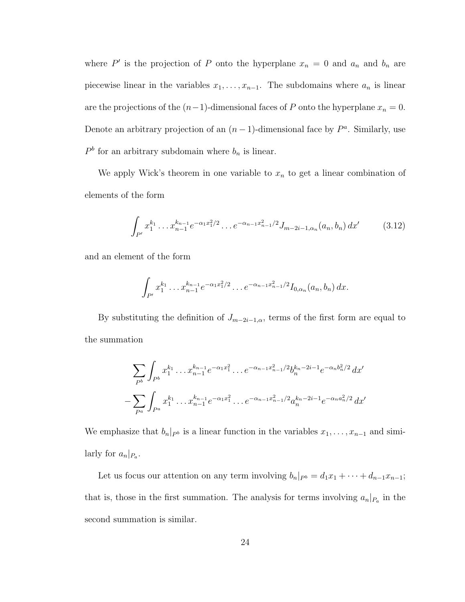where P' is the projection of P onto the hyperplane  $x_n = 0$  and  $a_n$  and  $b_n$  are piecewise linear in the variables  $x_1, \ldots, x_{n-1}$ . The subdomains where  $a_n$  is linear are the projections of the  $(n-1)$ -dimensional faces of P onto the hyperplane  $x_n = 0$ . Denote an arbitrary projection of an  $(n-1)$ -dimensional face by  $P^a$ . Similarly, use  $P<sup>b</sup>$  for an arbitrary subdomain where  $b_n$  is linear.

We apply Wick's theorem in one variable to  $x_n$  to get a linear combination of elements of the form

$$
\int_{P'} x_1^{k_1} \dots x_{n-1}^{k_{n-1}} e^{-\alpha_1 x_1^2/2} \dots e^{-\alpha_{n-1} x_{n-1}^2/2} J_{m-2i-1,\alpha_n}(a_n, b_n) dx' \tag{3.12}
$$

and an element of the form

$$
\int_{P'} x_1^{k_1} \dots x_{n-1}^{k_{n-1}} e^{-\alpha_1 x_1^2/2} \dots e^{-\alpha_{n-1} x_{n-1}^2/2} I_{0,\alpha_n}(a_n, b_n) dx.
$$

By substituting the definition of  $J_{m-2i-1,\alpha}$ , terms of the first form are equal to the summation

$$
\sum_{P^b} \int_{P^b} x_1^{k_1} \dots x_{n-1}^{k_{n-1}} e^{-\alpha_1 x_1^2} \dots e^{-\alpha_{n-1} x_{n-1}^2/2} b_n^{k_n-2i-1} e^{-\alpha_n b_n^2/2} dx'
$$
  

$$
-\sum_{P^a} \int_{P^a} x_1^{k_1} \dots x_{n-1}^{k_{n-1}} e^{-\alpha_1 x_1^2} \dots e^{-\alpha_{n-1} x_{n-1}^2/2} a_n^{k_n-2i-1} e^{-\alpha_n a_n^2/2} dx'
$$

We emphasize that  $b_n|_{P^b}$  is a linear function in the variables  $x_1, \ldots, x_{n-1}$  and similarly for  $a_n|_{P_a}$ .

Let us focus our attention on any term involving  $b_n|_{P^b} = d_1x_1 + \cdots + d_{n-1}x_{n-1}$ ; that is, those in the first summation. The analysis for terms involving  $a_n|_{P_a}$  in the second summation is similar.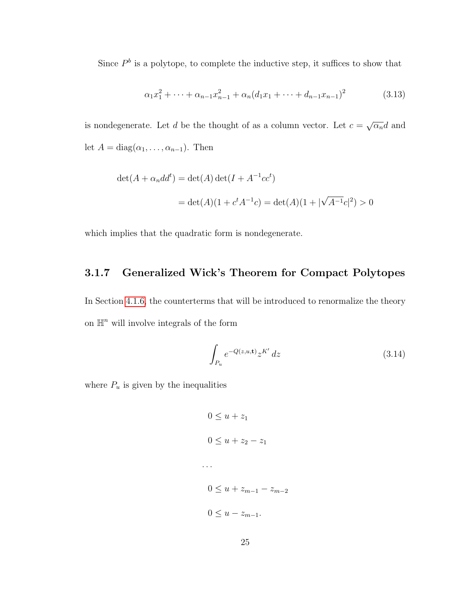Since  $P<sup>b</sup>$  is a polytope, to complete the inductive step, it suffices to show that

$$
\alpha_1 x_1^2 + \dots + \alpha_{n-1} x_{n-1}^2 + \alpha_n (d_1 x_1 + \dots + d_{n-1} x_{n-1})^2 \tag{3.13}
$$

is nondegenerate. Let d be the thought of as a column vector. Let  $c = \sqrt{\alpha_n} d$  and let  $A = diag(\alpha_1, \ldots, \alpha_{n-1})$ . Then

$$
det(A + \alpha_n dd^t) = det(A) det(I + A^{-1}cc^t)
$$
  
= det(A)(1 + c^t A^{-1}c) = det(A)(1 + |\sqrt{A^{-1}}c|^2) > 0

which implies that the quadratic form is nondegenerate.

### <span id="page-29-0"></span>3.1.7 Generalized Wick's Theorem for Compact Polytopes

In Section [4.1.6,](#page-60-0) the counterterms that will be introduced to renormalize the theory on  $\mathbb{H}^n$  will involve integrals of the form

$$
\int_{P_u} e^{-Q(z,u,\mathbf{t})} z^{K'} dz \tag{3.14}
$$

where  $P_u$  is given by the inequalities

$$
0 \le u + z_1
$$
  
\n
$$
0 \le u + z_2 - z_1
$$
  
\n...  
\n
$$
0 \le u + z_{m-1} - z_{m-2}
$$
  
\n
$$
0 \le u - z_{m-1}.
$$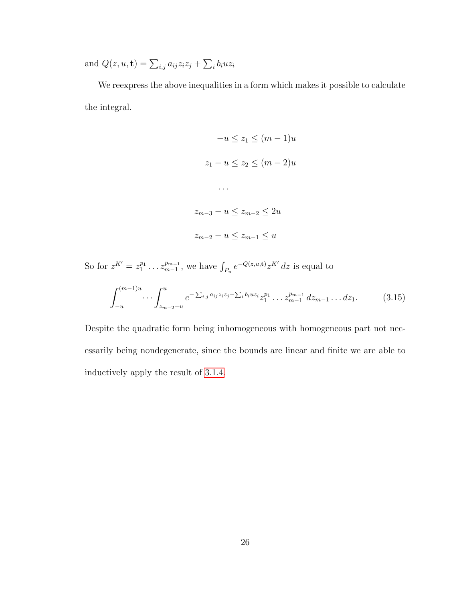and  $Q(z, u, \mathbf{t}) = \sum_{i,j} a_{ij} z_i z_j + \sum_i b_i u z_i$ 

We reexpress the above inequalities in a form which makes it possible to calculate the integral.

$$
-u \le z_1 \le (m-1)u
$$
  

$$
z_1 - u \le z_2 \le (m-2)u
$$
  
...  

$$
z_{m-3} - u \le z_{m-2} \le 2u
$$
  

$$
z_{m-2} - u \le z_{m-1} \le u
$$

So for  $z^{K'} = z_1^{p_1} \dots z_{m-1}^{p_{m-1}}$  $_{m-1}^{p_{m-1}}$ , we have  $\int_{P_u} e^{-Q(z,u,\mathbf{t})} z^{K'} dz$  is equal to

$$
\int_{-u}^{(m-1)u} \cdots \int_{z_{m-2}-u}^{u} e^{-\sum_{i,j} a_{ij}z_i z_j - \sum_i b_i u z_i} z_1^{p_1} \cdots z_{m-1}^{p_{m-1}} dz_{m-1} \cdots dz_1.
$$
 (3.15)

Despite the quadratic form being inhomogeneous with homogeneous part not necessarily being nondegenerate, since the bounds are linear and finite we are able to inductively apply the result of [3.1.4.](#page-24-1)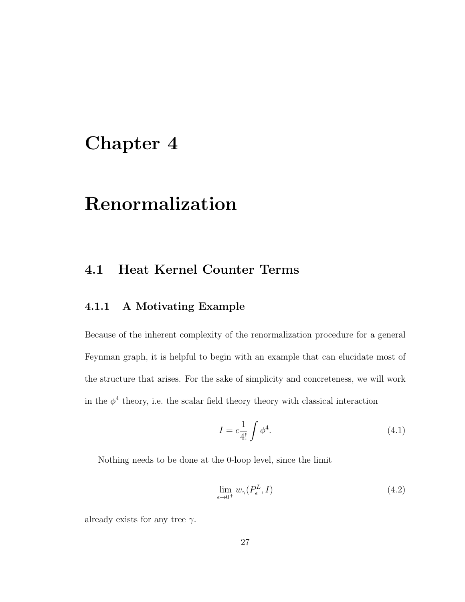# <span id="page-31-0"></span>Chapter 4

# Renormalization

### <span id="page-31-1"></span>4.1 Heat Kernel Counter Terms

### <span id="page-31-2"></span>4.1.1 A Motivating Example

Because of the inherent complexity of the renormalization procedure for a general Feynman graph, it is helpful to begin with an example that can elucidate most of the structure that arises. For the sake of simplicity and concreteness, we will work in the  $\phi^4$  theory, i.e. the scalar field theory theory with classical interaction

$$
I = c \frac{1}{4!} \int \phi^4.
$$
\n
$$
(4.1)
$$

Nothing needs to be done at the 0-loop level, since the limit

$$
\lim_{\epsilon \to 0^+} w_\gamma(P_\epsilon^L, I) \tag{4.2}
$$

already exists for any tree  $\gamma$ .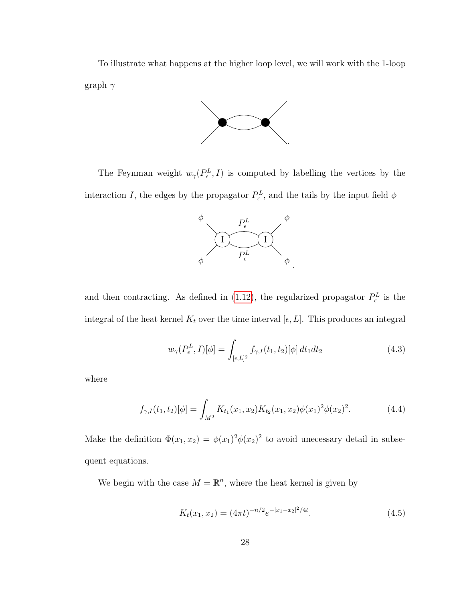To illustrate what happens at the higher loop level, we will work with the 1-loop graph  $\gamma$ 



The Feynman weight  $w_{\gamma}(P_{\epsilon}^L, I)$  is computed by labelling the vertices by the interaction I, the edges by the propagator  $P_{\epsilon}^{L}$ , and the tails by the input field  $\phi$ 



and then contracting. As defined in [\(1.12\)](#page-8-0), the regularized propagator  $P_{\epsilon}^{L}$  is the integral of the heat kernel  $K_t$  over the time interval  $[\epsilon, L]$ . This produces an integral

<span id="page-32-0"></span>
$$
w_{\gamma}(P_{\epsilon}^{L}, I)[\phi] = \int_{[\epsilon, L]^{2}} f_{\gamma, I}(t_{1}, t_{2})[\phi] dt_{1} dt_{2}
$$
\n(4.3)

where

$$
f_{\gamma,I}(t_1,t_2)[\phi] = \int_{M^2} K_{t_1}(x_1,x_2) K_{t_2}(x_1,x_2) \phi(x_1)^2 \phi(x_2)^2.
$$
 (4.4)

Make the definition  $\Phi(x_1, x_2) = \phi(x_1)^2 \phi(x_2)^2$  to avoid unecessary detail in subsequent equations.

We begin with the case  $M = \mathbb{R}^n$ , where the heat kernel is given by

$$
K_t(x_1, x_2) = (4\pi t)^{-n/2} e^{-|x_1 - x_2|^2/4t}.
$$
\n(4.5)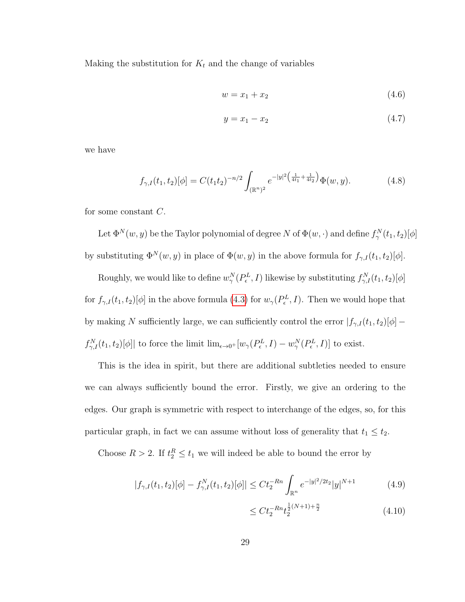Making the substitution for  $K_t$  and the change of variables

$$
w = x_1 + x_2 \tag{4.6}
$$

$$
y = x_1 - x_2 \tag{4.7}
$$

we have

$$
f_{\gamma,I}(t_1,t_2)[\phi] = C(t_1t_2)^{-n/2} \int_{(\mathbb{R}^n)^2} e^{-|y|^2 \left(\frac{1}{4t_1} + \frac{1}{4t_2}\right)} \Phi(w,y). \tag{4.8}
$$

for some constant C.

Let  $\Phi^N(w, y)$  be the Taylor polynomial of degree N of  $\Phi(w, \cdot)$  and define  $f_\gamma^N(t_1, t_2)[\phi]$ by substituting  $\Phi^N(w, y)$  in place of  $\Phi(w, y)$  in the above formula for  $f_{\gamma, I}(t_1, t_2)[\phi]$ .

Roughly, we would like to define  $w_{\gamma}^N(P_{\epsilon}^L, I)$  likewise by substituting  $f_{\gamma, I}^N(t_1, t_2)[\phi]$ for  $f_{\gamma,I}(t_1,t_2)[\phi]$  in the above formula [\(4.3\)](#page-32-0) for  $w_{\gamma}(P_{\epsilon}^L,I)$ . Then we would hope that by making N sufficiently large, we can sufficiently control the error  $|f_{\gamma,I}(t_1,t_2)[\phi]$  –  $f_{\gamma,I}^N(t_1,t_2)[\phi]|$  to force the limit  $\lim_{\epsilon\to 0^+}[w_\gamma(P_\epsilon^L,I)-w_\gamma^N(P_\epsilon^L,I)]$  to exist.

This is the idea in spirit, but there are additional subtleties needed to ensure we can always sufficiently bound the error. Firstly, we give an ordering to the edges. Our graph is symmetric with respect to interchange of the edges, so, for this particular graph, in fact we can assume without loss of generality that  $t_1 \leq t_2$ .

Choose  $R > 2$ . If  $t_2^R \le t_1$  we will indeed be able to bound the error by

$$
|f_{\gamma,I}(t_1, t_2)[\phi] - f_{\gamma,I}^N(t_1, t_2)[\phi]| \leq C t_2^{-Rn} \int_{\mathbb{R}^n} e^{-|y|^2/2t_2} |y|^{N+1}
$$
 (4.9)

$$
\leq Ct_2^{-Rn}t_2^{\frac{1}{2}(N+1)+\frac{n}{2}}\tag{4.10}
$$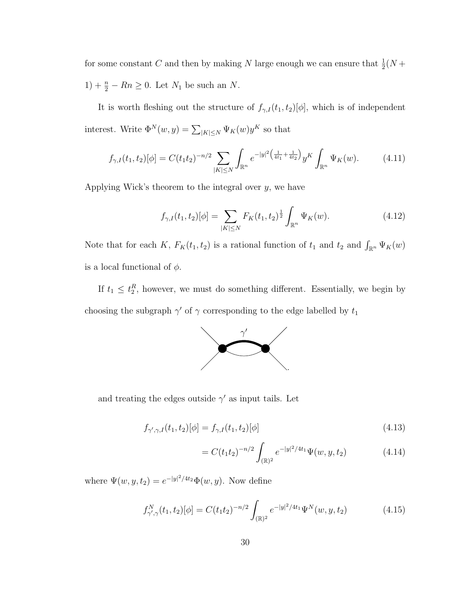for some constant C and then by making N large enough we can ensure that  $\frac{1}{2}(N +$  $1) + \frac{n}{2} - Rn \geq 0$ . Let  $N_1$  be such an N.

It is worth fleshing out the structure of  $f_{\gamma,I}(t_1,t_2)[\phi]$ , which is of independent interest. Write  $\Phi^N(w, y) = \sum_{|K| \le N} \Psi_K(w) y^K$  so that

$$
f_{\gamma,I}(t_1,t_2)[\phi] = C(t_1t_2)^{-n/2} \sum_{|K| \le N} \int_{\mathbb{R}^n} e^{-|y|^2 \left(\frac{1}{4t_1} + \frac{1}{4t_2}\right)} y^K \int_{\mathbb{R}^n} \Psi_K(w). \tag{4.11}
$$

Applying Wick's theorem to the integral over  $y$ , we have

$$
f_{\gamma,I}(t_1, t_2)[\phi] = \sum_{|K| \le N} F_K(t_1, t_2)^{\frac{1}{2}} \int_{\mathbb{R}^n} \Psi_K(w). \tag{4.12}
$$

Note that for each K,  $F_K(t_1, t_2)$  is a rational function of  $t_1$  and  $t_2$  and  $\int_{\mathbb{R}^n} \Psi_K(w)$ is a local functional of  $\phi$ .

If  $t_1 \n\t\leq t_2^R$ , however, we must do something different. Essentially, we begin by choosing the subgraph  $\gamma'$  of  $\gamma$  corresponding to the edge labelled by  $t_1$ 



and treating the edges outside  $\gamma'$  as input tails. Let

$$
f_{\gamma',\gamma,I}(t_1, t_2)[\phi] = f_{\gamma,I}(t_1, t_2)[\phi]
$$
\n(4.13)

$$
= C(t_1 t_2)^{-n/2} \int_{(\mathbb{R})^2} e^{-|y|^2/4t_1} \Psi(w, y, t_2)
$$
 (4.14)

where  $\Psi(w, y, t_2) = e^{-|y|^2/4t_2} \Phi(w, y)$ . Now define

$$
f_{\gamma',\gamma}^N(t_1,t_2)[\phi] = C(t_1t_2)^{-n/2} \int_{(\mathbb{R})^2} e^{-|y|^2/4t_1} \Psi^N(w,y,t_2)
$$
 (4.15)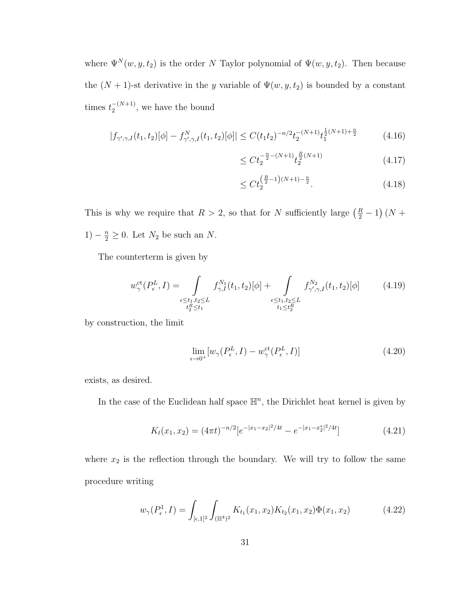where  $\Psi^{N}(w, y, t_2)$  is the order N Taylor polynomial of  $\Psi(w, y, t_2)$ . Then because the  $(N + 1)$ -st derivative in the y variable of  $\Psi(w, y, t_2)$  is bounded by a constant times  $t_2^{-(N+1)}$  $\frac{-(N+1)}{2}$ , we have the bound

$$
|f_{\gamma',\gamma,I}(t_1,t_2)[\phi] - f_{\gamma',\gamma,I}^N(t_1,t_2)[\phi]| \le C(t_1t_2)^{-n/2} t_2^{-(N+1)} t_1^{\frac{1}{2}(N+1) + \frac{n}{2}}
$$
(4.16)

$$
\leq C t_2^{-\frac{n}{2} - (N+1)} t_2^{\frac{R}{2}(N+1)} \tag{4.17}
$$

$$
\leq C t_2^{\left(\frac{R}{2}-1\right)(N+1)-\frac{n}{2}}.\tag{4.18}
$$

This is why we require that  $R > 2$ , so that for N sufficiently large  $(\frac{R}{2} - 1)(N +$ 1)  $-\frac{n}{2} \geq 0$ . Let  $N_2$  be such an N.

The counterterm is given by

$$
w^{\text{ct}}_{\gamma}(P^L_{\epsilon}, I) = \int_{\substack{\epsilon \le t_1, t_2 \le L \\ t_2^R \le t_1}} f^{\text{N}_1}_{\gamma, I}(t_1, t_2) [\phi] + \int_{\substack{\epsilon \le t_1, t_2 \le L \\ t_1 \le t_2^R}} f^{\text{N}_2}_{\gamma', \gamma, I}(t_1, t_2) [\phi] \tag{4.19}
$$

by construction, the limit

$$
\lim_{\epsilon \to 0^+} [w_\gamma(P_\epsilon^L, I) - w_\gamma^{\text{ct}}(P_\epsilon^L, I)] \tag{4.20}
$$

exists, as desired.

In the case of the Euclidean half space  $\mathbb{H}^n$ , the Dirichlet heat kernel is given by

$$
K_t(x_1, x_2) = (4\pi t)^{-n/2} \left[ e^{-|x_1 - x_2|^2/4t} - e^{-|x_1 - x_2^*|^2/4t} \right]
$$
(4.21)

where  $x_2$  is the reflection through the boundary. We will try to follow the same procedure writing

$$
w_{\gamma}(P_{\epsilon}^1, I) = \int_{[\epsilon, 1]^2} \int_{(\mathbb{H}^4)^2} K_{t_1}(x_1, x_2) K_{t_2}(x_1, x_2) \Phi(x_1, x_2)
$$
(4.22)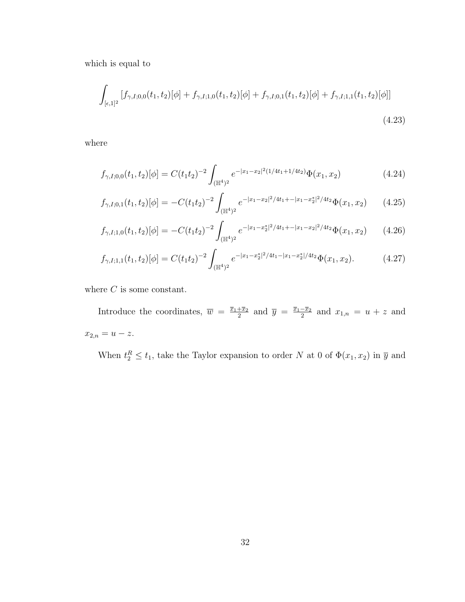which is equal to

$$
\int_{[\epsilon,1]^2} [f_{\gamma,I;0,0}(t_1,t_2)[\phi] + f_{\gamma,I;1,0}(t_1,t_2)[\phi] + f_{\gamma,I;0,1}(t_1,t_2)[\phi] + f_{\gamma,I;1,1}(t_1,t_2)[\phi]]
$$
\n(4.23)

where

$$
f_{\gamma,I;0,0}(t_1, t_2)[\phi] = C(t_1 t_2)^{-2} \int_{(\mathbb{H}^4)^2} e^{-|x_1 - x_2|^2 (1/4t_1 + 1/4t_2)} \Phi(x_1, x_2)
$$
(4.24)

$$
f_{\gamma,I;0,1}(t_1,t_2)[\phi] = -C(t_1t_2)^{-2} \int_{(\mathbb{H}^4)^2} e^{-|x_1 - x_2|^2/4t_1 + -|x_1 - x_2^*|^2/4t_2} \Phi(x_1,x_2) \qquad (4.25)
$$

$$
f_{\gamma, I; 1, 0}(t_1, t_2)[\phi] = -C(t_1 t_2)^{-2} \int_{(\mathbb{H}^4)^2} e^{-|x_1 - x_2^*|^2/4t_1 + -|x_1 - x_2|^2/4t_2} \Phi(x_1, x_2)
$$
 (4.26)

$$
f_{\gamma,I;1,1}(t_1,t_2)[\phi] = C(t_1t_2)^{-2} \int_{(\mathbb{H}^4)^2} e^{-|x_1 - x_2^*|^2/4t_1 - |x_1 - x_2^*|/4t_2} \Phi(x_1,x_2). \tag{4.27}
$$

where  $C$  is some constant.

Introduce the coordinates,  $\overline{w} = \frac{\overline{x}_1 + \overline{x}_2}{2}$  $\frac{1}{2}$  and  $\overline{y} = \frac{\overline{x}_1 - \overline{x}_2}{2}$  $\frac{-\overline{x_2}}{2}$  and  $x_{1,n} = u + z$  and  $x_{2,n} = u - z.$ 

When  $t_2^R \leq t_1$ , take the Taylor expansion to order N at 0 of  $\Phi(x_1, x_2)$  in  $\overline{y}$  and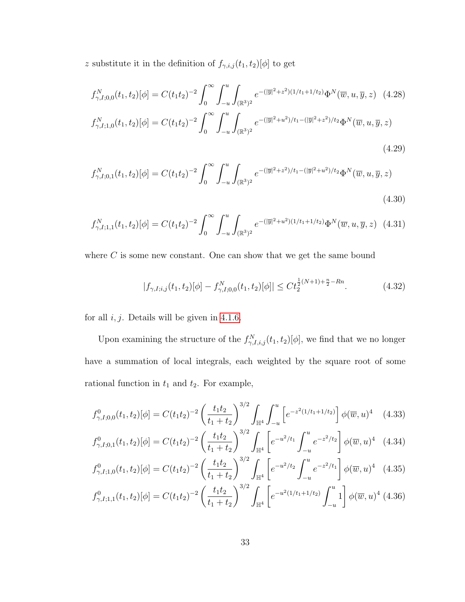$z$  substitute it in the definition of  $f_{\gamma,i,j}(t_1,t_2)[\phi]$  to get

$$
f_{\gamma,I;0,0}^{N}(t_1, t_2)[\phi] = C(t_1 t_2)^{-2} \int_0^{\infty} \int_{-u}^{u} \int_{(\mathbb{R}^3)^2} e^{-(|\overline{y}|^2 + z^2)(1/t_1 + 1/t_2)} \Phi^N(\overline{w}, u, \overline{y}, z) \quad (4.28)
$$
  

$$
f_{\gamma,I;1,0}^{N}(t_1, t_2)[\phi] = C(t_1 t_2)^{-2} \int_0^{\infty} \int_{-u}^{u} \int_{(\mathbb{R}^3)^2} e^{-(|\overline{y}|^2 + u^2)/t_1 - (|\overline{y}|^2 + z^2)/t_2} \Phi^N(\overline{w}, u, \overline{y}, z)
$$
  
(4.29)

$$
f_{\gamma,I;0,1}^N(t_1,t_2)[\phi] = C(t_1t_2)^{-2} \int_0^\infty \int_{-u}^u \int_{(\mathbb{R}^3)^2} e^{-(|\overline{y}|^2 + z^2)/t_1 - (|\overline{y}|^2 + u^2)/t_2} \Phi^N(\overline{w}, u, \overline{y}, z)
$$
\n(4.30)

$$
f_{\gamma,I;1,1}^N(t_1,t_2)[\phi] = C(t_1t_2)^{-2} \int_0^\infty \int_{-u}^u \int_{(\mathbb{R}^3)^2} e^{-(|\overline{y}|^2 + u^2)(1/t_1 + 1/t_2)} \Phi^N(\overline{w}, u, \overline{y}, z) \tag{4.31}
$$

where  $C$  is some new constant. One can show that we get the same bound

$$
|f_{\gamma, I; i, j}(t_1, t_2)[\phi] - f_{\gamma, I; 0, 0}^N(t_1, t_2)[\phi]| \leq C t_2^{\frac{1}{2}(N+1) + \frac{n}{2} - Rn}.
$$
 (4.32)

for all  $i, j$ . Details will be given in [4.1.6.](#page-60-0)

Upon examining the structure of the  $f_{\gamma,I,i,j}^{N}(t_1,t_2)[\phi]$ , we find that we no longer have a summation of local integrals, each weighted by the square root of some rational function in  $t_1$  and  $t_2$ . For example,

$$
f_{\gamma,I,0,0}^{0}(t_1, t_2)[\phi] = C(t_1 t_2)^{-2} \left(\frac{t_1 t_2}{t_1 + t_2}\right)^{3/2} \int_{\mathbb{H}^4} \int_{-u}^{u} \left[e^{-z^2(1/t_1 + 1/t_2)}\right] \phi(\overline{w}, u)^4 \quad (4.33)
$$

$$
f_{\gamma,I;0,1}^0(t_1, t_2)[\phi] = C(t_1 t_2)^{-2} \left(\frac{t_1 t_2}{t_1 + t_2}\right)^{3/2} \int_{\mathbb{H}^4} \left[e^{-u^2/t_1} \int_{-u}^u e^{-z^2/t_2}\right] \phi(\overline{w}, u)^4 \quad (4.34)
$$

$$
f_{\gamma, I; 1, 0}^{0}(t_1, t_2)[\phi] = C(t_1 t_2)^{-2} \left(\frac{t_1 t_2}{t_1 + t_2}\right)^{3/2} \int_{\mathbb{H}^4} \left[e^{-u^2/t_2} \int_{-u}^{u} e^{-z^2/t_1}\right] \phi(\overline{w}, u)^4 \quad (4.35)
$$

$$
f_{\gamma,I;1,1}^0(t_1,t_2)[\phi] = C(t_1t_2)^{-2} \left(\frac{t_1t_2}{t_1+t_2}\right)^{3/2} \int_{\mathbb{H}^4} \left[e^{-u^2(1/t_1+1/t_2)} \int_{-u}^u 1\right] \phi(\overline{w},u)^4 \tag{4.36}
$$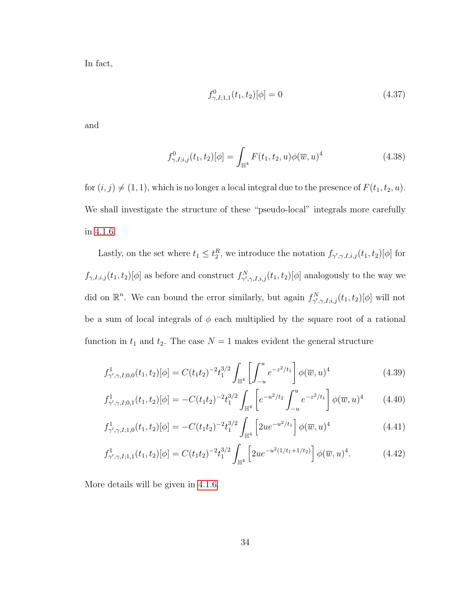In fact,

$$
f_{\gamma,I;1,1}^0(t_1, t_2)[\phi] = 0 \tag{4.37}
$$

and

$$
f_{\gamma, I; i, j}^{0}(t_1, t_2)[\phi] = \int_{\mathbb{H}^4} F(t_1, t_2, u)\phi(\overline{w}, u)^4
$$
 (4.38)

for  $(i, j) \neq (1, 1)$ , which is no longer a local integral due to the presence of  $F(t_1, t_2, u)$ . We shall investigate the structure of these "pseudo-local" integrals more carefully in [4.1.6.](#page-60-0)

Lastly, on the set where  $t_1 \leq t_2^R$ , we introduce the notation  $f_{\gamma',\gamma,I,i,j}(t_1,t_2)[\phi]$  for  $f_{\gamma,I,i,j}(t_1,t_2)[\phi]$  as before and construct  $f_{\gamma',\gamma,I,i,j}^N(t_1,t_2)[\phi]$  analogously to the way we did on  $\mathbb{R}^n$ . We can bound the error similarly, but again  $f_{\gamma',\gamma,I;i,j}^N(t_1,t_2)[\phi]$  will not be a sum of local integrals of  $\phi$  each multiplied by the square root of a rational function in  $t_1$  and  $t_2$ . The case  $N = 1$  makes evident the general structure

$$
f_{\gamma',\gamma,I;0,0}^1(t_1,t_2)[\phi] = C(t_1t_2)^{-2}t_1^{3/2} \int_{\mathbb{H}^4} \left[ \int_{-u}^u e^{-z^2/t_1} \right] \phi(\overline{w},u)^4 \tag{4.39}
$$

$$
f_{\gamma',\gamma,I;0,1}^1(t_1,t_2)[\phi] = -C(t_1t_2)^{-2}t_1^{3/2} \int_{\mathbb{H}^4} \left[ e^{-u^2/t_2} \int_{-u}^u e^{-z^2/t_1} \right] \phi(\overline{w},u)^4 \qquad (4.40)
$$

$$
f_{\gamma',\gamma,I;1,0}^1(t_1,t_2)[\phi] = -C(t_1t_2)^{-2}t_1^{3/2} \int_{\mathbb{H}^4} \left[2ue^{-u^2/t_1}\right] \phi(\overline{w},u)^4 \tag{4.41}
$$

$$
f_{\gamma',\gamma,I;1,1}^1(t_1,t_2)[\phi] = C(t_1t_2)^{-2}t_1^{3/2} \int_{\mathbb{H}^4} \left[2ue^{-u^2(1/t_1+1/t_2)}\right] \phi(\overline{w},u)^4.
$$
 (4.42)

More details will be given in [4.1.6.](#page-60-0)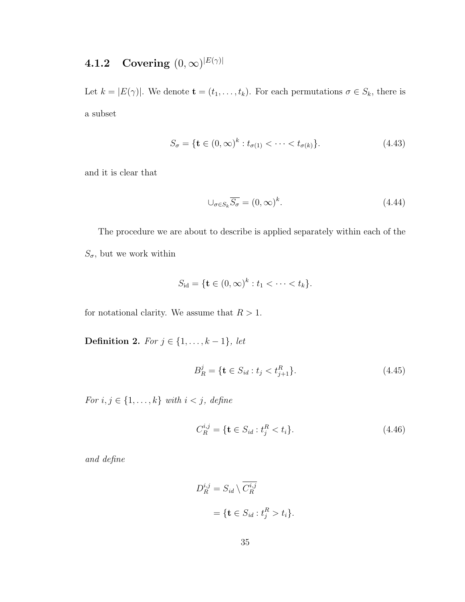# $\textbf{4.1.2} \quad \textbf{Covering} \,\, (0, \infty)^{|E(\gamma)|}$

Let  $k = |E(\gamma)|$ . We denote  $\mathbf{t} = (t_1, \ldots, t_k)$ . For each permutations  $\sigma \in S_k$ , there is a subset

$$
S_{\sigma} = \{ \mathbf{t} \in (0, \infty)^k : t_{\sigma(1)} < \dots < t_{\sigma(k)} \}. \tag{4.43}
$$

and it is clear that

$$
\bigcup_{\sigma \in S_k} \overline{S_{\sigma}} = (0, \infty)^k. \tag{4.44}
$$

The procedure we are about to describe is applied separately within each of the  $S_{\sigma}$ , but we work within

$$
S_{\rm id} = \{ \mathbf{t} \in (0, \infty)^k : t_1 < \cdots < t_k \}.
$$

for notational clarity. We assume that  $R > 1$ .

Definition 2. For  $j \in \{1, \ldots, k-1\}$ , let

$$
B_R^j = \{ \mathbf{t} \in S_{id} : t_j < t_{j+1}^R \}. \tag{4.45}
$$

For  $i, j \in \{1, \ldots, k\}$  with  $i < j$ , define

$$
C_R^{i,j} = \{ \mathbf{t} \in S_{id} : t_j^R < t_i \}. \tag{4.46}
$$

and define

$$
D_R^{i,j} = S_{id} \setminus \overline{C_R^{i,j}}
$$
  
= {**t**  $\in S_{id} : t_j^R > t_i$  }.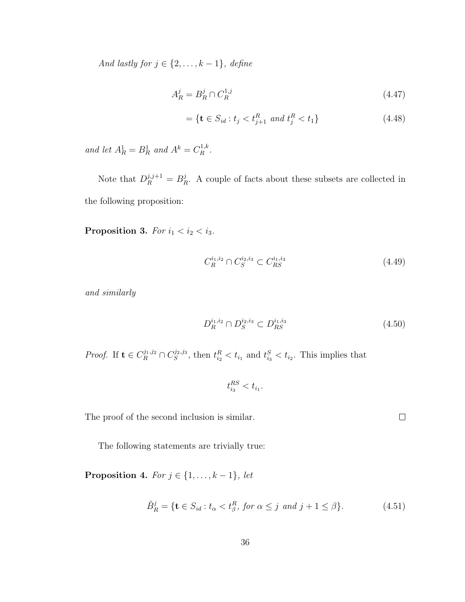And lastly for  $j \in \{2, ..., k-1\}$ , define

$$
A_R^j = B_R^j \cap C_R^{1,j} \tag{4.47}
$$

$$
= \{ \mathbf{t} \in S_{id} : t_j < t_{j+1}^R \text{ and } t_j^R < t_1 \} \tag{4.48}
$$

and let  $A_R^1 = B_R^1$  and  $A^k = C_R^{1,k}$  $\mathbb{R}^{1,k}$ .

Note that  $D_R^{j,j+1} = B_I^j$  $R<sub>R</sub>$ . A couple of facts about these subsets are collected in the following proposition:

Proposition 3. For  $i_1 < i_2 < i_3$ .

$$
C_R^{i_1,i_2} \cap C_S^{i_2,i_3} \subset C_{RS}^{i_1,i_3} \tag{4.49}
$$

and similarly

$$
D_R^{i_1,i_2} \cap D_S^{i_2,i_3} \subset D_{RS}^{i_1,i_3} \tag{4.50}
$$

*Proof.* If  $\mathbf{t} \in C_R^{j_1, j_2} \cap C_S^{j_2, j_3}$  $t_{i_2}^{j_2,j_3}$ , then  $t_{i_2}^R < t_{i_1}$  and  $t_{i_3}^S < t_{i_2}$ . This implies that

$$
t_{i_3}^{RS} < t_{i_1}.
$$

The proof of the second inclusion is similar.

The following statements are trivially true:

**Proposition 4.** For  $j \in \{1, ..., k-1\}$ , let

$$
\tilde{B}_R^j = \{ \mathbf{t} \in S_{id} : t_\alpha < t_\beta^R, \text{ for } \alpha \le j \text{ and } j+1 \le \beta \}. \tag{4.51}
$$

 $\Box$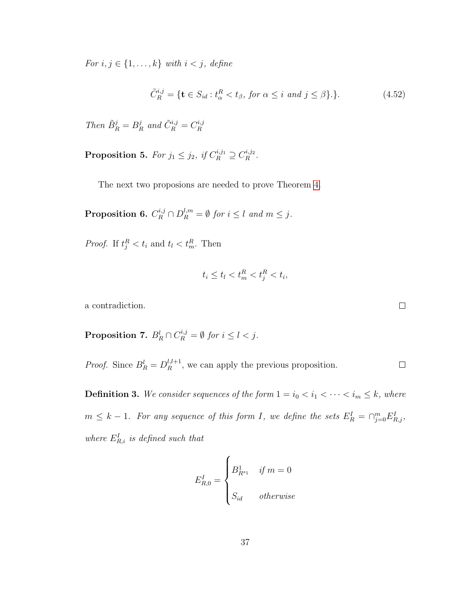For  $i, j \in \{1, \ldots, k\}$  with  $i < j$ , define

$$
\tilde{C}_R^{i,j} = \{ \mathbf{t} \in S_{id} : t_\alpha^R < t_\beta \text{, for } \alpha \le i \text{ and } j \le \beta \}. \tag{4.52}
$$

Then  $\tilde{B}_R^j = B_I^j$  $\tilde{C}_R^{i,j} = C_R^{i,j}$ R

**Proposition 5.** For  $j_1 \leq j_2$ , if  $C_R^{i,j_1} \supseteq C_R^{i,j_2}$  $\overset{_{i,j_2}}{R}.$ 

The next two proposions are needed to prove Theorem [4.](#page-42-0)

<span id="page-41-0"></span>**Proposition 6.**  $C_R^{i,j} \cap D_R^{l,m} = \emptyset$  for  $i \leq l$  and  $m \leq j$ .

*Proof.* If  $t_j^R < t_i$  and  $t_l < t_m^R$ . Then

$$
t_i \le t_l < t_m^R < t_j^R < t_i
$$

a contradiction.

<span id="page-41-1"></span>**Proposition 7.**  $B_R^l \cap C_R^{i,j} = \emptyset$  for  $i \leq l < j$ .

*Proof.* Since  $B_R^l = D_R^{l,l+1}$  $\Box$  $\kappa_R^{l,l+1}$ , we can apply the previous proposition.

<span id="page-41-2"></span>**Definition 3.** We consider sequences of the form  $1 = i_0 < i_1 < \cdots < i_m \leq k$ , where  $m \leq k-1$ . For any sequence of this form I, we define the sets  $E_R^I = \cap_{j=0}^m E_{R,j}^I$ , where  $E_{R,i}^I$  is defined such that

$$
E_{R,0}^I = \begin{cases} B_{R^{s_1}}^1 & \text{if } m = 0\\ S_{id} & \text{otherwise} \end{cases}
$$

 $\Box$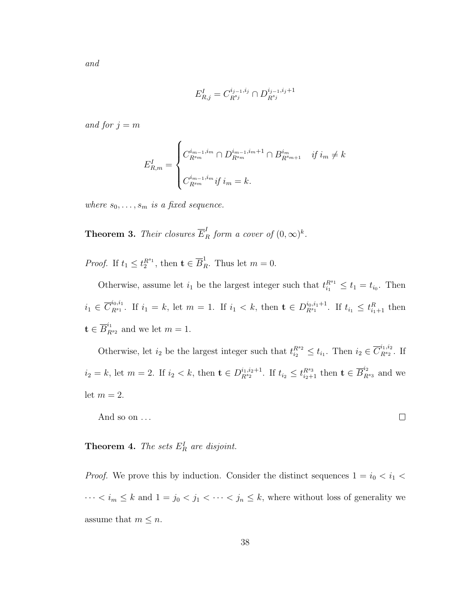$$
E^I_{R,j} = C^{i_{j-1},i_j}_{R^{s_j}} \cap D^{i_{j-1},i_j+1}_{R^{s_j}}
$$

and for  $j = m$ 

$$
E_{R,m}^I = \begin{cases} C_{R^{s_m}}^{i_{m-1},i_m} \cap D_{R^{s_m}}^{i_{m-1},i_m+1} \cap B_{R^{s_{m+1}}}^{i_m} & \text{if } i_m \neq k \\ C_{R^{s_m}}^{i_{m-1},i_m} \text{if } i_m = k. \end{cases}
$$

where  $s_0, \ldots, s_m$  is a fixed sequence.

<span id="page-42-1"></span>**Theorem 3.** Their closures  $\overline{E}_R^I$  form a cover of  $(0, \infty)^k$ .

*Proof.* If  $t_1 \leq t_2^{R^{s_1}}$ , then  $\mathbf{t} \in \overline{B}_R^1$ . Thus let  $m = 0$ .

Otherwise, assume let  $i_1$  be the largest integer such that  $t_{i_1}^{R^{s_1}} \leq t_1 = t_{i_0}$ . Then  $i_1 \in \overline{C}_{R^{s_1}}^{i_0, i_1}$ <sup> $i_{0,i_1}$ </sup>. If  $i_1 = k$ , let  $m = 1$ . If  $i_1 < k$ , then  $\mathbf{t} \in D_{R^{s_1}}^{i_0, i_1+1}$ . If  $t_{i_1} \leq t_{i_1+1}^R$  then  $\mathbf{t} \in \overline{B}_{R^{s_2}}^{i_1}$  and we let  $m = 1$ .

Otherwise, let  $i_2$  be the largest integer such that  $t_{i_2}^{R^{s_2}} \leq t_{i_1}$ . Then  $i_2 \in \overline{C}_{R^{s_2}}^{i_1, i_2}$  $\frac{r_1, r_2}{R^{s_2}}$ . If  $i_2 = k$ , let  $m = 2$ . If  $i_2 < k$ , then  $\mathbf{t} \in D_{R^{s_2}}^{i_1, i_2+1}$ . If  $t_{i_2} \leq t_{i_2+1}^{R^{s_3}}$  then  $\mathbf{t} \in \overline{B}_{R^{s_3}}^{i_2}$  and we let  $m = 2$ .

And so on  $\dots$  $\Box$ 

## <span id="page-42-0"></span>**Theorem 4.** The sets  $E_R^I$  are disjoint.

*Proof.* We prove this by induction. Consider the distinct sequences  $1 = i_0 < i_1$  $\cdots < i_m \leq k$  and  $1 = j_0 < j_1 < \cdots < j_n \leq k$ , where without loss of generality we assume that  $m \leq n$ .

and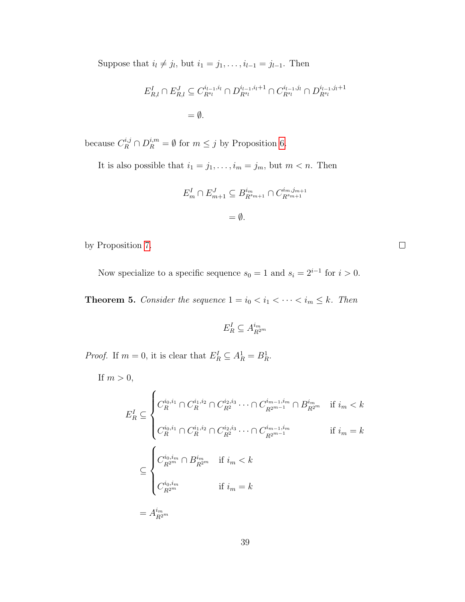Suppose that  $i_l \neq j_l$ , but  $i_1 = j_1, \ldots, i_{l-1} = j_{l-1}$ . Then

$$
E_{R,l}^I \cap E_{R,l}^J \subseteq C_{R^{s_l}}^{i_{l-1}, i_l} \cap D_{R^{s_l}}^{i_{l-1}, i_l+1} \cap C_{R^{s_l}}^{i_{l-1}, j_l} \cap D_{R^{s_l}}^{i_{l-1}, j_l+1}
$$
  
=  $\emptyset$ .

because  $C_R^{i,j} \cap D_R^{i,m} = \emptyset$  for  $m \leq j$  by Proposition [6.](#page-41-0)

It is also possible that  $i_1 = j_1, \ldots, i_m = j_m$ , but  $m < n$ . Then

$$
E_m^I \cap E_{m+1}^J \subseteq B_{R^{s_{m+1}}}^{i_m} \cap C_{R^{s_{m+1}}}^{i_m, j_{m+1}}
$$

$$
= \emptyset.
$$

by Proposition [7.](#page-41-1)

Now specialize to a specific sequence  $s_0 = 1$  and  $s_i = 2^{i-1}$  for  $i > 0$ .

<span id="page-43-0"></span>**Theorem 5.** Consider the sequence  $1 = i_0 < i_1 < \cdots < i_m \leq k$ . Then

$$
E_R^I \subseteq A_{R^{2m}}^{i_m}
$$

*Proof.* If  $m = 0$ , it is clear that  $E_R^I \subseteq A_R^1 = B_R^1$ .

If  $m > 0$ ,

$$
E_R^I \subseteq \begin{cases} C_R^{i_0, i_1} \cap C_R^{i_1, i_2} \cap C_{R^2}^{i_2, i_3} \cdots \cap C_{R^{2m-1}}^{i_{m-1}, i_m} \cap B_{R^{2m}}^{i_m} & \text{if } i_m < k \\ \vdots & \vdots \\ C_R^{i_0, i_1} \cap C_R^{i_1, i_2} \cap C_{R^2}^{i_2, i_3} \cdots \cap C_{R^{2m-1}}^{i_{m-1}, i_m} & \text{if } i_m = k \\ \vdots & \vdots & \vdots \\ C_{R^{2m}}^{i_0, i_m} \cap B_{R^{2m}}^{i_m} & \text{if } i_m = k \\ C_{R^{2m}}^{i_0, i_m} & \text{if } i_m = k \end{cases}
$$

$$
= A_{R^{2m}}^{i_m}
$$

 $\Box$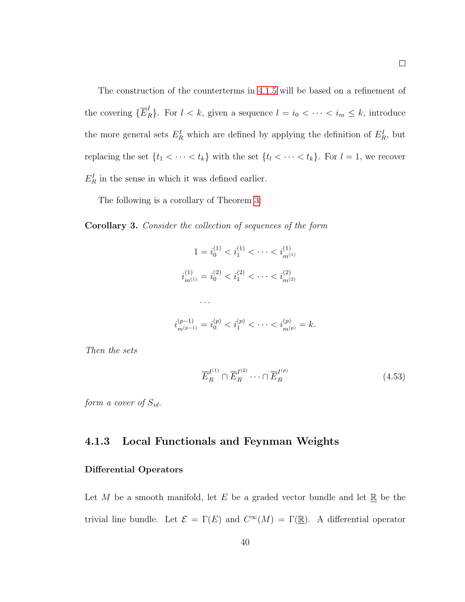The construction of the counterterms in [4.1.5](#page-56-0) will be based on a refinement of the covering  $\{\overline{E}_R^I\}$ . For  $l < k$ , given a sequence  $l = i_0 < \cdots < i_m \leq k$ , introduce the more general sets  $E_R^I$  which are defined by applying the definition of  $E_R^I$ , but replacing the set  $\{t_1 < \cdots < t_k\}$  with the set  $\{t_l < \cdots < t_k\}$ . For  $l = 1$ , we recover  $E_R^I$  in the sense in which it was defined earlier.

The following is a corollary of Theorem [3:](#page-42-1)

<span id="page-44-0"></span>Corollary 3. Consider the collection of sequences of the form

$$
1 = i_0^{(1)} < i_1^{(1)} < \dots < i_{m^{(1)}}^{(1)}
$$
\n
$$
i_{m^{(1)}}^{(1)} = i_0^{(2)} < i_1^{(2)} < \dots < i_{m^{(2)}}^{(2)}
$$
\n
$$
\dots
$$
\n
$$
i_{m^{(p-1)}}^{(p-1)} = i_0^{(p)} < i_1^{(p)} < \dots < i_{m^{(p)}}^{(p)} = k.
$$

Then the sets

$$
\overline{E}_R^{I^{(1)}} \cap \overline{E}_R^{I^{(2)}} \cdots \cap \overline{E}_R^{I^{(p)}} \tag{4.53}
$$

form a cover of  $S_{id}$ .

### 4.1.3 Local Functionals and Feynman Weights

### Differential Operators

Let M be a smooth manifold, let E be a graded vector bundle and let  $\mathbb{R}$  be the trivial line bundle. Let  $\mathcal{E} = \Gamma(E)$  and  $C^{\infty}(M) = \Gamma(\mathbb{R})$ . A differential operator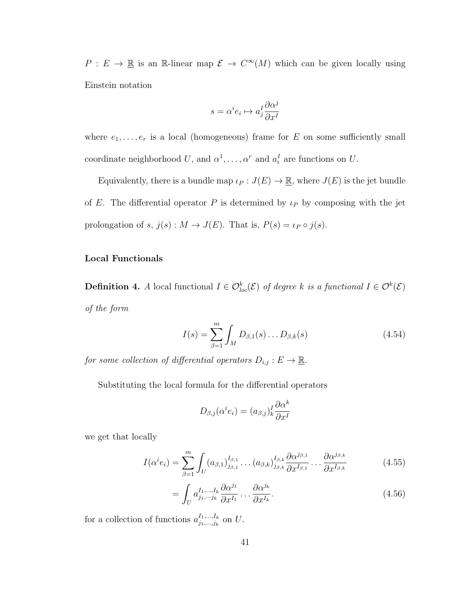$P: E \to \mathbb{R}$  is an R-linear map  $\mathcal{E} \to C^{\infty}(M)$  which can be given locally using Einstein notation

$$
s = \alpha^i e_i \mapsto a_j^I \frac{\partial \alpha^j}{\partial x^I}
$$

where  $e_1, \ldots, e_r$  is a local (homogeneous) frame for E on some sufficiently small coordinate neighborhood U, and  $\alpha^1, \ldots, \alpha^r$  and  $a_i^I$  are functions on U.

Equivalently, there is a bundle map  $\iota_P : J(E) \to \mathbb{R}$ , where  $J(E)$  is the jet bundle of E. The differential operator P is determined by  $\iota_P$  by composing with the jet prolongation of s,  $j(s) : M \to J(E)$ . That is,  $P(s) = \iota_P \circ j(s)$ .

#### Local Functionals

**Definition 4.** A local functional  $I \in \mathcal{O}_{loc}^k(\mathcal{E})$  of degree k is a functional  $I \in \mathcal{O}^k(\mathcal{E})$ of the form

$$
I(s) = \sum_{\beta=1}^{m} \int_{M} D_{\beta,1}(s) \dots D_{\beta,k}(s)
$$
 (4.54)

for some collection of differential operators  $D_{i,j}: E \to \mathbb{R}$ .

Substituting the local formula for the differential operators

$$
D_{\beta,j}(\alpha^i e_i) = (a_{\beta,j})_k^I \frac{\partial \alpha^k}{\partial x^I}
$$

we get that locally

$$
I(\alpha^{i} e_{i}) = \sum_{\beta=1}^{m} \int_{U} (a_{\beta,1})_{j_{\beta,1}}^{I_{\beta,1}} \dots (a_{\beta,k})_{j_{\beta,k}}^{I_{\beta,k}} \frac{\partial \alpha^{j_{\beta,1}}}{\partial x^{I_{\beta,1}}} \dots \frac{\partial \alpha^{j_{\beta,k}}}{\partial x^{I_{\beta,k}}}
$$
(4.55)

$$
= \int_{U} a_{j_1,\dots,j_k}^{I_1,\dots,I_k} \frac{\partial \alpha^{j_1}}{\partial x^{I_1}} \dots \frac{\partial \alpha^{j_k}}{\partial x^{I_k}}.
$$
\n(4.56)

for a collection of functions  $a_{i_1,\ldots,i_k}^{I_1,\ldots,I_k}$  $j_1,...,j_k$  on  $U$ .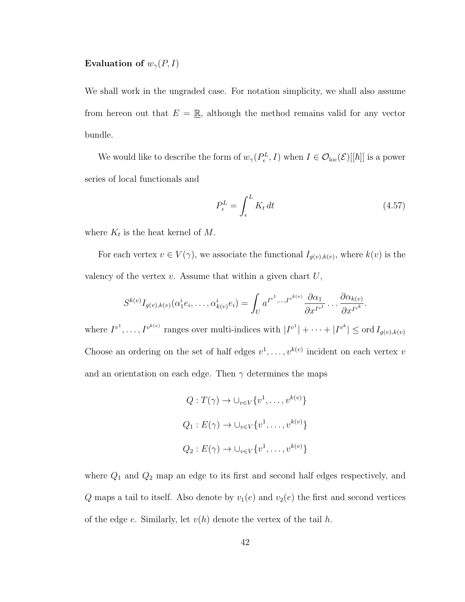### Evaluation of  $w_{\gamma}(P, I)$

We shall work in the ungraded case. For notation simplicity, we shall also assume from hereon out that  $E = \mathbb{R}$ , although the method remains valid for any vector bundle.

We would like to describe the form of  $w_{\gamma}(P_{\epsilon}^L, I)$  when  $I \in \mathcal{O}_{\text{loc}}(\mathcal{E})[[\hbar]]$  is a power series of local functionals and

$$
P_{\epsilon}^{L} = \int_{\epsilon}^{L} K_t dt
$$
 (4.57)

where  $K_t$  is the heat kernel of M.

For each vertex  $v \in V(\gamma)$ , we associate the functional  $I_{g(v),k(v)}$ , where  $k(v)$  is the valency of the vertex  $v$ . Assume that within a given chart  $U$ ,

$$
S^{k(v)}I_{g(v),k(v)}(\alpha_1^i e_i,\ldots,\alpha_{k(v)}^i e_i)=\int_U a^{I^{v^1},\ldots,I^{v^{k(v)}}}\frac{\partial \alpha_1}{\partial x^{I^{v^1}}}\ldots\frac{\partial \alpha_{k(v)}}{\partial x^{I^{v^k}}}.
$$

where  $I^{v^1}, \ldots, I^{v^{k(v)}}$  ranges over multi-indices with  $|I^{v^1}| + \cdots + |I^{v^k}| \leq \text{ord } I_{g(v),k(v)}$ Choose an ordering on the set of half edges  $v^1, \ldots, v^{k(v)}$  incident on each vertex v and an orientation on each edge. Then  $\gamma$  determines the maps

$$
Q: T(\gamma) \to \bigcup_{v \in V} \{v^1, \dots, v^{k(v)}\}
$$
  

$$
Q_1: E(\gamma) \to \bigcup_{v \in V} \{v^1, \dots, v^{k(v)}\}
$$
  

$$
Q_2: E(\gamma) \to \bigcup_{v \in V} \{v^1, \dots, v^{k(v)}\}
$$

where  $Q_1$  and  $Q_2$  map an edge to its first and second half edges respectively, and Q maps a tail to itself. Also denote by  $v_1(e)$  and  $v_2(e)$  the first and second vertices of the edge e. Similarly, let  $v(h)$  denote the vertex of the tail h.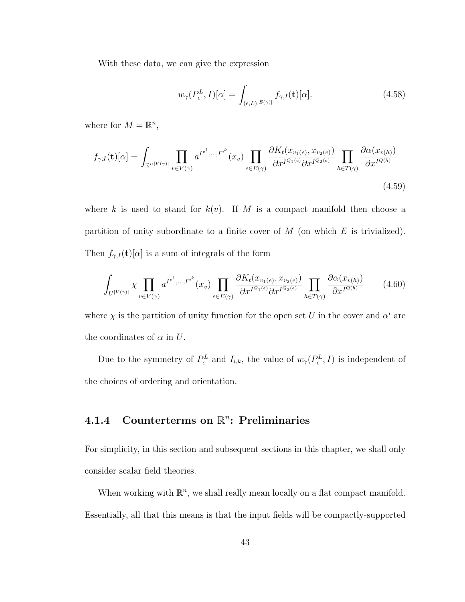With these data, we can give the expression

<span id="page-47-1"></span>
$$
w_{\gamma}(P_{\epsilon}^{L}, I)[\alpha] = \int_{(\epsilon, L)^{|E(\gamma)|}} f_{\gamma, I}(\mathbf{t})[\alpha]. \tag{4.58}
$$

where for  $M = \mathbb{R}^n$ ,

$$
f_{\gamma,I}(\mathbf{t})[\alpha] = \int_{\mathbb{R}^{n|V(\gamma)|}} \prod_{v \in V(\gamma)} a^{I^{v^1},...,I^{v^k}}(x_v) \prod_{e \in E(\gamma)} \frac{\partial K_t(x_{v_1(e)}, x_{v_2(e)})}{\partial x^{I^{Q_1(e)}} \partial x^{I^{Q_2(e)}}} \prod_{h \in T(\gamma)} \frac{\partial \alpha(x_{v(h)})}{\partial x^{I^{Q(h)}}}
$$
(4.59)

where k is used to stand for  $k(v)$ . If M is a compact manifold then choose a partition of unity subordinate to a finite cover of  $M$  (on which  $E$  is trivialized). Then  $f_{\gamma,I}(\mathbf{t})[\alpha]$  is a sum of integrals of the form

$$
\int_{U^{|V(\gamma)|}} \chi \prod_{v \in V(\gamma)} a^{I^{v^1}, \dots, I^{v^k}}(x_v) \prod_{e \in E(\gamma)} \frac{\partial K_t(x_{v_1(e)}, x_{v_2(e)})}{\partial x^{I^{Q_1(e)}} \partial x^{I^{Q_2(e)}}} \prod_{h \in T(\gamma)} \frac{\partial \alpha(x_{v(h)})}{\partial x^{I^{Q(h)}}}
$$
(4.60)

where  $\chi$  is the partition of unity function for the open set U in the cover and  $\alpha^{i}$  are the coordinates of  $\alpha$  in U.

Due to the symmetry of  $P_{\epsilon}^L$  and  $I_{i,k}$ , the value of  $w_{\gamma}(P_{\epsilon}^L, I)$  is independent of the choices of ordering and orientation.

# <span id="page-47-0"></span>4.1.4 Counterterms on  $\mathbb{R}^n$ : Preliminaries

For simplicity, in this section and subsequent sections in this chapter, we shall only consider scalar field theories.

When working with  $\mathbb{R}^n$ , we shall really mean locally on a flat compact manifold. Essentially, all that this means is that the input fields will be compactly-supported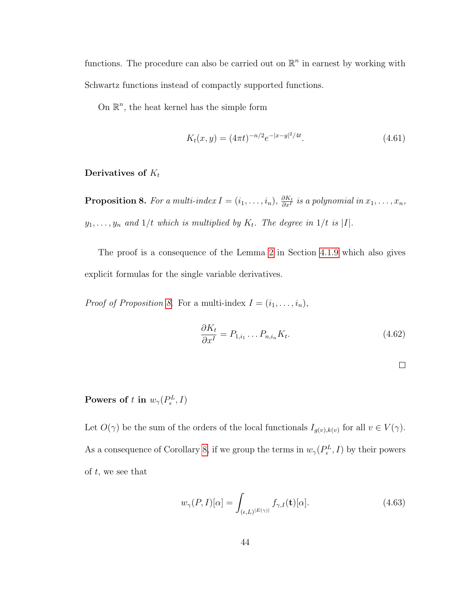functions. The procedure can also be carried out on  $\mathbb{R}^n$  in earnest by working with Schwartz functions instead of compactly supported functions.

On  $\mathbb{R}^n$ , the heat kernel has the simple form

<span id="page-48-1"></span>
$$
K_t(x,y) = (4\pi t)^{-n/2} e^{-|x-y|^2/4t}.
$$
\n(4.61)

#### <span id="page-48-0"></span>Derivatives of  $K_t$

**Proposition 8.** For a multi-index  $I = (i_1, \ldots, i_n)$ ,  $\frac{\partial K_t}{\partial x^I}$  $\frac{\partial K_t}{\partial x^I}$  is a polynomial in  $x_1, \ldots, x_n,$  $y_1, \ldots, y_n$  and  $1/t$  which is multiplied by  $K_t$ . The degree in  $1/t$  is |I|.

The proof is a consequence of the Lemma [2](#page-74-0) in Section [4.1.9](#page-74-1) which also gives explicit formulas for the single variable derivatives.

*Proof of Proposition [8.](#page-48-0)* For a multi-index  $I = (i_1, \ldots, i_n)$ ,

$$
\frac{\partial K_t}{\partial x^I} = P_{1,i_1} \dots P_{n,i_n} K_t.
$$
\n(4.62)

## Powers of t in  $w_{\gamma}(P_{\epsilon}^L, I)$

Let  $O(\gamma)$  be the sum of the orders of the local functionals  $I_{g(v),k(v)}$  for all  $v \in V(\gamma)$ . As a consequence of Corollary [8,](#page-48-0) if we group the terms in  $w_{\gamma}(P_{\epsilon}^{L}, I)$  by their powers of  $t$ , we see that

$$
w_{\gamma}(P,I)[\alpha] = \int_{(\epsilon,L)^{|E(\gamma)|}} f_{\gamma,I}(\mathbf{t})[\alpha]. \tag{4.63}
$$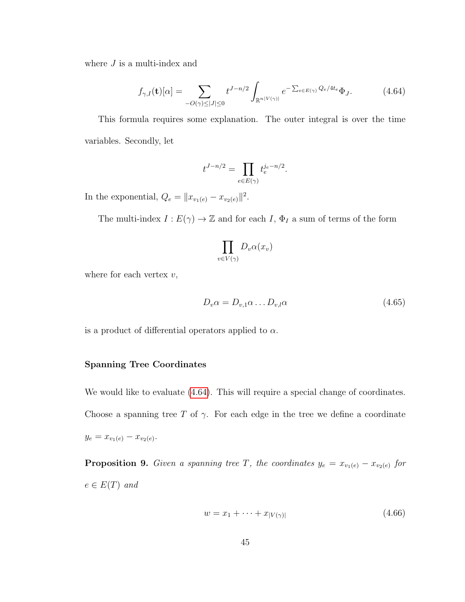where  $J$  is a multi-index and

$$
f_{\gamma,I}(\mathbf{t})[\alpha] = \sum_{-O(\gamma)\le|J|\le 0} t^{J-n/2} \int_{\mathbb{R}^{n|V(\gamma)|}} e^{-\sum_{e\in E(\gamma)} Q_e/4t_e} \Phi_J.
$$
 (4.64)

This formula requires some explanation. The outer integral is over the time variables. Secondly, let

<span id="page-49-0"></span>
$$
t^{J-n/2} = \prod_{e \in E(\gamma)} t_e^{j_e - n/2}.
$$

In the exponential,  $Q_e = ||x_{v_1(e)} - x_{v_2(e)}||^2$ .

The multi-index  $I : E(\gamma) \to \mathbb{Z}$  and for each  $I, \Phi_I$  a sum of terms of the form

$$
\prod_{v \in V(\gamma)} D_v \alpha(x_v)
$$

where for each vertex  $v$ ,

$$
D_v \alpha = D_{v,1} \alpha \dots D_{v,l} \alpha \tag{4.65}
$$

is a product of differential operators applied to  $\alpha$ .

#### Spanning Tree Coordinates

We would like to evaluate  $(4.64)$ . This will require a special change of coordinates. Choose a spanning tree T of  $\gamma$ . For each edge in the tree we define a coordinate  $y_e = x_{v_1(e)} - x_{v_2(e)}$ .

**Proposition 9.** Given a spanning tree T, the coordinates  $y_e = x_{v_1(e)} - x_{v_2(e)}$  for  $e \in E(T)$  and

$$
w = x_1 + \dots + x_{|V(\gamma)|} \tag{4.66}
$$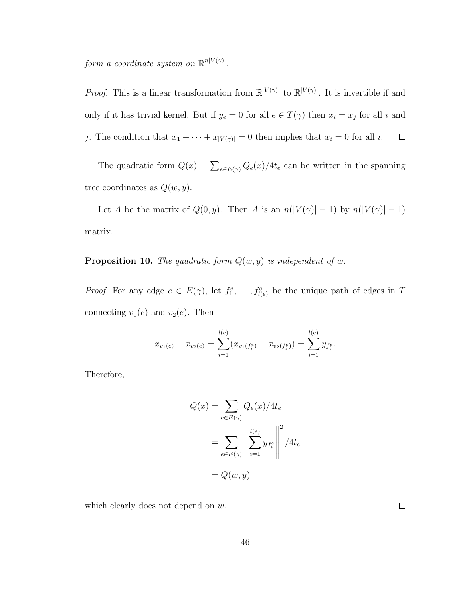form a coordinate system on  $\mathbb{R}^{n|V(\gamma)|}$ .

*Proof.* This is a linear transformation from  $\mathbb{R}^{|V(\gamma)|}$  to  $\mathbb{R}^{|V(\gamma)|}$ . It is invertible if and only if it has trivial kernel. But if  $y_e = 0$  for all  $e \in T(\gamma)$  then  $x_i = x_j$  for all i and j. The condition that  $x_1 + \cdots + x_{|V(\gamma)|} = 0$  then implies that  $x_i = 0$  for all i.  $\Box$ 

The quadratic form  $Q(x) = \sum_{e \in E(\gamma)} Q_e(x)/4t_e$  can be written in the spanning tree coordinates as  $Q(w, y)$ .

Let A be the matrix of  $Q(0, y)$ . Then A is an  $n(|V(\gamma)| - 1)$  by  $n(|V(\gamma)| - 1)$ matrix.

<span id="page-50-0"></span>**Proposition 10.** The quadratic form  $Q(w, y)$  is independent of w.

*Proof.* For any edge  $e \in E(\gamma)$ , let  $f_1^e, \ldots, f_{l(e)}^e$  be the unique path of edges in T connecting  $v_1(e)$  and  $v_2(e)$ . Then

$$
x_{v_1(e)} - x_{v_2(e)} = \sum_{i=1}^{l(e)} (x_{v_1(f_i^e)} - x_{v_2(f_i^e)}) = \sum_{i=1}^{l(e)} y_{f_i^e}.
$$

Therefore,

$$
Q(x) = \sum_{e \in E(\gamma)} Q_e(x)/4t_e
$$
  
= 
$$
\sum_{e \in E(\gamma)} \left\| \sum_{i=1}^{l(e)} y_{f_i^e} \right\|^2 / 4t_e
$$
  
= 
$$
Q(w, y)
$$

which clearly does not depend on  $w$ .

 $\Box$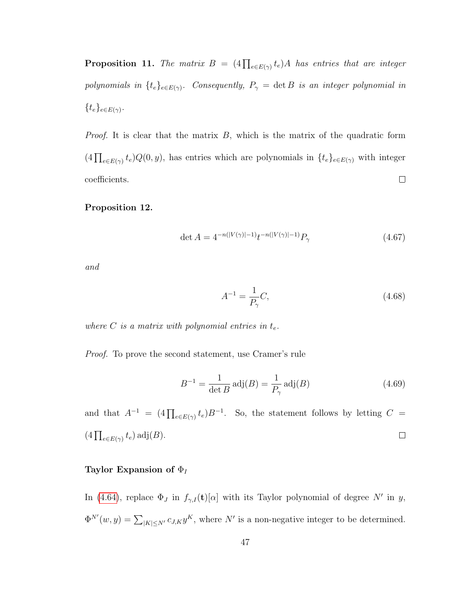**Proposition 11.** The matrix  $B = (4 \prod_{e \in E(\gamma)} t_e)A$  has entries that are integer polynomials in  $\{t_e\}_{e\in E(\gamma)}$ . Consequently,  $P_\gamma = \det B$  is an integer polynomial in  $\{t_e\}_{e \in E(\gamma)}$ .

*Proof.* It is clear that the matrix  $B$ , which is the matrix of the quadratic form  $(4\prod_{e\in E(\gamma)}t_e)Q(0, y)$ , has entries which are polynomials in  $\{t_e\}_{e\in E(\gamma)}$  with integer coefficients.  $\Box$ 

#### Proposition 12.

$$
\det A = 4^{-n(|V(\gamma)|-1)} t^{-n(|V(\gamma)|-1)} P_{\gamma}
$$
\n(4.67)

and

$$
A^{-1} = \frac{1}{P_{\gamma}} C,\t\t(4.68)
$$

where  $C$  is a matrix with polynomial entries in  $t_e$ .

Proof. To prove the second statement, use Cramer's rule

$$
B^{-1} = \frac{1}{\det B} \operatorname{adj}(B) = \frac{1}{P_{\gamma}} \operatorname{adj}(B)
$$
\n(4.69)

and that  $A^{-1} = (4 \prod_{e \in E(\gamma)} t_e) B^{-1}$ . So, the statement follows by letting  $C =$  $(4 \prod_{e \in E(\gamma)} t_e)$  adj $(B)$ .  $\Box$ 

#### Taylor Expansion of  $\Phi_I$

In [\(4.64\)](#page-49-0), replace  $\Phi_J$  in  $f_{\gamma,I}(\mathbf{t})[\alpha]$  with its Taylor polynomial of degree N' in y,  $\Phi^{N'}(w, y) = \sum_{|K| \le N'} c_{J,K} y^K$ , where N' is a non-negative integer to be determined.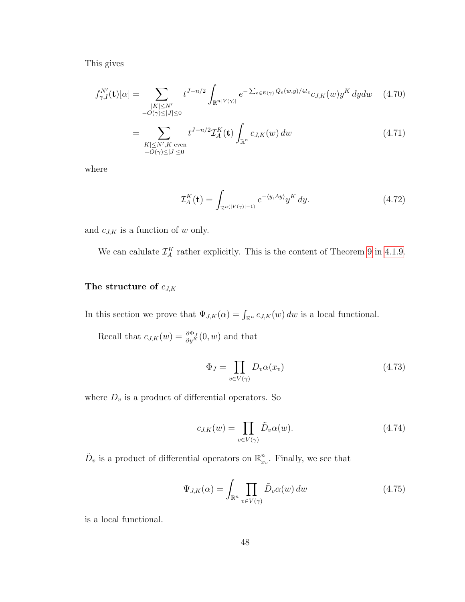This gives

$$
f_{\gamma,I}^{N'}(\mathbf{t})[\alpha] = \sum_{\substack{|K| \le N' \\ -O(\gamma) \le |J| \le 0}} t^{J-n/2} \int_{\mathbb{R}^{n|V(\gamma)|}} e^{-\sum_{e \in E(\gamma)} Q_e(w,y)/4t_e} c_{J,K}(w) y^K dy dw \quad (4.70)
$$

$$
= \sum_{\substack{|K| \le N', K \text{ even} \\ -O(\gamma) \le |J| \le 0}} t^{J-n/2} \mathcal{I}_A^K(\mathbf{t}) \int_{\mathbb{R}^n} c_{J,K}(w) dw \tag{4.71}
$$

where

<span id="page-52-0"></span>
$$
\mathcal{I}_A^K(\mathbf{t}) = \int_{\mathbb{R}^{n(|V(\gamma)|-1)}} e^{-\langle y, Ay \rangle} y^K \, dy. \tag{4.72}
$$

and  $c_{J,K}$  is a function of w only.

We can calulate  $\mathcal{I}_A^K$  rather explicitly. This is the content of Theorem [9](#page-75-0) in [4.1.9.](#page-74-1)

### The structure of  $c_{J,K}$

In this section we prove that  $\Psi_{J,K}(\alpha) = \int_{\mathbb{R}^n} c_{J,K}(w) dw$  is a local functional.

Recall that  $c_{J,K}(w) = \frac{\partial \Phi_J}{\partial y^K}(0, w)$  and that

$$
\Phi_J = \prod_{v \in V(\gamma)} D_v \alpha(x_v) \tag{4.73}
$$

where  $D_v$  is a product of differential operators. So

$$
c_{J,K}(w) = \prod_{v \in V(\gamma)} \tilde{D}_v \alpha(w).
$$
 (4.74)

 $\tilde{D}_v$  is a product of differential operators on  $\mathbb{R}^n_x$  $_{x_v}^n$ . Finally, we see that

$$
\Psi_{J,K}(\alpha) = \int_{\mathbb{R}^n} \prod_{v \in V(\gamma)} \tilde{D}_v \alpha(w) \, dw \tag{4.75}
$$

is a local functional.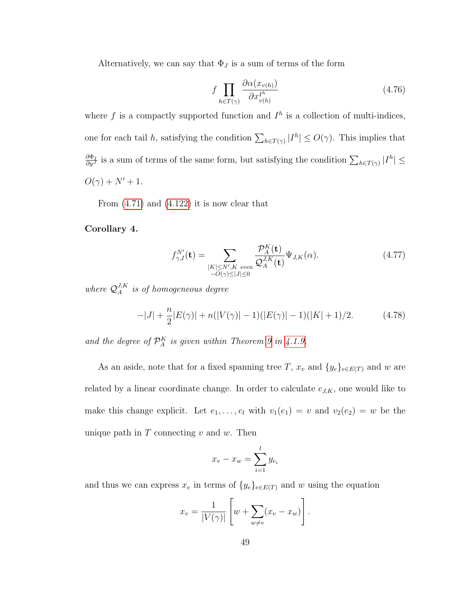Alternatively, we can say that  $\Phi_J$  is a sum of terms of the form

$$
f \prod_{h \in T(\gamma)} \frac{\partial \alpha(x_{v(h)})}{\partial x_{v(h)}^{I^h}}
$$
(4.76)

where f is a compactly supported function and  $I<sup>h</sup>$  is a collection of multi-indices, one for each tail h, satisfying the condition  $\sum_{h \in T(\gamma)} |I^h| \leq O(\gamma)$ . This implies that  $\frac{\partial \Phi_I}{\partial y^J}$  is a sum of terms of the same form, but satisfying the condition  $\sum_{h \in T(\gamma)} |I^h| \leq$  $O(\gamma)+N'+1.$ 

<span id="page-53-0"></span>From  $(4.71)$  and  $(4.122)$  it is now clear that

#### Corollary 4.

$$
f_{\gamma,I}^{N'}(\mathbf{t}) = \sum_{\substack{|K| \le N', K \ even}} \frac{\mathcal{P}_A^K(\mathbf{t})}{\mathcal{Q}_A^{J,K}(\mathbf{t})} \Psi_{J,K}(\alpha). \tag{4.77}
$$

where  $\mathcal{Q}_{A}^{J,K}$  $\frac{J,K}{A}$  is of homogeneous degree

$$
-|J| + \frac{n}{2}|E(\gamma)| + n(|V(\gamma)| - 1)(|E(\gamma)| - 1)(|K| + 1)/2.
$$
 (4.78)

and the degree of  $\mathcal{P}_A^K$  is given within Theorem [9](#page-75-0) in [4.1.9.](#page-74-1)

As an aside, note that for a fixed spanning tree T,  $x_v$  and  $\{y_e\}_{e \in E(T)}$  and w are related by a linear coordinate change. In order to calculate  $c_{J,K}$ , one would like to make this change explicit. Let  $e_1, \ldots, e_l$  with  $v_1(e_1) = v$  and  $v_2(e_2) = w$  be the unique path in  $T$  connecting  $v$  and  $w$ . Then

$$
x_v - x_w = \sum_{i=1}^l y_{e_i}
$$

and thus we can express  $x_v$  in terms of  $\{y_e\}_{e \in E(T)}$  and w using the equation

$$
x_v = \frac{1}{|V(\gamma)|} \left[ w + \sum_{w \neq v} (x_v - x_w) \right].
$$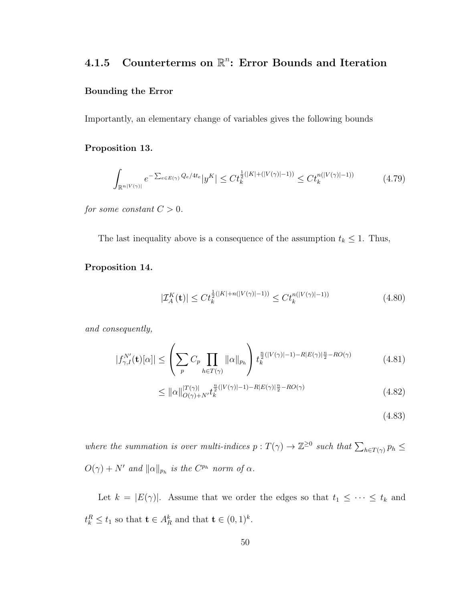# 4.1.5 Counterterms on  $\mathbb{R}^n$ : Error Bounds and Iteration

#### Bounding the Error

<span id="page-54-0"></span>Importantly, an elementary change of variables gives the following bounds

#### Proposition 13.

$$
\int_{\mathbb{R}^{n|V(\gamma)|}} e^{-\sum_{e \in E(\gamma)} Q_e/4t_e} |y^K| \le Ct_k^{\frac{1}{2}(|K| + (|V(\gamma)| - 1))} \le Ct_k^{n(|V(\gamma)| - 1)} \tag{4.79}
$$

for some constant  $C > 0$ .

The last inequality above is a consequence of the assumption  $t_k \leq 1$ . Thus,

#### <span id="page-54-1"></span>Proposition 14.

$$
|\mathcal{I}_A^K(\mathbf{t})| \le C t_k^{\frac{1}{2}(|K| + n(|V(\gamma)| - 1))} \le C t_k^{n(|V(\gamma)| - 1)} \tag{4.80}
$$

and consequently,

$$
|f_{\gamma,I}^{N'}(\mathbf{t})[\alpha]| \leq \left(\sum_p C_p \prod_{h \in T(\gamma)} ||\alpha||_{p_h}\right) t_k^{\frac{n}{2}(|V(\gamma)|-1) - R|E(\gamma)|\frac{n}{2} - RO(\gamma)}
$$
(4.81)

$$
\leq \|\alpha\|_{O(\gamma)+N'}^{T(\gamma)} t_k^{\frac{n}{2}(|V(\gamma)|-1)-R|E(\gamma)|\frac{n}{2}-RO(\gamma)} \tag{4.82}
$$

(4.83)

where the summation is over multi-indices  $p: T(\gamma) \to \mathbb{Z}^{\geq 0}$  such that  $\sum_{h \in T(\gamma)} p_h \leq$  $O(\gamma) + N'$  and  $\|\alpha\|_{p_h}$  is the  $C^{p_h}$  norm of  $\alpha$ .

Let  $k = |E(\gamma)|$ . Assume that we order the edges so that  $t_1 \leq \cdots \leq t_k$  and  $t_k^R \leq t_1$  so that  $\mathbf{t} \in A_R^k$  and that  $\mathbf{t} \in (0,1)^k$ .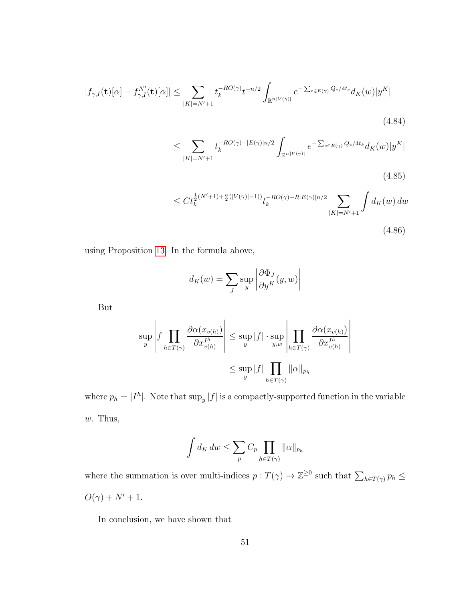$$
|f_{\gamma,I}(\mathbf{t})[\alpha] - f_{\gamma,I}^{N'}(\mathbf{t})[\alpha]| \le \sum_{|K|=N'+1} t_k^{-RO(\gamma)} t^{-n/2} \int_{\mathbb{R}^{n|V(\gamma)|}} e^{-\sum_{e \in E(\gamma)} Q_e/4t_e} d_K(w) |y^K|
$$
\n(4.84)

$$
\leq \sum_{|K|=N'+1} t_k^{-RO(\gamma)-|E(\gamma)|n/2} \int_{\mathbb{R}^{n|V(\gamma)|}} e^{-\sum_{e\in E(\gamma)} Q_e/4t_k} d_K(w)|y^K|
$$

$$
(4.85)
$$

$$
\leq Ct_k^{\frac{1}{2}(N'+1)+\frac{n}{2}(|V(\gamma)|-1))}t_k^{-RO(\gamma)-R|E(\gamma)|n/2}\sum_{|K|=N'+1}\int d_K(w)\,dw
$$
\n(4.86)

using Proposition [13.](#page-54-0) In the formula above,

$$
d_K(w) = \sum_J \sup_y \left| \frac{\partial \Phi_J}{\partial y^K}(y, w) \right|
$$

But

$$
\sup_{y} \left| f \prod_{h \in T(\gamma)} \frac{\partial \alpha(x_{v(h)})}{\partial x_{v(h)}^{I^h}} \right| \leq \sup_{y} |f| \cdot \sup_{y,w} \left| \prod_{h \in T(\gamma)} \frac{\partial \alpha(x_{v(h)})}{\partial x_{v(h)}^{I^h}} \right|
$$
  

$$
\leq \sup_{y} |f| \prod_{h \in T(\gamma)} ||\alpha||_{p_h}
$$

where  $p_h = |I^h|$ . Note that  $\sup_y |f|$  is a compactly-supported function in the variable w. Thus,

$$
\int d_K dw \leq \sum_p C_p \prod_{h \in T(\gamma)} ||\alpha||_{p_h}
$$

where the summation is over multi-indices  $p: T(\gamma) \to \mathbb{Z}^{\geq 0}$  such that  $\sum_{h \in T(\gamma)} p_h \leq$  $O(\gamma)+N'+1.$ 

In conclusion, we have shown that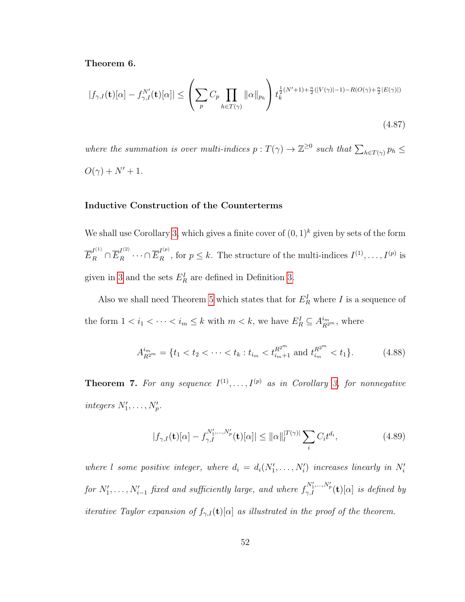#### <span id="page-56-1"></span>Theorem 6.

$$
|f_{\gamma,I}(\mathbf{t})[\alpha] - f_{\gamma,I}^{N'}(\mathbf{t})[\alpha]| \leq \left(\sum_p C_p \prod_{h \in T(\gamma)} ||\alpha||_{p_h}\right) t_k^{\frac{1}{2}(N'+1) + \frac{n}{2}(|V(\gamma)|-1) - R(O(\gamma) + \frac{n}{2}|E(\gamma)|)}\tag{4.87}
$$

where the summation is over multi-indices  $p: T(\gamma) \to \mathbb{Z}^{\geq 0}$  such that  $\sum_{h \in T(\gamma)} p_h \leq$  $O(\gamma) + N' + 1.$ 

#### <span id="page-56-0"></span>Inductive Construction of the Counterterms

We shall use Corollary [3,](#page-44-0) which gives a finite cover of  $(0, 1)^k$  given by sets of the form  $\overline{E}_R^{I^{(1)}} \cap \overline{E}_R^{I^{(2)}} \cdots \cap \overline{E}_R^{I^{(p)}},$  for  $p \leq k$ . The structure of the multi-indices  $I^{(1)}, \ldots, I^{(p)}$  is given in [3](#page-44-0) and the sets  $E_R^I$  are defined in Definition [3.](#page-41-2)

Also we shall need Theorem [5](#page-43-0) which states that for  $E_R^I$  where I is a sequence of the form  $1 < i_1 < \cdots < i_m \leq k$  with  $m < k$ , we have  $E_R^I \subseteq A_{R^{2m}}^{i_m}$ , where

$$
A_{R^{2m}}^{i_m} = \{t_1 < t_2 < \dots < t_k : t_{i_m} < t_{i_m+1}^{R^{2m}} \text{ and } t_{i_m}^{R^{2m}} < t_1\}. \tag{4.88}
$$

<span id="page-56-2"></span>**Theorem 7.** For any sequence  $I^{(1)}, \ldots, I^{(p)}$  as in Corollary [3,](#page-44-0) for nonnegative integers  $N'_1, \ldots, N'_p$ .

$$
|f_{\gamma,I}(\mathbf{t})[\alpha] - f_{\gamma,I}^{N_1',...,N_p'}(\mathbf{t})[\alpha]| \le ||\alpha||_l^{|T(\gamma)|} \sum_i C_i t^{d_i}, \qquad (4.89)
$$

where l some positive integer, where  $d_i = d_i(N'_1, \ldots, N'_i)$  increases linearly in  $N'_i$ for  $N'_1,\ldots,N'_{i-1}$  fixed and sufficiently large, and where  $f_{\gamma,I}^{N'_1,\ldots,N'_p}(\mathbf{t})[\alpha]$  is defined by iterative Taylor expansion of  $f_{\gamma,I}(\mathbf{t})[\alpha]$  as illustrated in the proof of the theorem.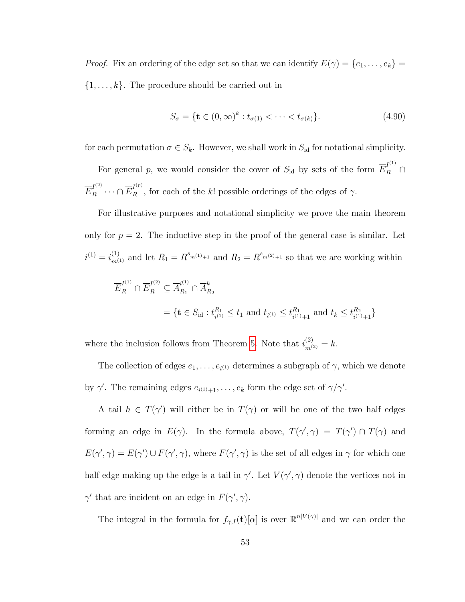*Proof.* Fix an ordering of the edge set so that we can identify  $E(\gamma) = \{e_1, \ldots, e_k\}$  $\{1, \ldots, k\}$ . The procedure should be carried out in

$$
S_{\sigma} = \{ \mathbf{t} \in (0, \infty)^{k} : t_{\sigma(1)} < \dots < t_{\sigma(k)} \}. \tag{4.90}
$$

for each permutation  $\sigma \in S_k$ . However, we shall work in  $S_{\rm id}$  for notational simplicity.

For general p, we would consider the cover of  $S_{\rm id}$  by sets of the form  $\overline{E}_R^{I^{(1)}}$  $\overline{E}_R^{I^{(2)}} \cdots \cap \overline{E}_R^{I^{(p)}}$ , for each of the k! possible orderings of the edges of  $\gamma$ .

For illustrative purposes and notational simplicity we prove the main theorem only for  $p = 2$ . The inductive step in the proof of the general case is similar. Let  $i^{(1)} = i^{(1)}_{m^{(1)}}$  and let  $R_1 = R^{s_{m^{(1)}+1}}$  and  $R_2 = R^{s_{m^{(2)}+1}}$  so that we are working within

$$
\overline{E}_R^{I^{(1)}} \cap \overline{E}_R^{I^{(2)}} \subseteq \overline{A}_{R_1}^{i^{(1)}} \cap \overline{A}_{R_2}^k
$$
\n
$$
= \{ \mathbf{t} \in S_{\text{id}} : t_{i^{(1)}}^{R_1} \le t_1 \text{ and } t_{i^{(1)}} \le t_{i^{(1)}+1}^{R_1} \text{ and } t_k \le t_{i^{(1)}+1}^{R_2} \}
$$

where the inclusion follows from Theorem [5.](#page-43-0) Note that  $i_{m(2)}^{(2)} = k$ .

The collection of edges  $e_1, \ldots, e_{i^{(1)}}$  determines a subgraph of  $\gamma$ , which we denote by  $\gamma'$ . The remaining edges  $e_{i^{(1)}+1}, \ldots, e_k$  form the edge set of  $\gamma/\gamma'$ .

A tail  $h \in T(\gamma')$  will either be in  $T(\gamma)$  or will be one of the two half edges forming an edge in  $E(\gamma)$ . In the formula above,  $T(\gamma', \gamma) = T(\gamma') \cap T(\gamma)$  and  $E(\gamma', \gamma) = E(\gamma') \cup F(\gamma', \gamma)$ , where  $F(\gamma', \gamma)$  is the set of all edges in  $\gamma$  for which one half edge making up the edge is a tail in  $\gamma'$ . Let  $V(\gamma', \gamma)$  denote the vertices not in  $\gamma'$  that are incident on an edge in  $F(\gamma', \gamma)$ .

The integral in the formula for  $f_{\gamma,I}(\mathbf{t})[\alpha]$  is over  $\mathbb{R}^{n|V(\gamma)|}$  and we can order the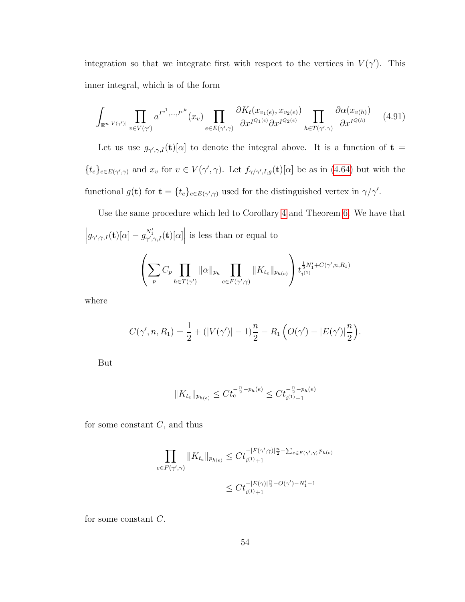integration so that we integrate first with respect to the vertices in  $V(\gamma')$ . This inner integral, which is of the form

$$
\int_{\mathbb{R}^{n|V(\gamma')|}} \prod_{v \in V(\gamma')} a^{I^{v^1}, \dots, I^{v^k}}(x_v) \prod_{e \in E(\gamma', \gamma)} \frac{\partial K_t(x_{v_1(e)}, x_{v_2(e)})}{\partial x^{I^{Q_1(e)}} \partial x^{I^{Q_2(e)}}} \prod_{h \in T(\gamma', \gamma)} \frac{\partial \alpha(x_{v(h)})}{\partial x^{I^{Q(h)}}} \tag{4.91}
$$

Let us use  $g_{\gamma',\gamma,I}(\mathbf{t})[\alpha]$  to denote the integral above. It is a function of  $\mathbf{t} =$  ${t_e}_{e \in E(\gamma', \gamma)}$  and  $x_v$  for  $v \in V(\gamma', \gamma)$ . Let  $f_{\gamma/\gamma', I,g}(\mathbf{t})[\alpha]$  be as in [\(4.64\)](#page-49-0) but with the functional  $g(\mathbf{t})$  for  $\mathbf{t} = \{t_e\}_{e \in E(\gamma', \gamma)}$  used for the distinguished vertex in  $\gamma/\gamma'$ .

Use the same procedure which led to Corollary [4](#page-53-0) and Theorem [6.](#page-56-1) We have that  $\left| g_{\gamma',\gamma,I}(\mathbf{t})[\alpha] - g_{\gamma',\gamma,I}^{N_1'}(\mathbf{t})[\alpha] \right|$  is less than or equal to

$$
\left(\sum_{p} C_{p} \prod_{h \in T(\gamma')} \|\alpha\|_{p_{h}} \prod_{e \in F(\gamma',\gamma)} \|K_{t_{e}}\|_{p_{h(e)}} \right) t_{i^{(1)}}^{\frac{1}{2}N'_{1} + C(\gamma',n,R_{1})}
$$

where

$$
C(\gamma', n, R_1) = \frac{1}{2} + (|V(\gamma')| - 1)\frac{n}{2} - R_1 \left( O(\gamma') - |E(\gamma')|^2 \frac{n}{2} \right).
$$

But

$$
||K_{t_e}||_{p_{h(e)}} \leq Ct_e^{-\frac{n}{2}-p_h(e)} \leq Ct_{i^{(1)}+1}^{-\frac{n}{2}-p_h(e)}
$$

for some constant  $C$ , and thus

$$
\prod_{e \in F(\gamma', \gamma)} \|K_{t_e}\|_{p_{h(e)}} \leq C t_{i^{(1)}+1}^{-|F(\gamma', \gamma)|\frac{n}{2} - \sum_{e \in F(\gamma', \gamma)} p_{h(e)}}
$$
  

$$
\leq C t_{i^{(1)}+1}^{-|E(\gamma)|\frac{n}{2} - O(\gamma') - N_1' - 1}
$$

for some constant C.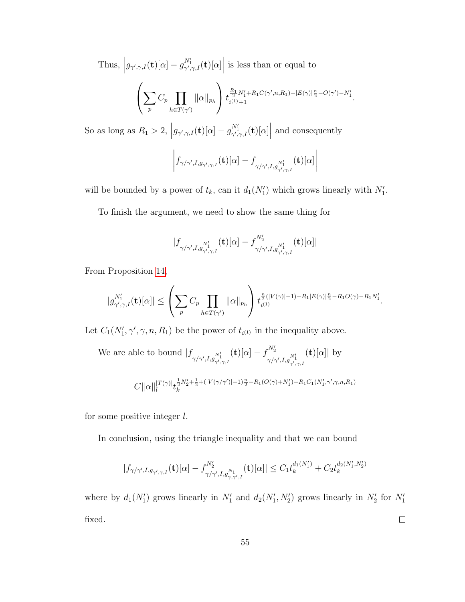Thus,  $|g_{\gamma',\gamma,I}(\mathbf{t})[\alpha]-g_{\gamma',\gamma,I}^{N_1'}(\mathbf{t})[\alpha]|$  is less than or equal to  $\sqrt{ }$  $\mathcal{L}$  $\sum$ p  $C_p$   $\prod$  $h \in T(\gamma')$  $\|\alpha\|_{p_h}$  $\setminus$  $\left| \begin{array}{l} \frac{R_1}{2} N_1' {+} R_1 C(\gamma', n, R_1) {-} |E(\gamma)| \frac{n}{2} {-} O(\gamma') {-} N_1' \\ i^{(1)} {+} 1 \end{array} \right. .$ 

So as long as  $R_1 > 2$ ,  $\left| g_{\gamma',\gamma,I}(\mathbf{t})[\alpha] - g_{\gamma',\gamma,I}^{N_1'}(\mathbf{t})[\alpha] \right|$  and consequently

$$
\left|f_{\gamma/\gamma',I,g_{\gamma',\gamma,I}}(\mathbf{t})[\alpha]-f_{\gamma/\gamma',I,g_{\gamma',\gamma,I}^{N_1'}}(\mathbf{t})[\alpha]\right|
$$

will be bounded by a power of  $t_k$ , can it  $d_1(N'_1)$  which grows linearly with  $N'_1$ .

To finish the argument, we need to show the same thing for

$$
|f_{\gamma/\gamma',I,g^{N'_{1}}_{\gamma',\gamma,I}}(\mathbf{t})[\alpha]-f^{N'_{2}}_{\gamma/\gamma',I,g^{N'_{1}}_{\gamma',\gamma,I}}(\mathbf{t})[\alpha]|
$$

From Proposition [14,](#page-54-1)

$$
|g_{\gamma',\gamma,I}^{N_1'}(\mathbf{t})[\alpha]|\leq \left(\sum_p C_p \prod_{h\in T(\gamma')}\|\alpha\|_{p_h}\right)t_{i^{(1)}}^{\frac{n}{2}(|V(\gamma)|-1)-R_1|E(\gamma)|\frac{n}{2}-R_1O(\gamma)-R_1N_1'}.
$$

Let  $C_1(N'_1, \gamma', \gamma, n, R_1)$  be the power of  $t_{i^{(1)}}$  in the inequality above.

We are able to bound  $|f_{\gamma/\gamma',I,g_{\gamma',\gamma,I}^{N_1'}}$  $(\mathbf{t})[\alpha]-f^{N_2'}$  $\gamma/\gamma',$ I, $g^{N_1'}_{\gamma',\gamma,I}$  $(\mathbf{t})[\alpha]$  by  $C\|\alpha\|_l^{|T(\gamma)|}$  $\frac{1}{l}T(\gamma)\big|\frac{1}{l_{k}^{2}}N_{2}^{\prime}+\frac{1}{2}+(|V(\gamma/\gamma^{\prime})|-1)\frac{n}{2}-R_{1}(O(\gamma)+N_{1}^{\prime})+R_{1}C_{1}(N_{1}^{\prime},\gamma^{\prime},\gamma,n,R_{1})$ k

for some positive integer  $l$ .

In conclusion, using the triangle inequality and that we can bound

$$
|f_{\gamma/\gamma',I,g_{\gamma',\gamma,I}}(\mathbf{t})[\alpha]-f_{\gamma/\gamma',I,g_{\gamma,\gamma',I}^{N_1}}^{N_2'}(\mathbf{t})[\alpha]|\leq C_1t_k^{d_1(N_1')}+C_2t_k^{d_2(N_1',N_2')}
$$

where by  $d_1(N'_1)$  grows linearly in  $N'_1$  and  $d_2(N'_1, N'_2)$  grows linearly in  $N'_2$  for  $N'_1$ fixed.  $\Box$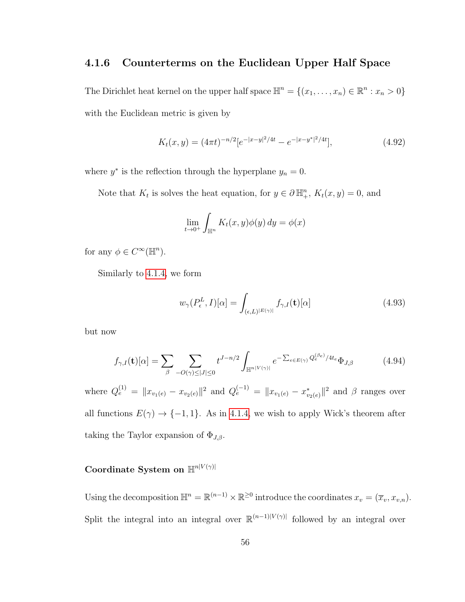## <span id="page-60-0"></span>4.1.6 Counterterms on the Euclidean Upper Half Space

The Dirichlet heat kernel on the upper half space  $\mathbb{H}^n = \{(x_1, \ldots, x_n) \in \mathbb{R}^n : x_n > 0\}$ with the Euclidean metric is given by

$$
K_t(x,y) = (4\pi t)^{-n/2} [e^{-|x-y|^2/4t} - e^{-|x-y^*|^2/4t}], \qquad (4.92)
$$

where  $y^*$  is the reflection through the hyperplane  $y_n = 0$ .

Note that  $K_t$  is solves the heat equation, for  $y \in \partial \mathbb{H}^n_+$ ,  $K_t(x, y) = 0$ , and

$$
\lim_{t \to 0^+} \int_{\mathbb{H}^n} K_t(x, y) \phi(y) \, dy = \phi(x)
$$

for any  $\phi \in C^{\infty}(\mathbb{H}^n)$ .

Similarly to [4.1.4,](#page-47-0) we form

$$
w_{\gamma}(P_{\epsilon}^{L}, I)[\alpha] = \int_{(\epsilon, L)^{|E(\gamma)|}} f_{\gamma, I}(\mathbf{t})[\alpha]
$$
(4.93)

but now

$$
f_{\gamma,I}(\mathbf{t})[\alpha] = \sum_{\beta} \sum_{-O(\gamma) \leq |J| \leq 0} t^{J-n/2} \int_{\mathbb{H}^{n|V(\gamma)|}} e^{-\sum_{e \in E(\gamma)} Q_e^{(\beta e)}/4t_e} \Phi_{J,\beta} \tag{4.94}
$$

where  $Q_e^{(1)} = ||x_{v_1(e)} - x_{v_2(e)}||^2$  and  $Q_e^{(-1)} = ||x_{v_1(e)} - x_{v_2(e)}^*||^2$  and  $\beta$  ranges over all functions  $E(\gamma) \rightarrow \{-1, 1\}$ . As in [4.1.4,](#page-47-0) we wish to apply Wick's theorem after taking the Taylor expansion of  $\Phi_{J,\beta}$ .

### Coordinate System on  $\mathbb{H}^{n|V(\gamma)|}$

Using the decomposition  $\mathbb{H}^n = \mathbb{R}^{(n-1)} \times \mathbb{R}^{\geq 0}$  introduce the coordinates  $x_v = (\overline{x}_v, x_{v,n})$ . Split the integral into an integral over  $\mathbb{R}^{(n-1)|V(\gamma)|}$  followed by an integral over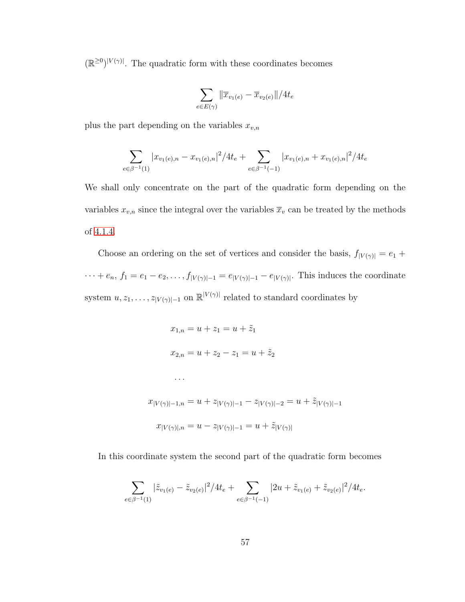$(\mathbb{R}^{\geq 0})^{|V(\gamma)|}$ . The quadratic form with these coordinates becomes

$$
\sum_{e \in E(\gamma)} \|\overline{x}_{v_1(e)} - \overline{x}_{v_2(e)}\| / 4t_e
$$

plus the part depending on the variables  $x_{v,n}$ 

$$
\sum_{e \in \beta^{-1}(1)} |x_{v_1(e),n} - x_{v_1(e),n}|^2/4t_e + \sum_{e \in \beta^{-1}(-1)} |x_{v_1(e),n} + x_{v_1(e),n}|^2/4t_e
$$

We shall only concentrate on the part of the quadratic form depending on the variables  $x_{v,n}$  since the integral over the variables  $\overline{x}_v$  can be treated by the methods of [4.1.4.](#page-47-0)

Choose an ordering on the set of vertices and consider the basis,  $f_{|V(\gamma)|} = e_1 +$  $\cdots + e_n$ ,  $f_1 = e_1 - e_2, \ldots, f_{|V(\gamma)|-1} = e_{|V(\gamma)|-1} - e_{|V(\gamma)|}$ . This induces the coordinate system  $u, z_1, \ldots, z_{|V(\gamma)|-1}$  on  $\mathbb{R}^{|V(\gamma)|}$  related to standard coordinates by

$$
x_{1,n} = u + z_1 = u + \tilde{z}_1
$$
  
\n
$$
x_{2,n} = u + z_2 - z_1 = u + \tilde{z}_2
$$
  
\n...  
\n
$$
x_{|V(\gamma)|-1,n} = u + z_{|V(\gamma)|-1} - z_{|V(\gamma)|-2} = u + \tilde{z}_{|V(\gamma)|-1}
$$
  
\n
$$
x_{|V(\gamma)|,n} = u - z_{|V(\gamma)|-1} = u + \tilde{z}_{|V(\gamma)|}
$$

In this coordinate system the second part of the quadratic form becomes

$$
\sum_{e \in \beta^{-1}(1)} |\tilde{z}_{v_1(e)} - \tilde{z}_{v_2(e)}|^2 / 4t_e + \sum_{e \in \beta^{-1}(-1)} |2u + \tilde{z}_{v_1(e)} + \tilde{z}_{v_2(e)}|^2 / 4t_e.
$$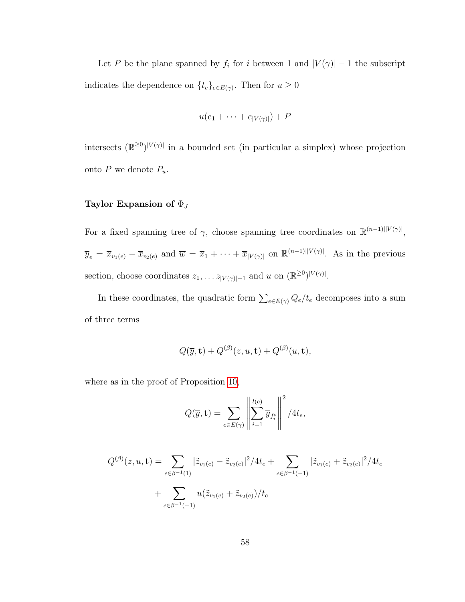Let P be the plane spanned by  $f_i$  for i between 1 and  $|V(\gamma)|-1$  the subscript indicates the dependence on  $\{t_e\}_{e \in E(\gamma)}$ . Then for  $u \geq 0$ 

$$
u(e_1+\cdots+e_{|V(\gamma)|})+P
$$

intersects  $(\mathbb{R}^{\geq 0})^{|V(\gamma)|}$  in a bounded set (in particular a simplex) whose projection onto  $P$  we denote  $P_u$ .

### Taylor Expansion of  $\Phi_J$

For a fixed spanning tree of  $\gamma$ , choose spanning tree coordinates on  $\mathbb{R}^{(n-1)||V(\gamma)|}$ ,  $\overline{y}_e = \overline{x}_{v_1(e)} - \overline{x}_{v_2(e)}$  and  $\overline{w} = \overline{x}_1 + \cdots + \overline{x}_{|V(\gamma)|}$  on  $\mathbb{R}^{(n-1)||V(\gamma)|}$ . As in the previous section, choose coordinates  $z_1, \ldots z_{|V(\gamma)|-1}$  and u on  $(\mathbb{R}^{\geq 0})^{|V(\gamma)|}$ .

In these coordinates, the quadratic form  $\sum_{e \in E(\gamma)} Q_e/t_e$  decomposes into a sum of three terms

$$
Q(\overline{y}, \mathbf{t}) + Q^{(\beta)}(z, u, \mathbf{t}) + Q^{(\beta)}(u, \mathbf{t}),
$$

where as in the proof of Proposition [10,](#page-50-0)

$$
Q(\overline{y}, \mathbf{t}) = \sum_{e \in E(\gamma)} \left\| \sum_{i=1}^{l(e)} \overline{y}_{f_i^e} \right\|^2 / 4t_e,
$$

$$
Q^{(\beta)}(z, u, \mathbf{t}) = \sum_{e \in \beta^{-1}(1)} |\tilde{z}_{v_1(e)} - \tilde{z}_{v_2(e)}|^2 / 4t_e + \sum_{e \in \beta^{-1}(-1)} |\tilde{z}_{v_1(e)} + \tilde{z}_{v_2(e)}|^2 / 4t_e
$$
  
+ 
$$
\sum_{e \in \beta^{-1}(-1)} u(\tilde{z}_{v_1(e)} + \tilde{z}_{v_2(e)}) / t_e
$$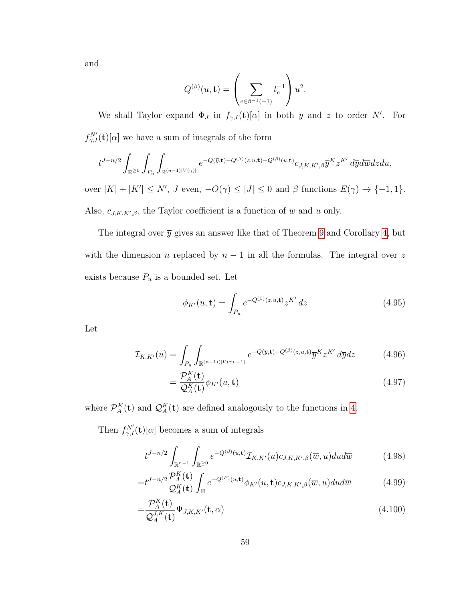and

$$
Q^{(\beta)}(u, \mathbf{t}) = \left(\sum_{e \in \beta^{-1}(-1)} t_e^{-1}\right) u^2.
$$

We shall Taylor expand  $\Phi_J$  in  $f_{\gamma,I}(\mathbf{t})[\alpha]$  in both  $\overline{y}$  and z to order N'. For  $f_{\gamma,I}^{N'}(\mathbf{t})[\alpha]$  we have a sum of integrals of the form

$$
t^{J-n/2}\int_{\mathbb{R}^{\geq 0}}\int_{P_u}\int_{\mathbb{R}^{(n-1)|V(\gamma)|}}e^{-Q(\overline{y},\mathbf{t})-Q^{(\beta)}(z,u,\mathbf{t})-Q^{(\beta)}(u,\mathbf{t})}c_{J,K,K',\beta}\overline{y}^{K}z^{K'}\,d\overline{y}d\overline{w}dzdu,
$$

over  $|K| + |K'| \le N'$ , J even,  $-O(\gamma) \le |J| \le 0$  and  $\beta$  functions  $E(\gamma) \to \{-1, 1\}$ . Also,  $c_{J,K,K',\beta}$ , the Taylor coefficient is a function of w and u only.

The integral over  $\bar{y}$  gives an answer like that of Theorem [9](#page-75-0) and Corollary [4,](#page-53-0) but with the dimension n replaced by  $n - 1$  in all the formulas. The integral over z exists because  $P_u$  is a bounded set. Let

$$
\phi_{K'}(u, \mathbf{t}) = \int_{P_u} e^{-Q^{(\beta)}(z, u, \mathbf{t})} z^{K'} dz
$$
\n(4.95)

Let

$$
\mathcal{I}_{K,K'}(u) = \int_{P_u} \int_{\mathbb{R}^{(n-1)(|V(\gamma)|-1)}} e^{-Q(\overline{y}, \mathbf{t}) - Q^{(\beta)}(z, u, \mathbf{t})} \overline{y}^K z^{K'} d\overline{y} dz \tag{4.96}
$$

$$
=\frac{\mathcal{P}_A^K(\mathbf{t})}{\mathcal{Q}_A^K(\mathbf{t})}\phi_{K'}(u,\mathbf{t})
$$
\n(4.97)

where  $\mathcal{P}_{A}^{K}(\mathbf{t})$  and  $\mathcal{Q}_{A}^{K}(\mathbf{t})$  are defined analogously to the functions in [4.](#page-53-0)

Then  $f_{\gamma,I}^{N'}(\mathbf{t})[\alpha]$  becomes a sum of integrals

$$
t^{J-n/2} \int_{\mathbb{R}^{n-1}} \int_{\mathbb{R}^{\geq 0}} e^{-Q^{(\beta)}(u,\mathbf{t})} \mathcal{I}_{K,K'}(u) c_{J,K,K',\beta}(\overline{w},u) du d\overline{w}
$$
 (4.98)

$$
=t^{J-n/2}\frac{\mathcal{P}_{A}^{K}(\mathbf{t})}{\mathcal{Q}_{A}^{K}(\mathbf{t})}\int_{\mathbb{H}}e^{-Q^{(P)}(u,\mathbf{t})}\phi_{K'}(u,\mathbf{t})c_{J,K,K',\beta}(\overline{w},u)dud\overline{w}
$$
(4.99)

$$
=\frac{\mathcal{P}_A^K(\mathbf{t})}{\mathcal{Q}_A^{J,K}(\mathbf{t})}\Psi_{J,K,K'}(\mathbf{t},\alpha)
$$
\n(4.100)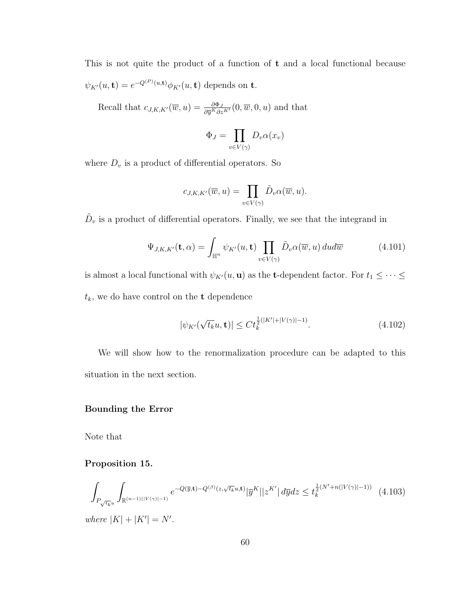This is not quite the product of a function of t and a local functional because  $\psi_{K'}(u, \mathbf{t}) = e^{-Q^{(P)}(u, \mathbf{t})} \phi_{K'}(u, \mathbf{t})$  depends on  $\mathbf{t}$ .

Recall that  $c_{J,K,K'}(\overline{w}, u) = \frac{\partial \Phi_J}{\partial \overline{y}^K \partial z^{K'}}(0, \overline{w}, 0, u)$  and that

$$
\Phi_J = \prod_{v \in V(\gamma)} D_v \alpha(x_v)
$$

where  $D_v$  is a product of differential operators. So

$$
c_{J,K,K'}(\overline{w},u)=\prod_{v\in V(\gamma)}\tilde{D}_v\alpha(\overline{w},u).
$$

 $\tilde{D}_v$  is a product of differential operators. Finally, we see that the integrand in

$$
\Psi_{J,K,K'}(\mathbf{t},\alpha) = \int_{\mathbb{H}^n} \psi_{K'}(u,\mathbf{t}) \prod_{v \in V(\gamma)} \tilde{D}_v \alpha(\overline{w},u) \, du d\overline{w} \tag{4.101}
$$

is almost a local functional with  $\psi_{K'}(u, \mathbf{u})$  as the **t**-dependent factor. For  $t_1 \leq \cdots \leq$  $t_k$ , we do have control on the **t** dependence

$$
|\psi_{K'}(\sqrt{t_k}u, \mathbf{t})| \le C t_k^{\frac{1}{2}(|K'| + |V(\gamma)| - 1)}.
$$
\n(4.102)

We will show how to the renormalization procedure can be adapted to this situation in the next section.

#### Bounding the Error

Note that

#### Proposition 15.

$$
\int_{P_{\sqrt{t_k}u}} \int_{\mathbb{R}^{(n-1)(|V(\gamma)|-1)}} e^{-Q(\overline{y}, \mathbf{t}) - Q^{(\beta)}(z, \sqrt{t_k}u, \mathbf{t})} |\overline{y}^K||z^K| \, d\overline{y} dz \le t_k^{\frac{1}{2}(N'+n(|V(\gamma)|-1))} \tag{4.103}
$$

where  $|K| + |K'| = N'.$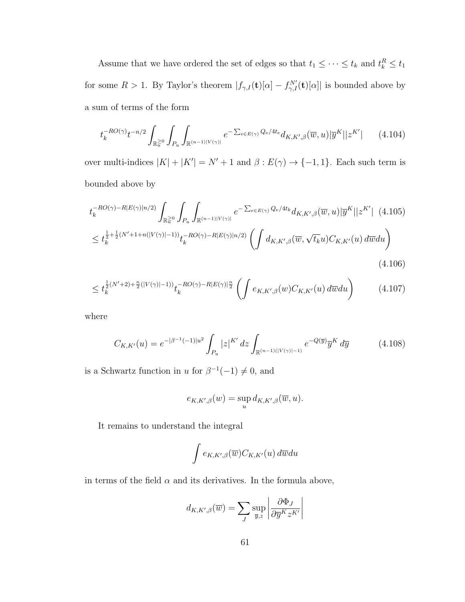Assume that we have ordered the set of edges so that  $t_1 \leq \cdots \leq t_k$  and  $t_k^R \leq t_1$ for some  $R > 1$ . By Taylor's theorem  $|f_{\gamma,I}(\mathbf{t})[\alpha] - f_{\gamma,I}^{N'}(\mathbf{t})[\alpha]|$  is bounded above by a sum of terms of the form

$$
t_k^{-RO(\gamma)}t^{-n/2}\int_{\mathbb{R}_u^{\geq 0}}\int_{P_u}\int_{\mathbb{R}^{(n-1)|V(\gamma)|}}e^{-\sum_{e\in E(\gamma)}Q_e/4t_e}d_{K,K',\beta}(\overline{w},u)|\overline{y}^K||z^{K'}| \qquad (4.104)
$$

over multi-indices  $|K| + |K'| = N' + 1$  and  $\beta : E(\gamma) \to \{-1, 1\}$ . Each such term is bounded above by

$$
t_k^{-RO(\gamma)-R|E(\gamma)|n/2)} \int_{\mathbb{R}_u^{\geq 0}} \int_{P_u} \int_{\mathbb{R}^{(n-1)|V(\gamma)|}} e^{-\sum_{e \in E(\gamma)} Q_e/4t_k} d_{K,K',\beta}(\overline{w},u) |\overline{y}^K||z^{K'}| \tag{4.105}
$$
  

$$
\leq t_k^{\frac{1}{2}+\frac{1}{2}(N'+1+n(|V(\gamma)|-1))} t_k^{-RO(\gamma)-R|E(\gamma)|n/2)} \left( \int d_{K,K',\beta}(\overline{w},\sqrt{t_k}u) C_{K,K'}(u) d\overline{w} du \right)
$$
  
(4.106)

$$
\leq t_k^{\frac{1}{2}(N'+2)+\frac{n}{2}(|V(\gamma)|-1))} t_k^{-RO(\gamma)-R|E(\gamma)|\frac{n}{2}} \left( \int e_{K,K',\beta}(w) C_{K,K'}(u) d\overline{w} du \right) \tag{4.107}
$$

where

$$
C_{K,K'}(u) = e^{-|\beta^{-1}(-1)|u^2} \int_{P_u} |z|^{K'} dz \int_{\mathbb{R}^{(n-1)}(|V(\gamma)|-1)} e^{-Q(\overline{y})} \overline{y}^K d\overline{y}
$$
(4.108)

is a Schwartz function in u for  $\beta^{-1}(-1) \neq 0$ , and

$$
e_{K,K',\beta}(w) = \sup_{u} d_{K,K',\beta}(\overline{w},u).
$$

It remains to understand the integral

$$
\int e_{K,K',\beta}(\overline{w})C_{K,K'}(u)\,d\overline{w}du
$$

in terms of the field  $\alpha$  and its derivatives. In the formula above,

$$
d_{K,K',\beta}(\overline{w}) = \sum_{J} \sup_{\overline{y},z} \left| \frac{\partial \Phi_{J}}{\partial \overline{y}^{K} z^{K'}} \right|
$$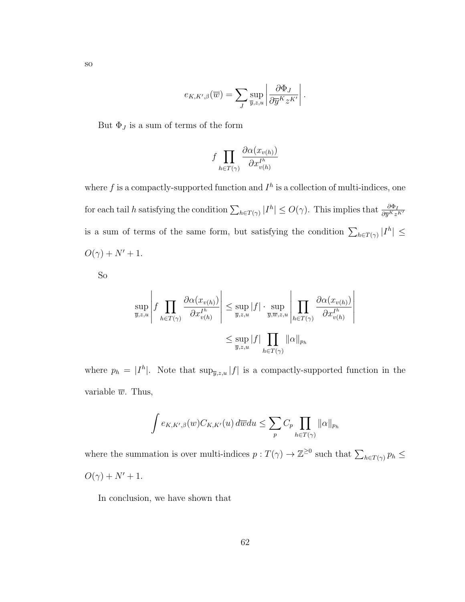$$
e_{K,K',\beta}(\overline{w}) = \sum_J \sup_{\overline{y},z,u} \left| \frac{\partial \Phi_J}{\partial \overline{y}^K z^{K'}}
$$

But  $\Phi_J$  is a sum of terms of the form

$$
f \prod_{h \in T(\gamma)} \frac{\partial \alpha(x_{v(h)})}{\partial x_{v(h)}^{I^h}}
$$

 $\begin{array}{c} \hline \rule{0pt}{2.5ex} \\ \rule{0pt}{2.5ex} \end{array}$ .

where  $f$  is a compactly-supported function and  $I<sup>h</sup>$  is a collection of multi-indices, one for each tail h satisfying the condition  $\sum_{h \in T(\gamma)} |I^h| \leq O(\gamma)$ . This implies that  $\frac{\partial \Phi_I}{\partial \bar{y}^{K_Z K'}}$ is a sum of terms of the same form, but satisfying the condition  $\sum_{h \in T(\gamma)} |I^h| \leq$  $O(\gamma) + N' + 1.$ 

So

$$
\sup_{\overline{y},z,u} \left| f \prod_{h \in T(\gamma)} \frac{\partial \alpha(x_{v(h)})}{\partial x_{v(h)}^{I^h}} \right| \leq \sup_{\overline{y},z,u} |f| \cdot \sup_{\overline{y},\overline{w},z,u} \left| \prod_{h \in T(\gamma)} \frac{\partial \alpha(x_{v(h)})}{\partial x_{v(h)}^{I^h}} \right|
$$
  

$$
\leq \sup_{\overline{y},z,u} |f| \prod_{h \in T(\gamma)} ||\alpha||_{p_h}
$$

where  $p_h = |I^h|$ . Note that  $\sup_{\bar{y},z,u} |f|$  is a compactly-supported function in the variable  $\overline{w}$ . Thus,

$$
\int e_{K,K',\beta}(w)C_{K,K'}(u)\,d\overline{w}du \leq \sum_{p} C_p \prod_{h \in T(\gamma)} ||\alpha||_{p_h}
$$

where the summation is over multi-indices  $p: T(\gamma) \to \mathbb{Z}^{\geq 0}$  such that  $\sum_{h \in T(\gamma)} p_h \leq$  $O(\gamma)+N^\prime+1.$ 

In conclusion, we have shown that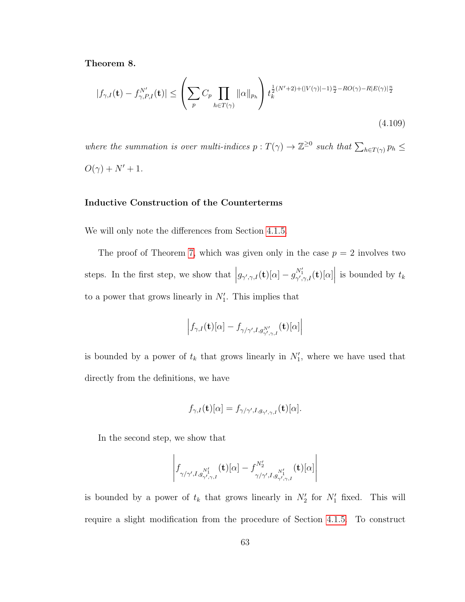Theorem 8.

$$
|f_{\gamma,I}(\mathbf{t}) - f_{\gamma,P,I}^{N'}(\mathbf{t})| \le \left(\sum_p C_p \prod_{h \in T(\gamma)} \|\alpha\|_{p_h}\right) t_k^{\frac{1}{2}(N'+2) + (|V(\gamma)| - 1)\frac{n}{2} - RO(\gamma) - R|E(\gamma)|^{\frac{n}{2}}}
$$
\n(4.109)

where the summation is over multi-indices  $p: T(\gamma) \to \mathbb{Z}^{\geq 0}$  such that  $\sum_{h \in T(\gamma)} p_h \leq$  $O(\gamma)+N'+1.$ 

#### Inductive Construction of the Counterterms

We will only note the differences from Section [4.1.5.](#page-56-0)

The proof of Theorem [7,](#page-56-2) which was given only in the case  $p = 2$  involves two steps. In the first step, we show that  $\left| g_{\gamma',\gamma,I}(\mathbf{t})[\alpha] - g_{\gamma',\gamma,I}^{N_1'}(\mathbf{t})[\alpha] \right|$  is bounded by  $t_k$ to a power that grows linearly in  $N'_1$ . This implies that

$$
\left|f_{\gamma,I}(\mathbf{t})[\alpha]-f_{\gamma/\gamma',I,g^{N'}_{\gamma',\gamma,I}}(\mathbf{t})[\alpha]\right|
$$

is bounded by a power of  $t_k$  that grows linearly in  $N'_1$ , where we have used that directly from the definitions, we have

$$
f_{\gamma,I}(\mathbf{t})[\alpha] = f_{\gamma/\gamma',I,g_{\gamma',\gamma,I}}(\mathbf{t})[\alpha].
$$

In the second step, we show that

$$
\left|f_{\gamma/\gamma',I,g^{N_1'}_{\gamma',\gamma,I}}(\mathbf{t})[\alpha]-f^{N_2'}_{\gamma/\gamma',I,g^{N_1'}_{\gamma',\gamma,I}}(\mathbf{t})[\alpha]\right|
$$

is bounded by a power of  $t_k$  that grows linearly in  $N'_2$  for  $N'_1$  fixed. This will require a slight modification from the procedure of Section [4.1.5.](#page-56-0) To construct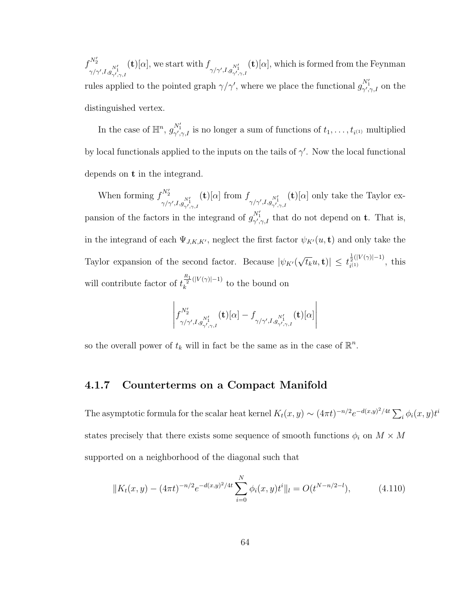$f^{N'_2}$  $\gamma/\gamma', I, g^{N_1'}_{\gamma',\gamma,I}$ (**t**)[ $\alpha$ ], we start with  $f_{\gamma/\gamma',I,g_{\gamma',\gamma,I}^{N_1'}}$  $(\mathbf{t})[\alpha]$ , which is formed from the Feynman rules applied to the pointed graph  $\gamma/\gamma'$ , where we place the functional  $g_{\gamma',\gamma,I}^{N_1'}$  on the distinguished vertex.

In the case of  $\mathbb{H}^n$ ,  $g_{\gamma',\gamma,I}^{N_1'}$  is no longer a sum of functions of  $t_1,\ldots,t_{i^{(1)}}$  multiplied by local functionals applied to the inputs on the tails of  $\gamma'$ . Now the local functional depends on t in the integrand.

When forming  $f^{N'_2}$  $\gamma/\gamma',$ I, $g^{N_1'}_{\gamma',\gamma,I}$  $\mathbf{(t)}[\alpha] \text{ from } f_{\gamma/\gamma',I,g_{\gamma',\gamma,I}^{N_1'}}$  $(t)[\alpha]$  only take the Taylor expansion of the factors in the integrand of  $g_{\gamma',\gamma,I}^{N_1'}$  that do not depend on **t**. That is, in the integrand of each  $\Psi_{J,K,K'}$ , neglect the first factor  $\psi_{K'}(u, \mathbf{t})$  and only take the Taylor expansion of the second factor. Because  $|\psi_{K'}|$ √  $|\overline{t_k}u,{\bf{t}})|\,\leq \,t^{\frac12(|V(\gamma)|-1)}_{i^{(1)}}$  $\frac{1}{i^{(1)}}^{(1) (1) (-1)}$ , this will contribute factor of  $t_k^{\frac{R_1}{2}(|V(\gamma)|-1)}$  $\frac{1}{k}$ <sup>2</sup> <sup>(*v*(*r*)/-1)</sup> to the bound on

$$
\left|f^{N'_2}_{\gamma/\gamma',I,g^{N'_1}_{\gamma',\gamma,I}}({\bf t})[\alpha]-f_{\gamma/\gamma',I,g^{N'_1}_{\gamma',\gamma,I}}({\bf t})[\alpha]\right|
$$

so the overall power of  $t_k$  will in fact be the same as in the case of  $\mathbb{R}^n$ .

### 4.1.7 Counterterms on a Compact Manifold

The asymptotic formula for the scalar heat kernel  $K_t(x, y) \sim (4\pi t)^{-n/2} e^{-d(x, y)^2/4t} \sum_i \phi_i(x, y) t^i$ states precisely that there exists some sequence of smooth functions  $\phi_i$  on  $M \times M$ supported on a neighborhood of the diagonal such that

$$
||K_t(x,y) - (4\pi t)^{-n/2} e^{-d(x,y)^2/4t} \sum_{i=0}^{N} \phi_i(x,y) t^i ||_l = O(t^{N-n/2-l}), \qquad (4.110)
$$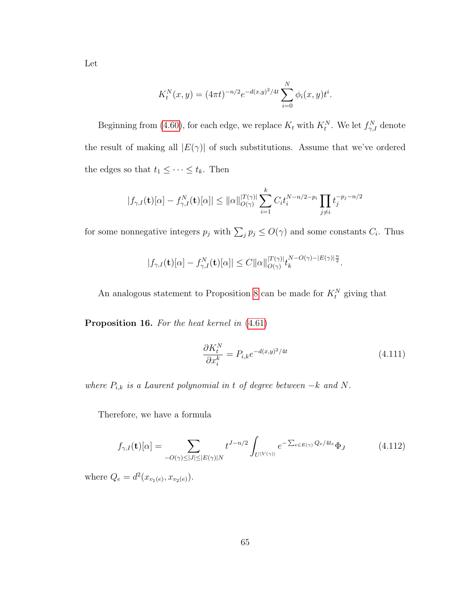Let

$$
K_t^N(x, y) = (4\pi t)^{-n/2} e^{-d(x, y)^2/4t} \sum_{i=0}^N \phi_i(x, y) t^i.
$$

Beginning from [\(4.60\)](#page-47-1), for each edge, we replace  $K_t$  with  $K_t^N$ . We let  $f_{\gamma,I}^N$  denote the result of making all  $|E(\gamma)|$  of such substitutions. Assume that we've ordered the edges so that  $t_1 \leq \cdots \leq t_k$ . Then

$$
|f_{\gamma,I}(\mathbf{t})[\alpha]-f_{\gamma,I}^N(\mathbf{t})[\alpha]|\leq ||\alpha||_{O(\gamma)}^{|T(\gamma)|}\sum_{i=1}^k C_it_i^{N-n/2-p_i}\prod_{j\neq i}t_j^{-p_j-n/2}
$$

for some nonnegative integers  $p_j$  with  $\sum_j p_j \leq O(\gamma)$  and some constants  $C_i$ . Thus

$$
|f_{\gamma,I}(\mathbf{t})[\alpha]-f_{\gamma,I}^N(\mathbf{t})[\alpha]|\leq C\|\alpha\|_{O(\gamma)}^{|T(\gamma)|}t_k^{N-O(\gamma)-|E(\gamma)|\frac{n}{2}}.
$$

An analogous statement to Proposition [8](#page-48-0) can be made for  $K_t^N$  giving that

Proposition 16. For the heat kernel in  $(4.61)$ 

$$
\frac{\partial K_t^N}{\partial x_i^k} = P_{i,k} e^{-d(x,y)^2/4t} \tag{4.111}
$$

where  $P_{i,k}$  is a Laurent polynomial in t of degree between  $-k$  and N.

Therefore, we have a formula

$$
f_{\gamma,I}(\mathbf{t})[\alpha] = \sum_{-O(\gamma) \le |J| \le |E(\gamma)|N} t^{J-n/2} \int_{U^{|V(\gamma)|}} e^{-\sum_{e \in E(\gamma)} Q_e/4t_e} \Phi_J \tag{4.112}
$$

where  $Q_e = d^2(x_{v_1(e)}, x_{v_2(e)})$ .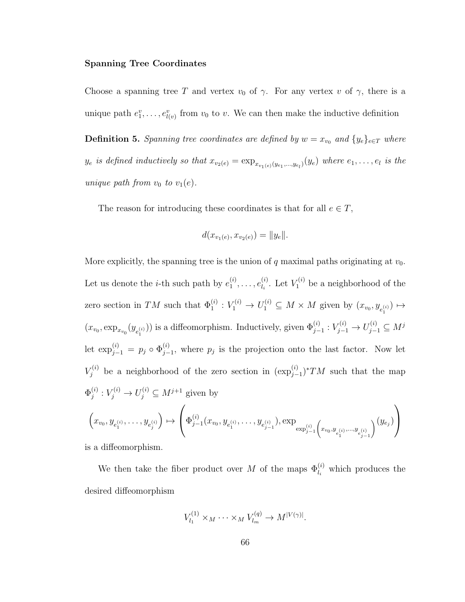#### Spanning Tree Coordinates

Choose a spanning tree T and vertex  $v_0$  of  $\gamma$ . For any vertex v of  $\gamma$ , there is a unique path  $e_1^v, \ldots, e_{l(v)}^v$  from  $v_0$  to v. We can then make the inductive definition

**Definition 5.** Spanning tree coordinates are defined by  $w = x_{v_0}$  and  $\{y_e\}_{e \in T}$  where  $y_e$  is defined inductively so that  $x_{v_2(e)} = \exp_{x_{v_1(e)}(y_{e_1},...,y_{e_l})}(y_e)$  where  $e_1,...,e_l$  is the unique path from  $v_0$  to  $v_1(e)$ .

The reason for introducing these coordinates is that for all  $e \in T$ ,

$$
d(x_{v_1(e)}, x_{v_2(e)}) = ||y_e||.
$$

More explicitly, the spanning tree is the union of q maximal paths originating at  $v_0$ . Let us denote the *i*-th such path by  $e_1^{(i)}$  $e_{l_1}^{(i)}, \ldots, e_{l_i}^{(i)}$  $\mathcal{U}_l^{(i)}$ . Let  $V_1^{(i)}$  be a neighborhood of the zero section in TM such that  $\Phi_1^{(i)}: V_1^{(i)} \to U_1^{(i)} \subseteq M \times M$  given by  $(x_{v_0}, y_{e_1^{(i)}}) \mapsto$  $(x_{v_0}, \exp_{x_{v_0}}(y_{e_1^{(i)}}))$  is a diffeomorphism. Inductively, given  $\Phi_{j-1}^{(i)} : V_{j-1}^{(i)} \to U_{j-1}^{(i)} \subseteq M^j$ let  $\exp_{j-1}^{(i)} = p_j \circ \Phi_{j-1}^{(i)}$  $j_{j-1}^{(i)}$ , where  $p_j$  is the projection onto the last factor. Now let  $V_j^{(i)}$  be a neighborhood of the zero section in  $(\exp_{j-1}^{(i)})$ \* $TM$  such that the map  $\Phi_i^{(i)}$  $j_j^{(i)}: V_j^{(i)} \to U_j^{(i)} \subseteq M^{j+1}$  given by  $\left(x_{v_0}, y_{e_1^{(i)}}, \ldots, y_{e_j^{(i)}}\right)$  $) \mapsto$  $\sqrt{ }$  $\Phi_{j-}^{(i)}$  $y_{j-1}^{(i)}(x_{v_0},y_{e_{1}^{(i)}},\ldots,y_{e_{j-1}^{(i)}}), \exp$  $\exp_{j-1}^{(i)}$  $\left(x_{v_0},y_{e^{(i)}_1},\dots,y_{e^{(i)}_{j-1}}\right)$  $\setminus (y_{e_j})$  $\setminus$  $\overline{1}$ 

is a diffeomorphism.

We then take the fiber product over M of the maps  $\Phi_{l_i}^{(i)}$  which produces the desired diffeomorphism

$$
V_{l_1}^{(1)} \times_M \cdots \times_M V_{l_m}^{(q)} \to M^{|V(\gamma)|}.
$$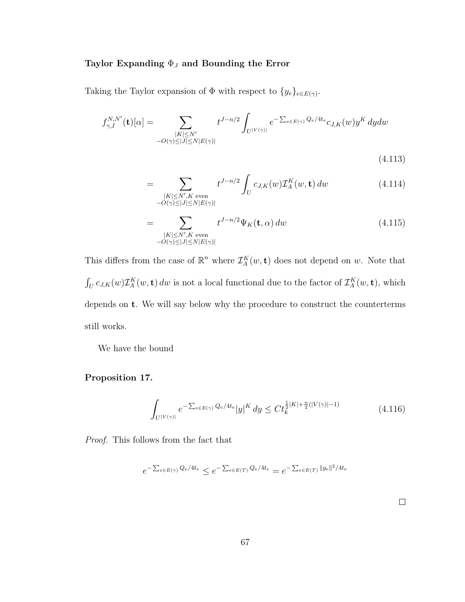# Taylor Expanding  $\Phi_J$  and Bounding the Error

Taking the Taylor expansion of  $\Phi$  with respect to  $\{y_e\}_{e \in E(\gamma)}$ .

$$
f_{\gamma,I}^{N,N'}(\mathbf{t})[\alpha] = \sum_{\substack{|K| \le N' \\ -O(\gamma) \le |J| \le N|E(\gamma)|}} t^{J-n/2} \int_{U^{|V(\gamma)|}} e^{-\sum_{e \in E(\gamma)} Q_e/4t_e} c_{J,K}(w) y^K dy dw
$$
\n(4.113)

$$
= \sum_{\substack{|K| \le N', K \text{ even} \\ -O(\gamma) \le |J| \le N|E(\gamma)|}} t^{J-n/2} \int_U c_{J,K}(w) \mathcal{I}_A^K(w, \mathbf{t}) dw \qquad (4.114)
$$

$$
= \sum_{\substack{|K| \le N', K \text{ even} \\ -O(\gamma) \le |J| \le N|E(\gamma)|}} t^{J-n/2} \Psi_K(\mathbf{t}, \alpha) \, dw \tag{4.115}
$$

This differs from the case of  $\mathbb{R}^n$  where  $\mathcal{I}_A^K(w, \mathbf{t})$  does not depend on w. Note that  $\int_U c_{J,K}(w) \mathcal{I}_A^K(w, \mathbf{t}) dw$  is not a local functional due to the factor of  $\mathcal{I}_A^K(w, \mathbf{t})$ , which depends on t. We will say below why the procedure to construct the counterterms still works.

We have the bound

### Proposition 17.

$$
\int_{U^{|V(\gamma)|}} e^{-\sum_{e \in E(\gamma)} Q_e/4t_e} |y|^K dy \leq C t_k^{\frac{1}{2}|K| + \frac{n}{2}(|V(\gamma)| - 1)} \tag{4.116}
$$

Proof. This follows from the fact that

$$
e^{-\sum_{e \in E(\gamma)} Q_e/4t_e} \le e^{-\sum_{e \in E(T)} Q_e/4t_e} = e^{-\sum_{e \in E(T)} ||y_e||^2/4t_e}
$$

 $\Box$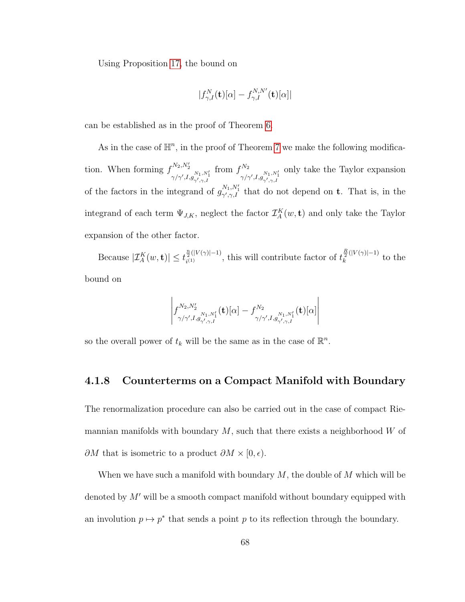Using Proposition [17,](#page-71-0) the bound on

$$
|f_{\gamma,I}^N(\mathbf{t})[\alpha]-f_{\gamma,I}^{N,N'}(\mathbf{t})[\alpha]|
$$

can be established as in the proof of Theorem [6.](#page-56-0)

As in the case of  $\mathbb{H}^n$ , in the proof of Theorem [7](#page-56-1) we make the following modification. When forming  $f^{N_2,N_2'}$  $\gamma/\gamma',$ I, $g_{\gamma',\gamma,I}^{N_1,N_1'}$ from  $f^{N_2}$  $\gamma/\gamma',I,g^{N_1,N_1'}_{\gamma',\gamma,I}$ only take the Taylor expansion of the factors in the integrand of  $g_{\gamma',\gamma,I}^{N_1,N_1'}$  that do not depend on **t**. That is, in the integrand of each term  $\Psi_{J,K}$ , neglect the factor  $\mathcal{I}_{A}^{K}(w, \mathbf{t})$  and only take the Taylor expansion of the other factor.

Because  $|\mathcal{I}_A^K(w, \mathbf{t})| \leq t^{\frac{n}{2}(|V(\gamma)|-1)}_{i^{(1)}}$  $\frac{n}{2}(|V(\gamma)|-1)$ , this will contribute factor of  $t_k^{\frac{R}{2}(|V(\gamma)|-1)}$  $\frac{1}{k}$ <sup>(|v|||-1)</sup> to the bound on

$$
\left|f^{N_2,N_2'}_{\gamma/\gamma',I,g^{N_1,N_1'}_{\gamma',\gamma,I}}(\mathbf{t})[\alpha]-f^{N_2}_{\gamma/\gamma',I,g^{N_1,N_1'}_{\gamma',\gamma,I}}(\mathbf{t})[\alpha]\right|
$$

so the overall power of  $t_k$  will be the same as in the case of  $\mathbb{R}^n$ .

#### 4.1.8 Counterterms on a Compact Manifold with Boundary

The renormalization procedure can also be carried out in the case of compact Riemannian manifolds with boundary  $M$ , such that there exists a neighborhood  $W$  of  $\partial M$  that is isometric to a product  $\partial M \times [0, \epsilon)$ .

When we have such a manifold with boundary  $M$ , the double of  $M$  which will be denoted by  $M'$  will be a smooth compact manifold without boundary equipped with an involution  $p \mapsto p^*$  that sends a point p to its reflection through the boundary.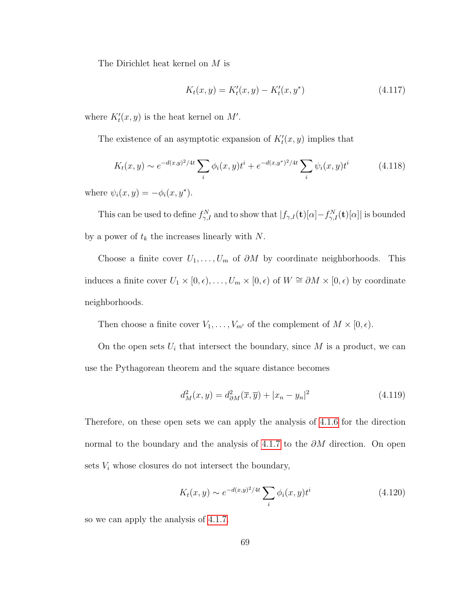The Dirichlet heat kernel on M is

$$
K_t(x, y) = K'_t(x, y) - K'_t(x, y^*)
$$
\n(4.117)

where  $K_t'(x, y)$  is the heat kernel on M'.

The existence of an asymptotic expansion of  $K_t'(x, y)$  implies that

$$
K_t(x,y) \sim e^{-d(x,y)^2/4t} \sum_i \phi_i(x,y)t^i + e^{-d(x,y^*)^2/4t} \sum_i \psi_i(x,y)t^i \tag{4.118}
$$

where  $\psi_i(x, y) = -\phi_i(x, y^*)$ .

This can be used to define  $f_{\gamma,I}^N$  and to show that  $|f_{\gamma,I}(\mathbf{t})[\alpha] - f_{\gamma,I}^N(\mathbf{t})[\alpha]|$  is bounded by a power of  $t_k$  the increases linearly with  $N$ .

Choose a finite cover  $U_1, \ldots, U_m$  of  $\partial M$  by coordinate neighborhoods. This induces a finite cover  $U_1 \times [0, \epsilon), \ldots, U_m \times [0, \epsilon)$  of  $W \cong \partial M \times [0, \epsilon)$  by coordinate neighborhoods.

Then choose a finite cover  $V_1, \ldots, V_{m'}$  of the complement of  $M \times [0, \epsilon)$ .

On the open sets  $U_i$  that intersect the boundary, since  $M$  is a product, we can use the Pythagorean theorem and the square distance becomes

$$
d_M^2(x,y) = d_{\partial M}^2(\overline{x}, \overline{y}) + |x_n - y_n|^2 \tag{4.119}
$$

Therefore, on these open sets we can apply the analysis of [4.1.6](#page-60-0) for the direction normal to the boundary and the analysis of [4.1.7](#page-68-0) to the  $\partial M$  direction. On open sets  $V_i$  whose closures do not intersect the boundary,

$$
K_t(x, y) \sim e^{-d(x, y)^2/4t} \sum_i \phi_i(x, y) t^i
$$
\n(4.120)

so we can apply the analysis of [4.1.7.](#page-68-0)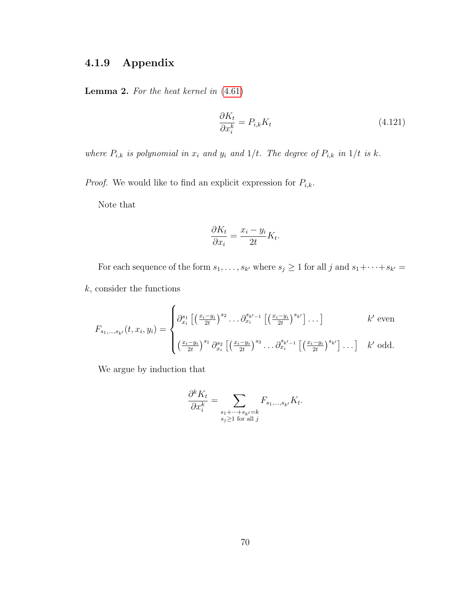### 4.1.9 Appendix

**Lemma 2.** For the heat kernel in  $(4.61)$ 

$$
\frac{\partial K_t}{\partial x_i^k} = P_{i,k} K_t \tag{4.121}
$$

where  $P_{i,k}$  is polynomial in  $x_i$  and  $y_i$  and  $1/t$ . The degree of  $P_{i,k}$  in  $1/t$  is k.

*Proof.* We would like to find an explicit expression for  $P_{i,k}$ .

Note that

$$
\frac{\partial K_t}{\partial x_i} = \frac{x_i - y_i}{2t} K_t.
$$

For each sequence of the form  $s_1, \ldots, s_{k'}$  where  $s_j \geq 1$  for all j and  $s_1 + \cdots + s_{k'} =$  $k$ , consider the functions

$$
F_{s_1,\ldots,s_{k'}}(t,x_i,y_i) = \begin{cases} \partial_{x_i}^{s_1} \left[ \left( \frac{x_i - y_i}{2t} \right)^{s_2} \ldots \partial_{x_i}^{s_{k'-1}} \left[ \left( \frac{x_i - y_i}{2t} \right)^{s_{k'}} \right] \ldots \right] & k' \text{ even} \\ \left( \frac{x_i - y_i}{2t} \right)^{s_1} \partial_{x_i}^{s_2} \left[ \left( \frac{x_i - y_i}{2t} \right)^{s_3} \ldots \partial_{x_i}^{s_{k'-1}} \left[ \left( \frac{x_i - y_i}{2t} \right)^{s_{k'}} \right] \ldots \right] & k' \text{ odd.} \end{cases}
$$

We argue by induction that

$$
\frac{\partial^k K_t}{\partial x_i^k} = \sum_{\substack{s_1 + \dots + s_{k'} = k \\ s_j \ge 1 \text{ for all } j}} F_{s_1, \dots, s_{k'}} K_t.
$$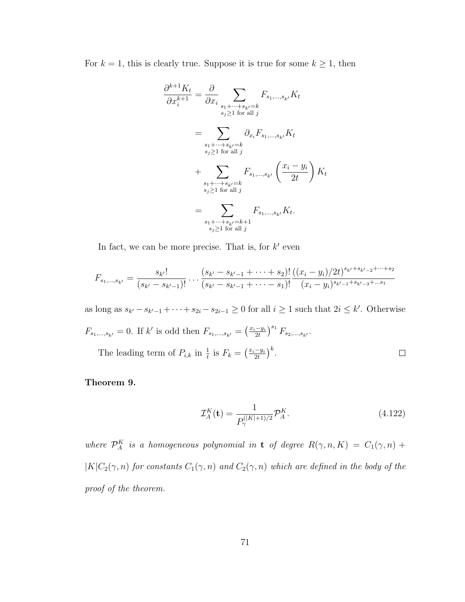For  $k = 1$ , this is clearly true. Suppose it is true for some  $k \ge 1$ , then

$$
\frac{\partial^{k+1} K_t}{\partial x_i^{k+1}} = \frac{\partial}{\partial x_i} \sum_{\substack{s_1 + \dots + s_{k'} = k \\ s_j \ge 1 \text{ for all } j}} F_{s_1, \dots, s_{k'}} K_t
$$
\n
$$
= \sum_{\substack{s_1 + \dots + s_{k'} = k \\ s_j \ge 1 \text{ for all } j}} \partial_{x_i} F_{s_1, \dots, s_{k'}} K_t
$$
\n
$$
+ \sum_{\substack{s_1 + \dots + s_{k'} = k \\ s_j \ge 1 \text{ for all } j}} F_{s_1, \dots, s_{k'}} \left( \frac{x_i - y_i}{2t} \right) K_t
$$
\n
$$
= \sum_{\substack{s_1 + \dots + s_{k'} = k + 1 \\ s_j \ge 1 \text{ for all } j}} F_{s_1, \dots, s_{k'}} K_t.
$$

In fact, we can be more precise. That is, for  $k'$  even

$$
F_{s_1,\ldots,s_{k'}} = \frac{s_{k'}!}{(s_{k'} - s_{k'-1})!} \ldots \frac{(s_{k'} - s_{k'-1} + \cdots + s_2)!}{(s_{k'} - s_{k'-1} + \cdots - s_1)!} \frac{((x_i - y_i)/2t)^{s_{k'} + s_{k'-2} + \cdots + s_2}}{(x_i - y_i)^{s_{k'-1} + s_{k'-3} + \cdots + s_1}}
$$

as long as  $s_{k'} - s_{k'-1} + \cdots + s_{2i} - s_{2i-1} \geq 0$  for all  $i \geq 1$  such that  $2i \leq k'$ . Otherwise  $\frac{-y_i}{2t}$ <sup>s<sub>1</sub></sup>  $F_{s_2,...,s_{k'}}$ .  $F_{s_1,...,s_{k'}} = 0$ . If k' is odd then  $F_{s_1,...,s_{k'}} = \left(\frac{x_i - y_i}{2t}\right)$  $\frac{-y_i}{2t}\Big)^k$ . The leading term of  $P_{i,k}$  in  $\frac{1}{t}$  is  $F_k = \left(\frac{x_i - y_i}{2t}\right)$  $\Box$ 

#### Theorem 9.

$$
\mathcal{I}_A^K(\mathbf{t}) = \frac{1}{P_\gamma^{(|K|+1)/2}} \mathcal{P}_A^K.
$$
\n(4.122)

where  $\mathcal{P}_A^K$  is a homogeneous polynomial in **t** of degree  $R(\gamma, n, K) = C_1(\gamma, n) +$  $|K|C_2(\gamma, n)$  for constants  $C_1(\gamma, n)$  and  $C_2(\gamma, n)$  which are defined in the body of the proof of the theorem.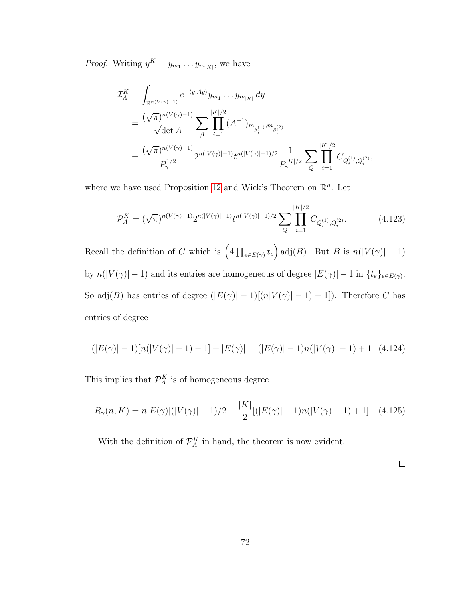*Proof.* Writing  $y^K = y_{m_1} \dots y_{m_{|K|}}$ , we have

$$
\mathcal{I}_A^K = \int_{\mathbb{R}^{n(V(\gamma)-1)}} e^{-\langle y, Ay \rangle} y_{m_1} \dots y_{m_{|K|}} dy
$$
  
\n
$$
= \frac{(\sqrt{\pi})^{n(V(\gamma)-1)}}{\sqrt{\det A}} \sum_{\beta} \prod_{i=1}^{|K|/2} (A^{-1})_{m_{\beta_i^{(1)}}, m_{\beta_i^{(2)}}}
$$
  
\n
$$
= \frac{(\sqrt{\pi})^{n(V(\gamma)-1)}}{P_{\gamma}^{1/2}} 2^{n(|V(\gamma)|-1)} t^{n(|V(\gamma)|-1)/2} \frac{1}{P_{\gamma}^{|K|/2}} \sum_{Q} \prod_{i=1}^{|K|/2} C_{Q_i^{(1)}, Q_i^{(2)}},
$$

where we have used Proposition [12](#page-51-0) and Wick's Theorem on  $\mathbb{R}^n$ . Let

$$
\mathcal{P}_A^K = (\sqrt{\pi})^{n(V(\gamma)-1)} 2^{n(|V(\gamma)|-1)} t^{n(|V(\gamma)|-1)/2} \sum_{Q} \prod_{i=1}^{|K|/2} C_{Q_i^{(1)}, Q_i^{(2)}}.
$$
(4.123)

Recall the definition of C which is  $\left(4\prod_{e\in E(\gamma)} t_e\right)$  adj $(B)$ . But B is  $n(|V(\gamma)|-1)$ by  $n(|V(\gamma)|-1)$  and its entries are homogeneous of degree  $|E(\gamma)|-1$  in  $\{t_e\}_{e\in E(\gamma)}$ . So adj(B) has entries of degree  $(|E(\gamma)| - 1)[(n|V(\gamma)| - 1) - 1]$ ). Therefore C has entries of degree

$$
(|E(\gamma)| - 1)[n(|V(\gamma)| - 1) - 1] + |E(\gamma)| = (|E(\gamma)| - 1)n(|V(\gamma)| - 1) + 1 \quad (4.124)
$$

This implies that  $\mathcal{P}_{A}^{K}$  is of homogeneous degree

$$
R_{\gamma}(n, K) = n|E(\gamma)|(|V(\gamma)| - 1)/2 + \frac{|K|}{2}[(|E(\gamma)| - 1)n(|V(\gamma) - 1) + 1] \quad (4.125)
$$

With the definition of  $\mathcal{P}_{A}^{K}$  in hand, the theorem is now evident.

 $\Box$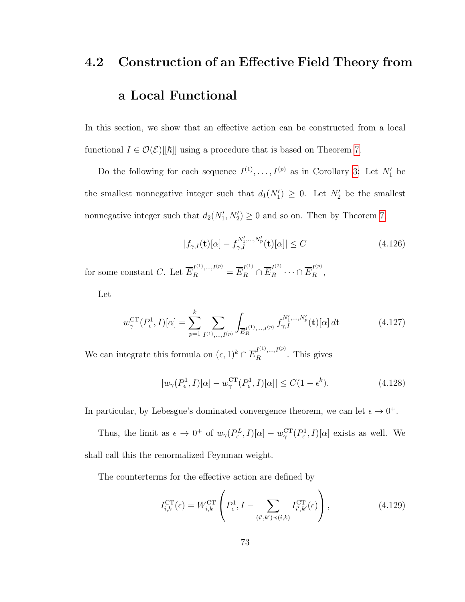# 4.2 Construction of an Effective Field Theory from a Local Functional

In this section, we show that an effective action can be constructed from a local functional  $I \in \mathcal{O}(\mathcal{E})[[\hbar]]$  using a procedure that is based on Theorem [7.](#page-56-1)

Do the following for each sequence  $I^{(1)}, \ldots, I^{(p)}$  as in Corollary [3:](#page-44-0) Let  $N'_1$  be the smallest nonnegative integer such that  $d_1(N'_1) \geq 0$ . Let  $N'_2$  be the smallest nonnegative integer such that  $d_2(N'_1, N'_2) \geq 0$  and so on. Then by Theorem [7,](#page-56-1)

$$
|f_{\gamma,I}(\mathbf{t})[\alpha] - f_{\gamma,I}^{N_1',\dots,N_p'}(\mathbf{t})[\alpha]| \le C \tag{4.126}
$$

for some constant C. Let  $\overline{E}_R^{I^{(1)},...,I^{(p)}} = \overline{E}_R^{I^{(1)}} \cap \overline{E}_R^{I^{(2)}} \cdots \cap \overline{E}_R^{I^{(p)}},$ 

Let

$$
w_{\gamma}^{\rm CT}(P_{\epsilon}^1, I)[\alpha] = \sum_{p=1}^{k} \sum_{I^{(1)},...,I^{(p)}} \int_{\overline{E}_{R}^{I^{(1)},...,I^{(p)}}} f_{\gamma,I}^{N_1',...,N_p'}(\mathbf{t})[\alpha] d\mathbf{t}
$$
(4.127)

We can integrate this formula on  $(\epsilon, 1)^k \cap \overline{E}_R^{I^{(1)},...,I^{(p)}}$ . This gives

$$
|w_{\gamma}(P_{\epsilon}^1, I)[\alpha] - w_{\gamma}^{\mathrm{CT}}(P_{\epsilon}^1, I)[\alpha]| \le C(1 - \epsilon^k). \tag{4.128}
$$

In particular, by Lebesgue's dominated convergence theorem, we can let  $\epsilon \to 0^+$ .

Thus, the limit as  $\epsilon \to 0^+$  of  $w_\gamma(P_\epsilon^L, I)[\alpha] - w_\gamma^{\text{CT}}(P_\epsilon^1, I)[\alpha]$  exists as well. We shall call this the renormalized Feynman weight.

The counterterms for the effective action are defined by

$$
I_{i,k}^{\text{CT}}(\epsilon) = W_{i,k}^{\text{CT}} \left( P_{\epsilon}^1, I - \sum_{(i',k') \prec (i,k)} I_{i',k'}^{\text{CT}}(\epsilon) \right), \qquad (4.129)
$$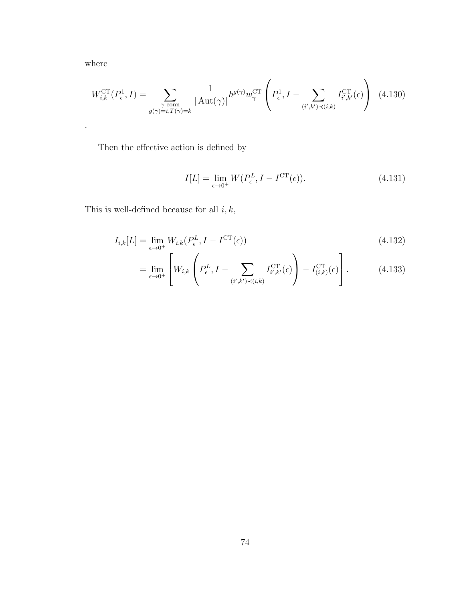where

.

$$
W_{i,k}^{\mathrm{CT}}(P_{\epsilon}^1, I) = \sum_{\substack{\gamma \text{ conn} \\ g(\gamma) = i, T(\gamma) = k}} \frac{1}{|\operatorname{Aut}(\gamma)|} \hbar^{g(\gamma)} w_{\gamma}^{\mathrm{CT}} \left( P_{\epsilon}^1, I - \sum_{(i',k') \prec (i,k)} I_{i',k'}^{\mathrm{CT}}(\epsilon) \right) (4.130)
$$

Then the effective action is defined by

$$
I[L] = \lim_{\epsilon \to 0^+} W(P_\epsilon^L, I - I^{\text{CT}}(\epsilon)). \tag{4.131}
$$

This is well-defined because for all  $i,k,$ 

$$
I_{i,k}[L] = \lim_{\epsilon \to 0^+} W_{i,k}(P_{\epsilon}^L, I - I^{\text{CT}}(\epsilon))
$$
\n(4.132)

$$
= \lim_{\epsilon \to 0^+} \left[ W_{i,k} \left( P_{\epsilon}^L, I - \sum_{(i',k') \prec (i,k)} I_{i',k'}^{\text{CT}}(\epsilon) \right) - I_{(i,k)}^{\text{CT}}(\epsilon) \right]. \tag{4.133}
$$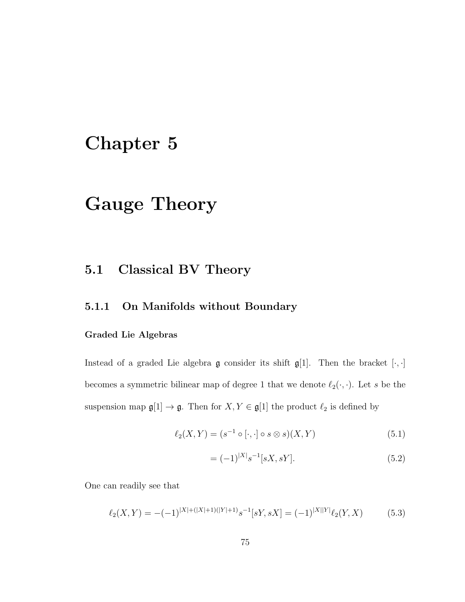## Chapter 5

## Gauge Theory

### 5.1 Classical BV Theory

### 5.1.1 On Manifolds without Boundary

#### Graded Lie Algebras

Instead of a graded Lie algebra  $\mathfrak g$  consider its shift  $\mathfrak g[1]$ . Then the bracket  $[\cdot, \cdot]$ becomes a symmetric bilinear map of degree 1 that we denote  $\ell_2(\cdot, \cdot)$ . Let s be the suspension map  $\mathfrak{g}[1] \to \mathfrak{g}$ . Then for  $X, Y \in \mathfrak{g}[1]$  the product  $\ell_2$  is defined by

$$
\ell_2(X,Y) = (s^{-1} \circ [\cdot, \cdot] \circ s \otimes s)(X,Y) \tag{5.1}
$$

$$
=(-1)^{|X|}s^{-1}[sX, sY].
$$
\n(5.2)

One can readily see that

$$
\ell_2(X,Y) = -(-1)^{|X| + (|X|+1)(|Y|+1)} s^{-1} [sY, sX] = (-1)^{|X||Y|} \ell_2(Y,X)
$$
(5.3)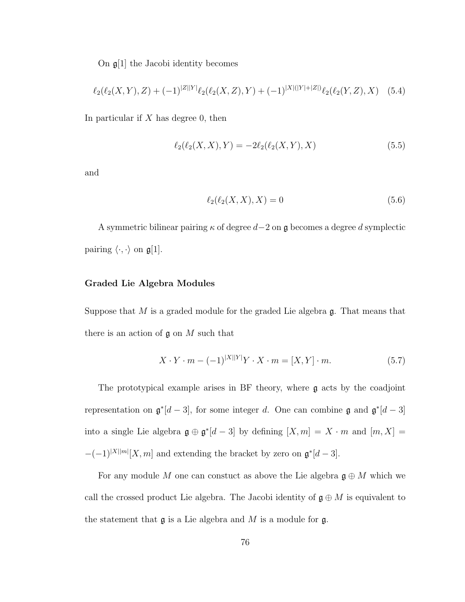On  $\mathfrak{g}[1]$  the Jacobi identity becomes

$$
\ell_2(\ell_2(X,Y),Z) + (-1)^{|Z||Y|}\ell_2(\ell_2(X,Z),Y) + (-1)^{|X|(|Y|+|Z|)}\ell_2(\ell_2(Y,Z),X) \quad (5.4)
$$

In particular if  $X$  has degree 0, then

$$
\ell_2(\ell_2(X, X), Y) = -2\ell_2(\ell_2(X, Y), X) \tag{5.5}
$$

and

<span id="page-80-0"></span>
$$
\ell_2(\ell_2(X,X),X) = 0\tag{5.6}
$$

A symmetric bilinear pairing  $\kappa$  of degree  $d-2$  on g becomes a degree d symplectic pairing  $\langle \cdot, \cdot \rangle$  on  $\mathfrak{g}[1].$ 

#### Graded Lie Algebra Modules

Suppose that  $M$  is a graded module for the graded Lie algebra  $\mathfrak{g}$ . That means that there is an action of  $\mathfrak g$  on  $M$  such that

$$
X \cdot Y \cdot m - (-1)^{|X||Y|} Y \cdot X \cdot m = [X, Y] \cdot m. \tag{5.7}
$$

The prototypical example arises in BF theory, where g acts by the coadjoint representation on  $\mathfrak{g}^*[d-3]$ , for some integer d. One can combine  $\mathfrak{g}$  and  $\mathfrak{g}^*[d-3]$ into a single Lie algebra  $\mathfrak{g} \oplus \mathfrak{g}^*[d-3]$  by defining  $[X,m] = X \cdot m$  and  $[m,X] =$  $-(-1)^{|X||m|} [X, m]$  and extending the bracket by zero on  $\mathfrak{g}^* [d-3]$ .

For any module M one can constuct as above the Lie algebra  $\mathfrak{g} \oplus M$  which we call the crossed product Lie algebra. The Jacobi identity of  $\mathfrak{g} \oplus M$  is equivalent to the statement that  $\mathfrak g$  is a Lie algebra and M is a module for  $\mathfrak g$ .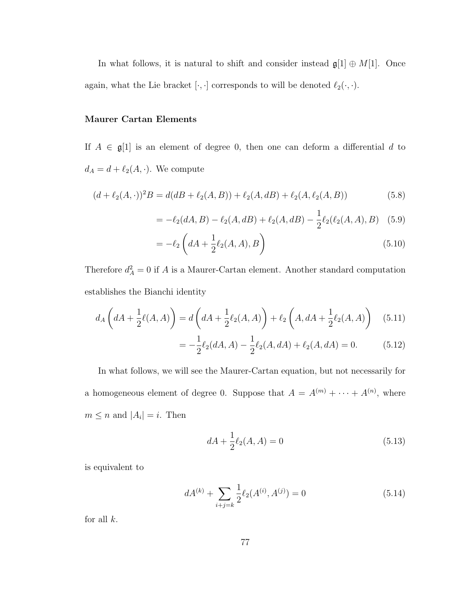In what follows, it is natural to shift and consider instead  $\mathfrak{g}[1] \oplus M[1]$ . Once again, what the Lie bracket  $[\cdot, \cdot]$  corresponds to will be denoted  $\ell_2(\cdot, \cdot)$ .

#### Maurer Cartan Elements

If  $A \in \mathfrak{g}[1]$  is an element of degree 0, then one can deform a differential d to  $d_A = d + \ell_2(A, \cdot)$ . We compute

$$
(d + \ell_2(A, \cdot))^2 B = d(dB + \ell_2(A, B)) + \ell_2(A, dB) + \ell_2(A, \ell_2(A, B))
$$
\n(5.8)

$$
= -\ell_2(dA, B) - \ell_2(A, dB) + \ell_2(A, dB) - \frac{1}{2}\ell_2(\ell_2(A, A), B) \quad (5.9)
$$

$$
= -\ell_2 \left( dA + \frac{1}{2} \ell_2(A, A), B \right) \tag{5.10}
$$

Therefore  $d_A^2 = 0$  if A is a Maurer-Cartan element. Another standard computation establishes the Bianchi identity

$$
d_A\left(dA + \frac{1}{2}\ell(A, A)\right) = d\left(dA + \frac{1}{2}\ell_2(A, A)\right) + \ell_2\left(A, dA + \frac{1}{2}\ell_2(A, A)\right) \tag{5.11}
$$

$$
= -\frac{1}{2}\ell_2(dA, A) - \frac{1}{2}\ell_2(A, dA) + \ell_2(A, dA) = 0.
$$
 (5.12)

In what follows, we will see the Maurer-Cartan equation, but not necessarily for a homogeneous element of degree 0. Suppose that  $A = A^{(m)} + \cdots + A^{(n)}$ , where  $m \leq n$  and  $|A_i| = i$ . Then

$$
dA + \frac{1}{2}\ell_2(A, A) = 0 \tag{5.13}
$$

is equivalent to

$$
dA^{(k)} + \sum_{i+j=k} \frac{1}{2} \ell_2(A^{(i)}, A^{(j)}) = 0
$$
\n(5.14)

for all  $k$ .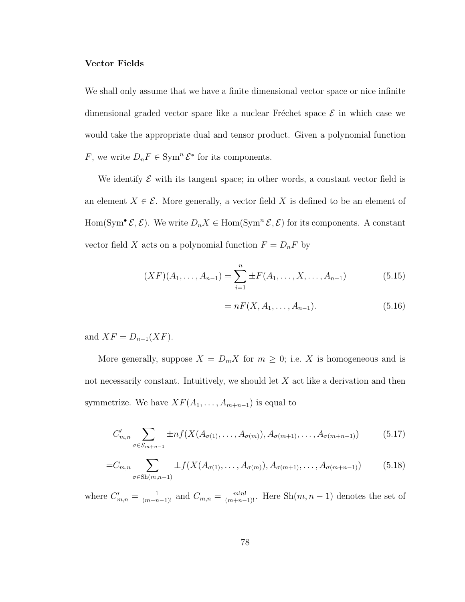#### Vector Fields

We shall only assume that we have a finite dimensional vector space or nice infinite dimensional graded vector space like a nuclear Fréchet space  $\mathcal E$  in which case we would take the appropriate dual and tensor product. Given a polynomial function F, we write  $D_n F \in \text{Sym}^n \mathcal{E}^*$  for its components.

We identify  $\mathcal E$  with its tangent space; in other words, a constant vector field is an element  $X \in \mathcal{E}$ . More generally, a vector field X is defined to be an element of  $\text{Hom}(\text{Sym}^{\bullet}\mathcal{E},\mathcal{E})$ . We write  $D_nX \in \text{Hom}(\text{Sym}^n\mathcal{E},\mathcal{E})$  for its components. A constant vector field X acts on a polynomial function  $F = D<sub>n</sub>F$  by

$$
(XF)(A_1, \dots, A_{n-1}) = \sum_{i=1}^n \pm F(A_1, \dots, X, \dots, A_{n-1})
$$
\n(5.15)

$$
= nF(X, A_1, \dots, A_{n-1}).
$$
\n(5.16)

and  $XF = D_{n-1}(XF)$ .

More generally, suppose  $X = D_m X$  for  $m \geq 0$ ; i.e. X is homogeneous and is not necessarily constant. Intuitively, we should let X act like a derivation and then symmetrize. We have  $XF(A_1, ..., A_{m+n-1})$  is equal to

$$
C'_{m,n} \sum_{\sigma \in S_{m+n-1}} \pm nf(X(A_{\sigma(1)},...,A_{\sigma(m)}), A_{\sigma(m+1)},..., A_{\sigma(m+n-1)})
$$
(5.17)

$$
=C_{m,n} \sum_{\sigma \in Sh(m,n-1)} \pm f(X(A_{\sigma(1)},...,A_{\sigma(m)}),A_{\sigma(m+1)},...,A_{\sigma(m+n-1)})
$$
(5.18)

where  $C'_{m,n} = \frac{1}{(m+n-1)!}$  and  $C_{m,n} = \frac{m!n!}{(m+n-1)!}$ . Here Sh $(m, n-1)$  denotes the set of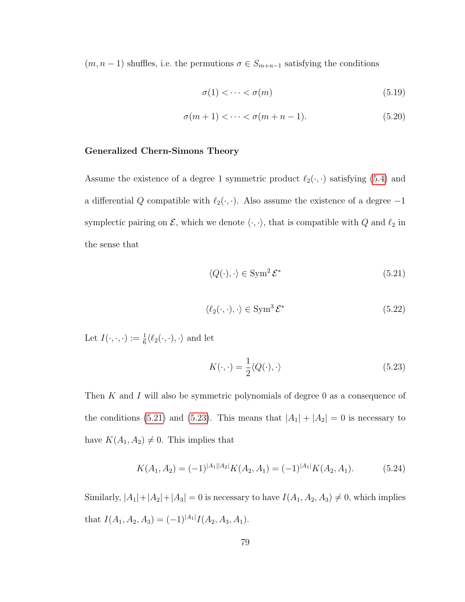$(m, n - 1)$  shuffles, i.e. the permutions  $\sigma \in S_{m+n-1}$  satisfying the conditions

$$
\sigma(1) < \cdots < \sigma(m) \tag{5.19}
$$

$$
\sigma(m+1) < \cdots < \sigma(m+n-1). \tag{5.20}
$$

#### Generalized Chern-Simons Theory

Assume the existence of a degree 1 symmetric product  $\ell_2(\cdot, \cdot)$  satisfying [\(5.4\)](#page-80-0) and a differential Q compatible with  $\ell_2(\cdot, \cdot)$ . Also assume the existence of a degree  $-1$ symplectic pairing on  $\mathcal{E}$ , which we denote  $\langle \cdot, \cdot \rangle$ , that is compatible with  $Q$  and  $\ell_2$  in the sense that

<span id="page-83-2"></span><span id="page-83-0"></span>
$$
\langle Q(\cdot), \cdot \rangle \in \text{Sym}^2 \mathcal{E}^* \tag{5.21}
$$

$$
\langle \ell_2(\cdot, \cdot), \cdot \rangle \in \text{Sym}^3 \mathcal{E}^* \tag{5.22}
$$

Let  $I(\cdot, \cdot, \cdot) := \frac{1}{6} \langle \ell_2(\cdot, \cdot), \cdot \rangle$  and let

<span id="page-83-1"></span>
$$
K(\cdot, \cdot) = \frac{1}{2} \langle Q(\cdot), \cdot \rangle \tag{5.23}
$$

Then  $K$  and  $I$  will also be symmetric polynomials of degree 0 as a consequence of the conditions [\(5.21\)](#page-83-0) and [\(5.23\)](#page-83-1). This means that  $|A_1| + |A_2| = 0$  is necessary to have  $K(A_1, A_2) \neq 0$ . This implies that

$$
K(A_1, A_2) = (-1)^{|A_1||A_2|} K(A_2, A_1) = (-1)^{|A_1|} K(A_2, A_1).
$$
 (5.24)

Similarly,  $|A_1|+|A_2|+|A_3| = 0$  is necessary to have  $I(A_1, A_2, A_3) \neq 0$ , which implies that  $I(A_1, A_2, A_3) = (-1)^{|A_1|} I(A_2, A_3, A_1).$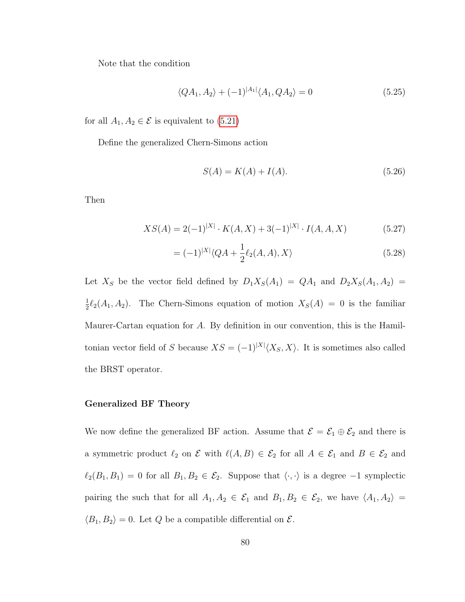Note that the condition

<span id="page-84-0"></span>
$$
\langle QA_1, A_2 \rangle + (-1)^{|A_1|} \langle A_1, QA_2 \rangle = 0 \tag{5.25}
$$

for all  $A_1, A_2 \in \mathcal{E}$  is equivalent to  $(5.21)$ 

Define the generalized Chern-Simons action

$$
S(A) = K(A) + I(A).
$$
 (5.26)

Then

$$
XS(A) = 2(-1)^{|X|} \cdot K(A, X) + 3(-1)^{|X|} \cdot I(A, A, X) \tag{5.27}
$$

$$
= (-1)^{|X|} \langle QA + \frac{1}{2} \ell_2(A, A), X \rangle \tag{5.28}
$$

Let  $X_S$  be the vector field defined by  $D_1X_S(A_1) = QA_1$  and  $D_2X_S(A_1, A_2)$ 1  $\frac{1}{2}\ell_2(A_1, A_2)$ . The Chern-Simons equation of motion  $X_S(A) = 0$  is the familiar Maurer-Cartan equation for A. By definition in our convention, this is the Hamiltonian vector field of S because  $XS = (-1)^{|X|} \langle X_S, X \rangle$ . It is sometimes also called the BRST operator.

#### Generalized BF Theory

We now define the generalized BF action. Assume that  $\mathcal{E} = \mathcal{E}_1 \oplus \mathcal{E}_2$  and there is a symmetric product  $\ell_2$  on  $\mathcal E$  with  $\ell(A, B) \in \mathcal E_2$  for all  $A \in \mathcal E_1$  and  $B \in \mathcal E_2$  and  $\ell_2(B_1, B_1) = 0$  for all  $B_1, B_2 \in \mathcal{E}_2$ . Suppose that  $\langle \cdot, \cdot \rangle$  is a degree  $-1$  symplectic pairing the such that for all  $A_1, A_2 \in \mathcal{E}_1$  and  $B_1, B_2 \in \mathcal{E}_2$ , we have  $\langle A_1, A_2 \rangle =$  $\langle B_1, B_2 \rangle = 0$ . Let Q be a compatible differential on  $\mathcal{E}$ .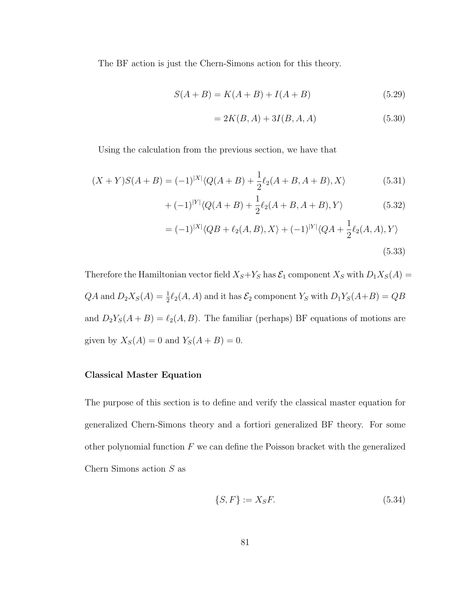The BF action is just the Chern-Simons action for this theory.

$$
S(A + B) = K(A + B) + I(A + B)
$$
\n(5.29)

$$
= 2K(B, A) + 3I(B, A, A)
$$
\n(5.30)

Using the calculation from the previous section, we have that

$$
(X+Y)S(A+B) = (-1)^{|X|} \langle Q(A+B) + \frac{1}{2} \ell_2(A+B, A+B), X \rangle \tag{5.31}
$$

$$
+(-1)^{|Y|}\langle Q(A+B)+\frac{1}{2}\ell_2(A+B,A+B),Y\rangle \tag{5.32}
$$

$$
= (-1)^{|X|} \langle QB + \ell_2(A, B), X \rangle + (-1)^{|Y|} \langle QA + \frac{1}{2} \ell_2(A, A), Y \rangle
$$
\n(5.33)

Therefore the Hamiltonian vector field  $X_S+Y_S$  has  $\mathcal{E}_1$  component  $X_S$  with  $D_1X_S(A)$  =  $QA$  and  $D_2X_S(A) = \frac{1}{2}\ell_2(A, A)$  and it has  $\mathcal{E}_2$  component  $Y_S$  with  $D_1Y_S(A+B) = QB$ and  $D_2Y_s(A + B) = \ell_2(A, B)$ . The familiar (perhaps) BF equations of motions are given by  $X_S(A) = 0$  and  $Y_S(A + B) = 0$ .

#### Classical Master Equation

The purpose of this section is to define and verify the classical master equation for generalized Chern-Simons theory and a fortiori generalized BF theory. For some other polynomial function  $F$  we can define the Poisson bracket with the generalized Chern Simons action  $S$  as

$$
\{S, F\} := X_S F. \tag{5.34}
$$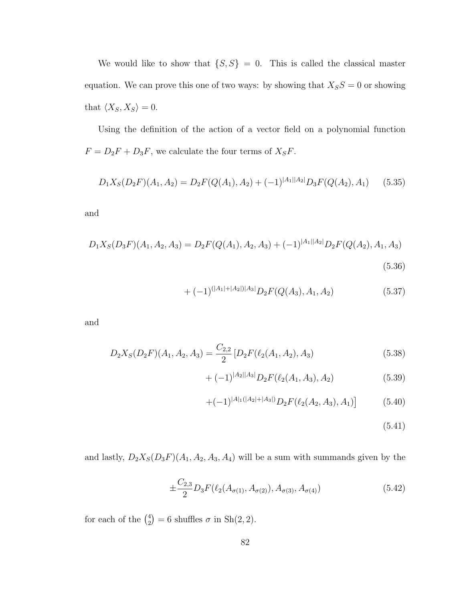We would like to show that  $\{S, S\} = 0$ . This is called the classical master equation. We can prove this one of two ways: by showing that  $X_S S = 0$  or showing that  $\langle X_S, X_S \rangle = 0$ .

Using the definition of the action of a vector field on a polynomial function  $F = D_2F + D_3F$ , we calculate the four terms of  $X_SF$ .

$$
D_1 X_S (D_2 F)(A_1, A_2) = D_2 F(Q(A_1), A_2) + (-1)^{|A_1||A_2|} D_3 F(Q(A_2), A_1)
$$
(5.35)

and

$$
D_1X_S(D_3F)(A_1, A_2, A_3) = D_2F(Q(A_1), A_2, A_3) + (-1)^{|A_1||A_2|}D_2F(Q(A_2), A_1, A_3)
$$
\n(5.36)

<span id="page-86-0"></span>
$$
+ (-1)^{(|A_1| + |A_2|)|A_3|} D_2 F(Q(A_3), A_1, A_2)
$$
\n(5.37)

and

$$
D_2X_S(D_2F)(A_1, A_2, A_3) = \frac{C_{2,2}}{2} \left[ D_2F(\ell_2(A_1, A_2), A_3) \right]
$$
(5.38)

$$
+ (-1)^{|A_2||A_3|} D_2 F(\ell_2(A_1, A_3), A_2)
$$
\n(5.39)

$$
+(-1)^{|A|_1(|A_2|+|A_3|)}D_2F(\ell_2(A_2,A_3),A_1)]\tag{5.40}
$$

<span id="page-86-2"></span><span id="page-86-1"></span>(5.41)

and lastly,  $D_2X_S(D_3F)(A_1, A_2, A_3, A_4)$  will be a sum with summands given by the

$$
\pm \frac{C_{2,3}}{2} D_3 F(\ell_2(A_{\sigma(1)}, A_{\sigma(2)}), A_{\sigma(3)}, A_{\sigma(4)})
$$
\n(5.42)

for each of the  $\binom{4}{2}$  $a_2^4$ ) = 6 shuffles  $\sigma$  in Sh(2, 2).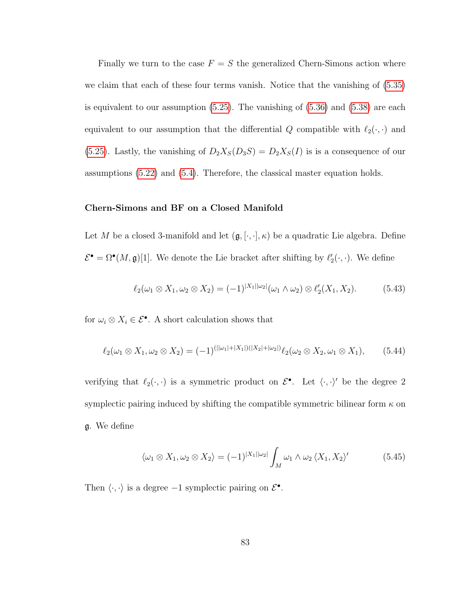Finally we turn to the case  $F = S$  the generalized Chern-Simons action where we claim that each of these four terms vanish. Notice that the vanishing of [\(5.35\)](#page-86-0) is equivalent to our assumption [\(5.25\)](#page-84-0). The vanishing of [\(5.36\)](#page-86-1) and [\(5.38\)](#page-86-2) are each equivalent to our assumption that the differential  $Q$  compatible with  $\ell_2(\cdot, \cdot)$  and [\(5.25\)](#page-84-0). Lastly, the vanishing of  $D_2X_S(D_3S) = D_2X_S(I)$  is is a consequence of our assumptions [\(5.22\)](#page-83-2) and [\(5.4\)](#page-80-0). Therefore, the classical master equation holds.

#### Chern-Simons and BF on a Closed Manifold

Let M be a closed 3-manifold and let  $(\mathfrak{g}, [\cdot, \cdot], \kappa)$  be a quadratic Lie algebra. Define  $\mathcal{E}^{\bullet} = \Omega^{\bullet}(M, \mathfrak{g})[1]$ . We denote the Lie bracket after shifting by  $\ell_2'(\cdot, \cdot)$ . We define

$$
\ell_2(\omega_1 \otimes X_1, \omega_2 \otimes X_2) = (-1)^{|X_1||\omega_2|}(\omega_1 \wedge \omega_2) \otimes \ell'_2(X_1, X_2).
$$
 (5.43)

for  $\omega_i \otimes X_i \in \mathcal{E}^{\bullet}$ . A short calculation shows that

$$
\ell_2(\omega_1 \otimes X_1, \omega_2 \otimes X_2) = (-1)^{(||\omega_1| + |X_1|)(|X_2| + |\omega_2|)} \ell_2(\omega_2 \otimes X_2, \omega_1 \otimes X_1), \qquad (5.44)
$$

verifying that  $\ell_2(\cdot, \cdot)$  is a symmetric product on  $\mathcal{E}^{\bullet}$ . Let  $\langle \cdot, \cdot \rangle'$  be the degree 2 symplectic pairing induced by shifting the compatible symmetric bilinear form  $\kappa$  on g. We define

$$
\langle \omega_1 \otimes X_1, \omega_2 \otimes X_2 \rangle = (-1)^{|X_1||\omega_2|} \int_M \omega_1 \wedge \omega_2 \langle X_1, X_2 \rangle' \tag{5.45}
$$

Then  $\langle \cdot, \cdot \rangle$  is a degree -1 symplectic pairing on  $\mathcal{E}^{\bullet}$ .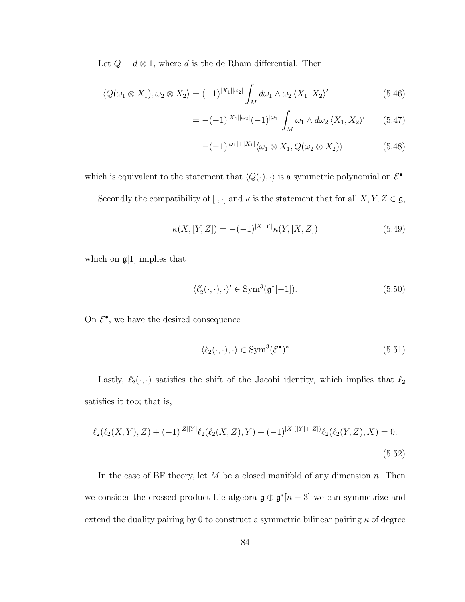Let  $Q=d\otimes 1,$  where  $d$  is the de Rham differential. Then

$$
\langle Q(\omega_1 \otimes X_1), \omega_2 \otimes X_2 \rangle = (-1)^{|X_1||\omega_2|} \int_M d\omega_1 \wedge \omega_2 \langle X_1, X_2 \rangle' \tag{5.46}
$$

$$
= -(-1)^{|X_1||\omega_2|}(-1)^{|\omega_1|}\int_M \omega_1 \wedge d\omega_2 \langle X_1, X_2 \rangle' \qquad (5.47)
$$

$$
= -(-1)^{|\omega_1|+|X_1|} \langle \omega_1 \otimes X_1, Q(\omega_2 \otimes X_2) \rangle \tag{5.48}
$$

which is equivalent to the statement that  $\langle Q(\cdot), \cdot \rangle$  is a symmetric polynomial on  $\mathcal{E}^{\bullet}$ .

Secondly the compatibility of  $[\cdot, \cdot]$  and  $\kappa$  is the statement that for all  $X, Y, Z \in \mathfrak{g}$ ,

$$
\kappa(X, [Y, Z]) = -(-1)^{|X||Y|} \kappa(Y, [X, Z])
$$
\n(5.49)

which on  $\mathfrak{g}[1]$  implies that

$$
\langle \ell_2'(\cdot, \cdot), \cdot \rangle' \in \text{Sym}^3(\mathfrak{g}^*[-1]). \tag{5.50}
$$

On  $\mathcal{E}^{\bullet}$ , we have the desired consequence

$$
\langle \ell_2(\cdot, \cdot), \cdot \rangle \in \text{Sym}^3(\mathcal{E}^\bullet)^* \tag{5.51}
$$

Lastly,  $\ell_2'(\cdot, \cdot)$  satisfies the shift of the Jacobi identity, which implies that  $\ell_2$ satisfies it too; that is,

$$
\ell_2(\ell_2(X,Y),Z) + (-1)^{|Z||Y|} \ell_2(\ell_2(X,Z),Y) + (-1)^{|X|(|Y|+|Z|)} \ell_2(\ell_2(Y,Z),X) = 0.
$$
\n(5.52)

In the case of BF theory, let  $M$  be a closed manifold of any dimension  $n$ . Then we consider the crossed product Lie algebra  $\mathfrak{g} \oplus \mathfrak{g}^*[n-3]$  we can symmetrize and extend the duality pairing by 0 to construct a symmetric bilinear pairing  $\kappa$  of degree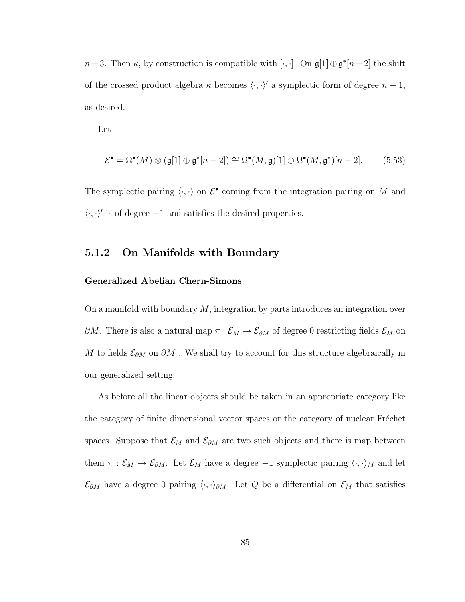$n-3$ . Then  $\kappa$ , by construction is compatible with [ $\cdot$ ,  $\cdot$ ]. On  $\mathfrak{g}[1] \oplus \mathfrak{g}^*[n-2]$  the shift of the crossed product algebra  $\kappa$  becomes  $\langle \cdot, \cdot \rangle'$  a symplectic form of degree  $n - 1$ , as desired.

Let

$$
\mathcal{E}^{\bullet} = \Omega^{\bullet}(M) \otimes (\mathfrak{g}[1] \oplus \mathfrak{g}^*[n-2]) \cong \Omega^{\bullet}(M, \mathfrak{g})[1] \oplus \Omega^{\bullet}(M, \mathfrak{g}^*)[n-2].
$$
 (5.53)

The symplectic pairing  $\langle \cdot, \cdot \rangle$  on  $\mathcal{E}^{\bullet}$  coming from the integration pairing on M and  $\langle \cdot, \cdot \rangle'$  is of degree  $-1$  and satisfies the desired properties.

#### 5.1.2 On Manifolds with Boundary

#### Generalized Abelian Chern-Simons

On a manifold with boundary  $M$ , integration by parts introduces an integration over  $\partial M$ . There is also a natural map  $\pi : \mathcal{E}_M \to \mathcal{E}_{\partial M}$  of degree 0 restricting fields  $\mathcal{E}_M$  on M to fields  $\mathcal{E}_{\partial M}$  on  $\partial M$ . We shall try to account for this structure algebraically in our generalized setting.

As before all the linear objects should be taken in an appropriate category like the category of finite dimensional vector spaces or the category of nuclear Fréchet spaces. Suppose that  $\mathcal{E}_M$  and  $\mathcal{E}_{\partial M}$  are two such objects and there is map between them  $\pi : \mathcal{E}_M \to \mathcal{E}_{\partial M}$ . Let  $\mathcal{E}_M$  have a degree  $-1$  symplectic pairing  $\langle \cdot, \cdot \rangle_M$  and let  $\mathcal{E}_{\partial M}$  have a degree 0 pairing  $\langle \cdot, \cdot \rangle_{\partial M}$ . Let Q be a differential on  $\mathcal{E}_M$  that satisfies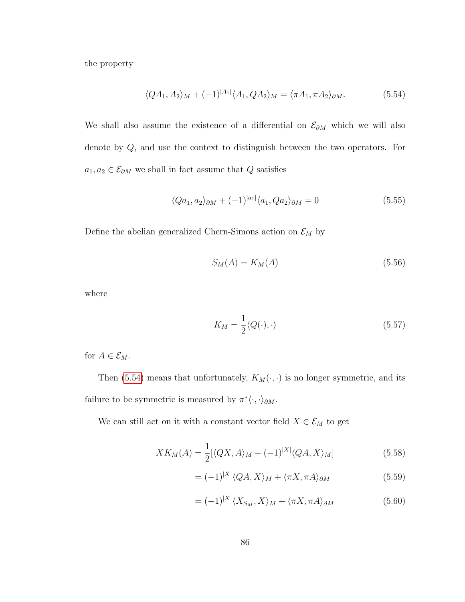the property

<span id="page-90-0"></span>
$$
\langle QA_1, A_2 \rangle_M + (-1)^{|A_1|} \langle A_1, QA_2 \rangle_M = \langle \pi A_1, \pi A_2 \rangle_{\partial M}.
$$
 (5.54)

We shall also assume the existence of a differential on  $\mathcal{E}_{\partial M}$  which we will also denote by Q, and use the context to distinguish between the two operators. For  $a_1, a_2 \in \mathcal{E}_{\partial M}$  we shall in fact assume that Q satisfies

$$
\langle Qa_1, a_2 \rangle_{\partial M} + (-1)^{|a_1|} \langle a_1, Qa_2 \rangle_{\partial M} = 0 \tag{5.55}
$$

Define the abelian generalized Chern-Simons action on  $\mathcal{E}_M$  by

<span id="page-90-1"></span>
$$
S_M(A) = K_M(A) \tag{5.56}
$$

where

$$
K_M = \frac{1}{2} \langle Q(\cdot), \cdot \rangle \tag{5.57}
$$

for  $A \in \mathcal{E}_M$ .

Then [\(5.54\)](#page-90-0) means that unfortunately,  $K_M(\cdot, \cdot)$  is no longer symmetric, and its failure to be symmetric is measured by  $\pi^* \langle \cdot, \cdot \rangle_{\partial M}$ .

We can still act on it with a constant vector field  $X \in \mathcal{E}_M$  to get

$$
XK_M(A) = \frac{1}{2} [\langle QX, A \rangle_M + (-1)^{|X|} \langle QA, X \rangle_M]
$$
\n(5.58)

$$
= (-1)^{|X|} \langle QA, X \rangle_M + \langle \pi X, \pi A \rangle_{\partial M}
$$
\n(5.59)

$$
= (-1)^{|X|} \langle X_{S_M}, X \rangle_M + \langle \pi X, \pi A \rangle_{\partial M} \tag{5.60}
$$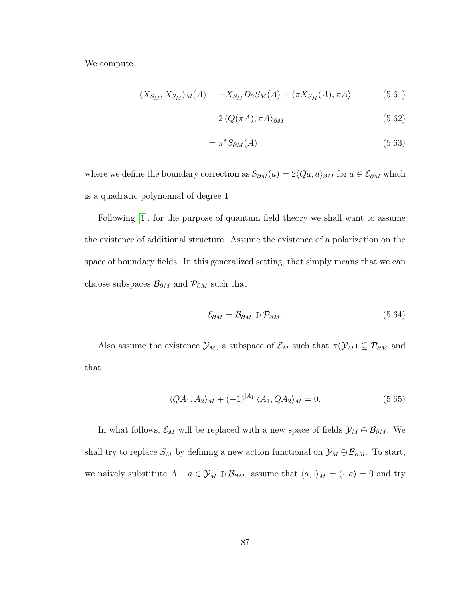We compute

$$
\langle X_{S_M}, X_{S_M} \rangle_M(A) = -X_{S_M} D_2 S_M(A) + \langle \pi X_{S_M}(A), \pi A \rangle \tag{5.61}
$$

$$
=2\left\langle Q(\pi A), \pi A \right\rangle_{\partial M} \tag{5.62}
$$

$$
= \pi^* S_{\partial M}(A) \tag{5.63}
$$

where we define the boundary correction as  $S_{\partial M}(a) = 2\langle Qa, a \rangle_{\partial M}$  for  $a \in \mathcal{E}_{\partial M}$  which is a quadratic polynomial of degree 1.

Following [\[1\]](#page-106-0), for the purpose of quantum field theory we shall want to assume the existence of additional structure. Assume the existence of a polarization on the space of boundary fields. In this generalized setting, that simply means that we can choose subspaces  $\mathcal{B}_{\partial M}$  and  $\mathcal{P}_{\partial M}$  such that

<span id="page-91-0"></span>
$$
\mathcal{E}_{\partial M} = \mathcal{B}_{\partial M} \oplus \mathcal{P}_{\partial M}.\tag{5.64}
$$

Also assume the existence  $\mathcal{Y}_M$ , a subspace of  $\mathcal{E}_M$  such that  $\pi(\mathcal{Y}_M) \subseteq \mathcal{P}_{\partial M}$  and that

$$
\langle QA_1, A_2 \rangle_M + (-1)^{|A_1|} \langle A_1, QA_2 \rangle_M = 0.
$$
 (5.65)

In what follows,  $\mathcal{E}_M$  will be replaced with a new space of fields  $\mathcal{Y}_M \oplus \mathcal{B}_{\partial M}$ . We shall try to replace  $S_M$  by defining a new action functional on  $\mathcal{Y}_M \oplus \mathcal{B}_{\partial M}$ . To start, we naively substitute  $A + a \in \mathcal{Y}_M \oplus \mathcal{B}_{\partial M}$ , assume that  $\langle a, \cdot \rangle_M = \langle \cdot, a \rangle = 0$  and try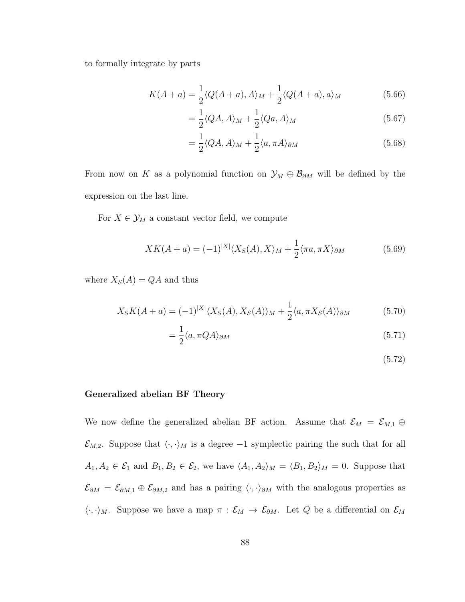to formally integrate by parts

$$
K(A+a) = \frac{1}{2} \langle Q(A+a), A \rangle_M + \frac{1}{2} \langle Q(A+a), a \rangle_M \tag{5.66}
$$

$$
=\frac{1}{2}\langle QA, A\rangle_M + \frac{1}{2}\langle Qa, A\rangle_M
$$
\n(5.67)

$$
=\frac{1}{2}\langle QA, A\rangle_M + \frac{1}{2}\langle a, \pi A\rangle_{\partial M} \tag{5.68}
$$

From now on K as a polynomial function on  $\mathcal{Y}_M \oplus \mathcal{B}_{\partial M}$  will be defined by the expression on the last line.

For  $X \in \mathcal{Y}_M$  a constant vector field, we compute

$$
XK(A+a) = (-1)^{|X|} \langle X_S(A), X \rangle_M + \frac{1}{2} \langle \pi a, \pi X \rangle_{\partial M}
$$
 (5.69)

where  $X_S(A) = QA$  and thus

$$
X_S K(A+a) = (-1)^{|X|} \langle X_S(A), X_S(A) \rangle_M + \frac{1}{2} \langle a, \pi X_S(A) \rangle_{\partial M}
$$
(5.70)

$$
=\frac{1}{2}\langle a,\pi Q A\rangle_{\partial M}\tag{5.71}
$$

$$
(5.72)
$$

#### Generalized abelian BF Theory

We now define the generalized abelian BF action. Assume that  $\mathcal{E}_M = \mathcal{E}_{M,1} \oplus$  $\mathcal{E}_{M,2}$ . Suppose that  $\langle \cdot, \cdot \rangle_M$  is a degree  $-1$  symplectic pairing the such that for all  $A_1, A_2 \in \mathcal{E}_1$  and  $B_1, B_2 \in \mathcal{E}_2$ , we have  $\langle A_1, A_2 \rangle_M = \langle B_1, B_2 \rangle_M = 0$ . Suppose that  $\mathcal{E}_{\partial M} = \mathcal{E}_{\partial M,1} \oplus \mathcal{E}_{\partial M,2}$  and has a pairing  $\langle \cdot, \cdot \rangle_{\partial M}$  with the analogous properties as  $\langle \cdot, \cdot \rangle_M$ . Suppose we have a map  $\pi : \mathcal{E}_M \to \mathcal{E}_{\partial M}$ . Let Q be a differential on  $\mathcal{E}_M$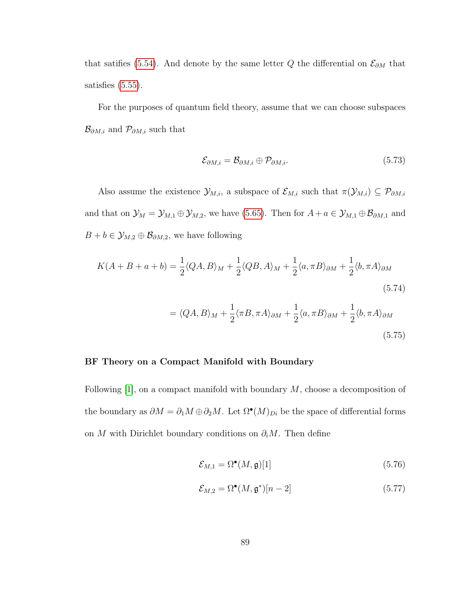that satifies [\(5.54\)](#page-90-0). And denote by the same letter  $Q$  the differential on  $\mathcal{E}_{\partial M}$  that satisfies [\(5.55\)](#page-90-1).

For the purposes of quantum field theory, assume that we can choose subspaces  $\mathcal{B}_{\partial M,i}$  and  $\mathcal{P}_{\partial M,i}$  such that

$$
\mathcal{E}_{\partial M,i} = \mathcal{B}_{\partial M,i} \oplus \mathcal{P}_{\partial M,i}.\tag{5.73}
$$

Also assume the existence  $\mathcal{Y}_{M,i}$ , a subspace of  $\mathcal{E}_{M,i}$  such that  $\pi(\mathcal{Y}_{M,i}) \subseteq \mathcal{P}_{\partial M,i}$ and that on  $\mathcal{Y}_M = \mathcal{Y}_{M,1} \oplus \mathcal{Y}_{M,2}$ , we have [\(5.65\)](#page-91-0). Then for  $A + a \in \mathcal{Y}_{M,1} \oplus \mathcal{B}_{\partial M,1}$  and  $B + b \in \mathcal{Y}_{M,2} \oplus \mathcal{B}_{\partial M,2}$ , we have following

$$
K(A + B + a + b) = \frac{1}{2} \langle QA, B \rangle_M + \frac{1}{2} \langle QB, A \rangle_M + \frac{1}{2} \langle a, \pi B \rangle_{\partial M} + \frac{1}{2} \langle b, \pi A \rangle_{\partial M}
$$
  

$$
= \langle QA, B \rangle_M + \frac{1}{2} \langle \pi B, \pi A \rangle_{\partial M} + \frac{1}{2} \langle a, \pi B \rangle_{\partial M} + \frac{1}{2} \langle b, \pi A \rangle_{\partial M}
$$
  
(5.75)

#### BF Theory on a Compact Manifold with Boundary

Following  $[1]$ , on a compact manifold with boundary  $M$ , choose a decomposition of the boundary as  $\partial M = \partial_1 M \oplus \partial_2 M$ . Let  $\Omega^{\bullet}(M)_{D_i}$  be the space of differential forms on M with Dirichlet boundary conditions on  $\partial_i M$ . Then define

$$
\mathcal{E}_{M,1} = \Omega^{\bullet}(M,\mathfrak{g})[1] \tag{5.76}
$$

$$
\mathcal{E}_{M,2} = \Omega^{\bullet}(M,\mathfrak{g}^*)[n-2] \tag{5.77}
$$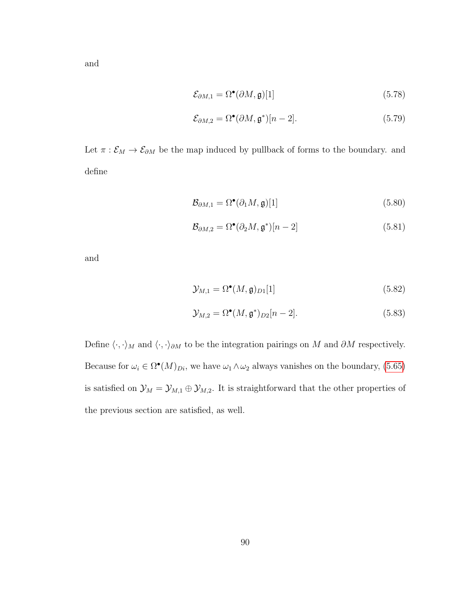and

$$
\mathcal{E}_{\partial M,1} = \Omega^{\bullet}(\partial M, \mathfrak{g})[1] \tag{5.78}
$$

$$
\mathcal{E}_{\partial M,2} = \Omega^{\bullet}(\partial M, \mathfrak{g}^*)[n-2].\tag{5.79}
$$

Let  $\pi : \mathcal{E}_M \to \mathcal{E}_{\partial M}$  be the map induced by pullback of forms to the boundary. and define

$$
\mathcal{B}_{\partial M,1} = \Omega^{\bullet}(\partial_1 M, \mathfrak{g})[1] \tag{5.80}
$$

$$
\mathcal{B}_{\partial M,2} = \Omega^{\bullet}(\partial_2 M, \mathfrak{g}^*)[n-2] \tag{5.81}
$$

and

$$
\mathcal{Y}_{M,1} = \Omega^{\bullet}(M,\mathfrak{g})_{D1}[1] \tag{5.82}
$$

$$
\mathcal{Y}_{M,2} = \Omega^{\bullet}(M, \mathfrak{g}^*)_{D2}[n-2]. \tag{5.83}
$$

Define  $\langle\cdot,\cdot\rangle_M$  and  $\langle\cdot,\cdot\rangle_{\partial M}$  to be the integration pairings on  $M$  and  $\partial M$  respectively. Because for  $\omega_i \in \Omega^{\bullet}(M)_{Di}$ , we have  $\omega_1 \wedge \omega_2$  always vanishes on the boundary, [\(5.65\)](#page-91-0) is satisfied on  $\mathcal{Y}_M = \mathcal{Y}_{M,1} \oplus \mathcal{Y}_{M,2}$ . It is straightforward that the other properties of the previous section are satisfied, as well.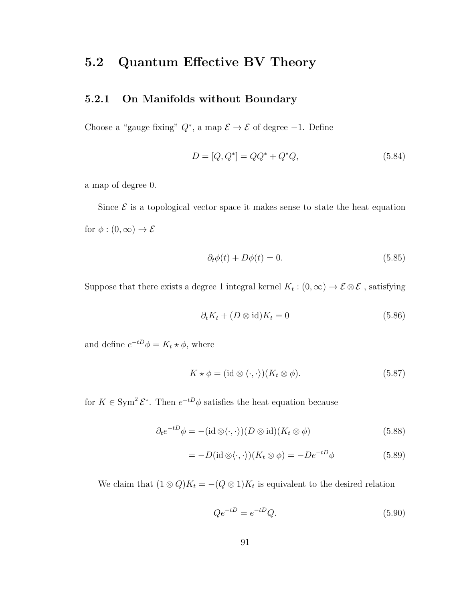## 5.2 Quantum Effective BV Theory

#### 5.2.1 On Manifolds without Boundary

Choose a "gauge fixing"  $Q^*$ , a map  $\mathcal{E} \to \mathcal{E}$  of degree -1. Define

$$
D = [Q, Q^*] = QQ^* + Q^*Q,
$$
\n(5.84)

a map of degree 0.

Since  $\mathcal E$  is a topological vector space it makes sense to state the heat equation for  $\phi : (0, \infty) \to \mathcal{E}$ 

$$
\partial_t \phi(t) + D\phi(t) = 0. \tag{5.85}
$$

Suppose that there exists a degree 1 integral kernel  $K_t: (0, \infty) \to \mathcal{E} \otimes \mathcal{E}$  , satisfying

$$
\partial_t K_t + (D \otimes id) K_t = 0 \tag{5.86}
$$

and define  $e^{-tD}\phi = K_t \star \phi$ , where

$$
K \star \phi = (\text{id} \otimes \langle \cdot, \cdot \rangle)(K_t \otimes \phi). \tag{5.87}
$$

for  $K \in \text{Sym}^2 \mathcal{E}^*$ . Then  $e^{-tD}\phi$  satisfies the heat equation because

$$
\partial_t e^{-tD} \phi = -(\text{id} \otimes \langle \cdot, \cdot \rangle)(D \otimes \text{id})(K_t \otimes \phi) \tag{5.88}
$$

$$
= -D(\mathrm{id}\otimes\langle\cdot,\cdot\rangle)(K_t\otimes\phi) = -De^{-tD}\phi\tag{5.89}
$$

We claim that  $(1 \otimes Q)K_t = -(Q \otimes 1)K_t$  is equivalent to the desired relation

$$
Qe^{-tD} = e^{-tD}Q.
$$
\n(5.90)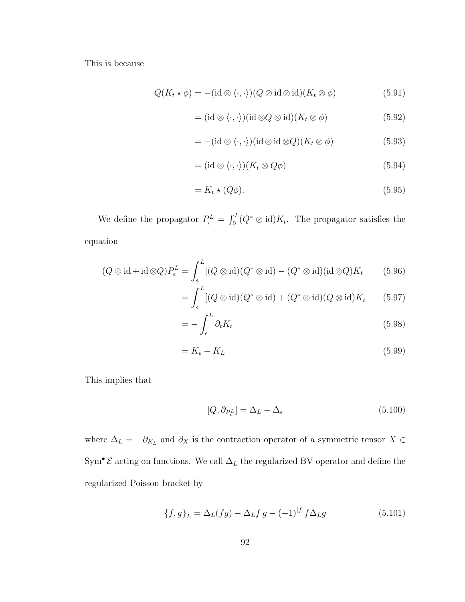This is because

$$
Q(K_t \star \phi) = -(\mathrm{id} \otimes \langle \cdot, \cdot \rangle)(Q \otimes \mathrm{id} \otimes \mathrm{id})(K_t \otimes \phi) \tag{5.91}
$$

$$
= (\mathrm{id} \otimes \langle \cdot, \cdot \rangle)(\mathrm{id} \otimes Q \otimes \mathrm{id})(K_t \otimes \phi) \tag{5.92}
$$

$$
= -(\mathrm{id} \otimes \langle \cdot, \cdot \rangle)(\mathrm{id} \otimes \mathrm{id} \otimes Q)(K_t \otimes \phi) \tag{5.93}
$$

$$
= (\mathrm{id} \otimes \langle \cdot, \cdot \rangle)(K_t \otimes Q\phi) \tag{5.94}
$$

$$
= K_t \star (Q\phi). \tag{5.95}
$$

We define the propagator  $P_{\epsilon}^{L} = \int_{0}^{L} (Q^* \otimes id) K_t$ . The propagator satisfies the equation

$$
(Q \otimes id + id \otimes Q)P_{\epsilon}^{L} = \int_{\epsilon}^{L} [(Q \otimes id)(Q^* \otimes id) - (Q^* \otimes id)(id \otimes Q)K_t \qquad (5.96)
$$

$$
= \int_{\epsilon}^{L} [(Q \otimes id)(Q^* \otimes id) + (Q^* \otimes id)(Q \otimes id)K_t \qquad (5.97)
$$

$$
= -\int_{\epsilon}^{L} \partial_t K_t \tag{5.98}
$$

$$
=K_{\epsilon}-K_{L}\tag{5.99}
$$

This implies that

<span id="page-96-0"></span>
$$
[Q, \partial_{P_{\epsilon}^{L}}] = \Delta_{L} - \Delta_{\epsilon}
$$
\n(5.100)

where  $\Delta_L = -\partial_{K_L}$  and  $\partial_X$  is the contraction operator of a symmetric tensor  $X \in$ Sym<sup>•</sup>  $\mathcal E$  acting on functions. We call  $\Delta_L$  the regularized BV operator and define the regularized Poisson bracket by

$$
\{f,g\}_L = \Delta_L(fg) - \Delta_L f g - (-1)^{|f|} f \Delta_L g \tag{5.101}
$$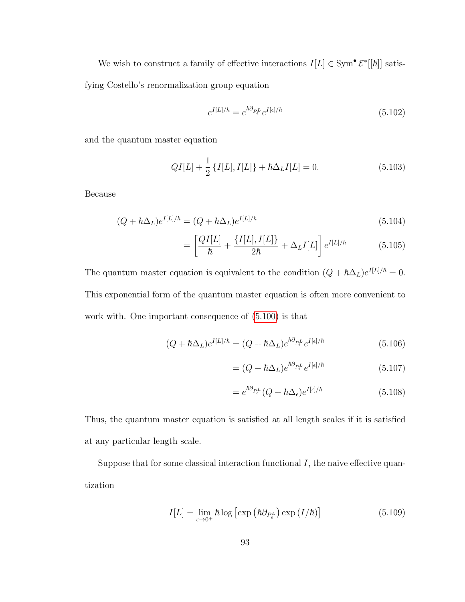We wish to construct a family of effective interactions  $I[L] \in \text{Sym}^{\bullet} \mathcal{E}^*[[\hbar]]$  satisfying Costello's renormalization group equation

$$
e^{I[L]/\hbar} = e^{\hbar \partial_{P^L_\epsilon}} e^{I[\epsilon]/\hbar} \tag{5.102}
$$

and the quantum master equation

$$
QI[L] + \frac{1}{2} \{I[L], I[L]\} + \hbar \Delta_L I[L] = 0.
$$
 (5.103)

Because

$$
(Q + \hbar \Delta_L) e^{I[L]/\hbar} = (Q + \hbar \Delta_L) e^{I[L]/\hbar}
$$
\n
$$
(5.104)
$$

$$
= \left[\frac{QI[L]}{\hbar} + \frac{\{I[L], I[L]\}}{2\hbar} + \Delta_L I[L]\right] e^{I[L]/\hbar} \tag{5.105}
$$

The quantum master equation is equivalent to the condition  $(Q + \hbar \Delta_L) e^{I[L]/\hbar} = 0$ . This exponential form of the quantum master equation is often more convenient to work with. One important consequence of [\(5.100\)](#page-96-0) is that

$$
(Q + \hbar \Delta_L) e^{I[L]/\hbar} = (Q + \hbar \Delta_L) e^{\hbar \partial_{P^L_\epsilon}} e^{I[\epsilon]/\hbar}
$$
\n(5.106)

$$
= (Q + \hbar \Delta_L) e^{\hbar \partial_{P_\epsilon^L}} e^{I[\epsilon]/\hbar} \tag{5.107}
$$

$$
=e^{\hbar\partial_{P_{\epsilon}^{L}}}(Q+\hbar\Delta_{\epsilon})e^{I[\epsilon]/\hbar}
$$
\n(5.108)

Thus, the quantum master equation is satisfied at all length scales if it is satisfied at any particular length scale.

Suppose that for some classical interaction functional  $I$ , the naive effective quantization

$$
I[L] = \lim_{\epsilon \to 0^+} \hbar \log \left[ \exp \left( \hbar \partial_{P_{\epsilon}^L} \right) \exp \left( I/\hbar \right) \right] \tag{5.109}
$$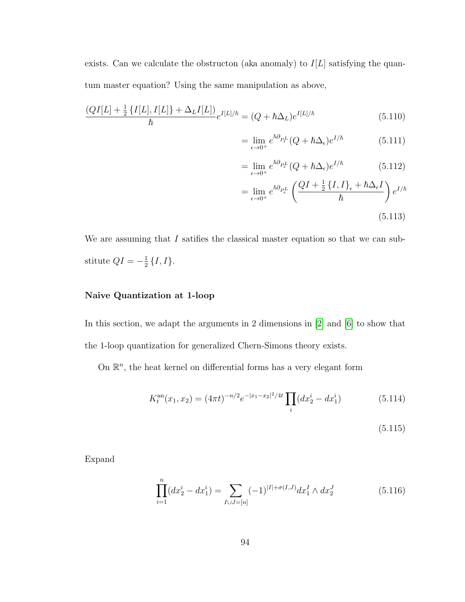exists. Can we calculate the obstructon (aka anomaly) to  $I[L]$  satisfying the quantum master equation? Using the same manipulation as above,

$$
\frac{(QI[L] + \frac{1}{2} \{I[L], I[L] \} + \Delta_L I[L])}{\hbar} e^{I[L]/\hbar} = (Q + \hbar \Delta_L) e^{I[L]/\hbar}
$$
(5.110)

$$
= \lim_{\epsilon \to 0^+} e^{\hbar \partial_{P^L_\epsilon}} (Q + \hbar \Delta_\epsilon) e^{I/\hbar} \tag{5.111}
$$

$$
= \lim_{\epsilon \to 0^+} e^{\hbar \partial_{P^L_{\epsilon}}}(Q + \hbar \Delta_{\epsilon}) e^{I/\hbar} \tag{5.112}
$$

$$
= \lim_{\epsilon \to 0^+} e^{\hbar \partial_{P^L_{\epsilon}}} \left( \frac{QI + \frac{1}{2} \{I, I\}_{\epsilon} + \hbar \Delta_{\epsilon} I}{\hbar} \right) e^{I/\hbar}
$$
\n(5.113)

We are assuming that  $I$  satifies the classical master equation so that we can substitute  $QI = -\frac{1}{2}$  $\frac{1}{2}\{I, I\}.$ 

#### Naive Quantization at 1-loop

In this section, we adapt the arguments in 2 dimensions in [\[2\]](#page-106-1) and [\[6\]](#page-106-2) to show that the 1-loop quantization for generalized Chern-Simons theory exists.

On  $\mathbb{R}^n$ , the heat kernel on differential forms has a very elegant form

$$
K_t^{\text{an}}(x_1, x_2) = (4\pi t)^{-n/2} e^{-|x_1 - x_2|^2/4t} \prod_i (dx_2^i - dx_1^i)
$$
 (5.114)

$$
(5.115)
$$

Expand

$$
\prod_{i=1}^{n} (dx_2^i - dx_1^i) = \sum_{I \cup J = [n]} (-1)^{|I| + \sigma(I, J)} dx_1^I \wedge dx_2^J \tag{5.116}
$$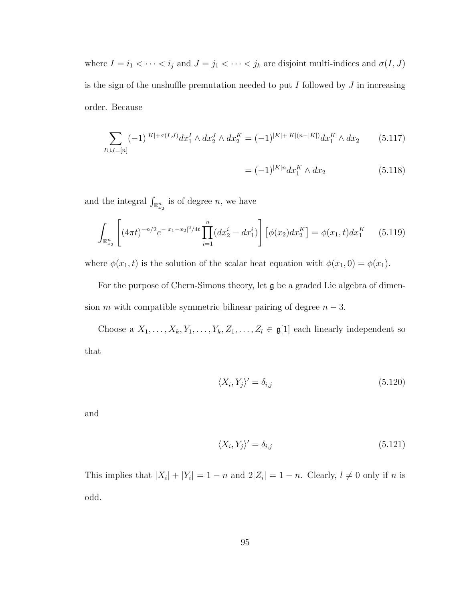where  $I = i_1 < \cdots < i_j$  and  $J = j_1 < \cdots < j_k$  are disjoint multi-indices and  $\sigma(I, J)$ is the sign of the unshuffle premutation needed to put  $I$  followed by  $J$  in increasing order. Because

$$
\sum_{I \cup J = [n]} (-1)^{|K| + \sigma(I, J)} dx_1^I \wedge dx_2^J \wedge dx_2^K = (-1)^{|K| + |K|(n - |K|)} dx_1^K \wedge dx_2 \qquad (5.117)
$$

$$
= (-1)^{|K|n} dx_1^K \wedge dx_2 \tag{5.118}
$$

and the integral  $\int_{\mathbb{R}_{x_2}^n}$  is of degree n, we have

$$
\int_{\mathbb{R}_{x_2}^n} \left[ (4\pi t)^{-n/2} e^{-|x_1 - x_2|^2/4t} \prod_{i=1}^n (dx_2^i - dx_1^i) \right] \left[ \phi(x_2) dx_2^K \right] = \phi(x_1, t) dx_1^K \qquad (5.119)
$$

where  $\phi(x_1, t)$  is the solution of the scalar heat equation with  $\phi(x_1, 0) = \phi(x_1)$ .

For the purpose of Chern-Simons theory, let  $\mathfrak g$  be a graded Lie algebra of dimension m with compatible symmetric bilinear pairing of degree  $n - 3$ .

Choose a  $X_1, \ldots, X_k, Y_1, \ldots, Y_k, Z_1, \ldots, Z_l \in \mathfrak{g}[1]$  each linearly independent so that

$$
\langle X_i, Y_j \rangle' = \delta_{i,j} \tag{5.120}
$$

and

$$
\langle X_i, Y_j \rangle' = \delta_{i,j} \tag{5.121}
$$

This implies that  $|X_i| + |Y_i| = 1 - n$  and  $2|Z_i| = 1 - n$ . Clearly,  $l \neq 0$  only if n is odd.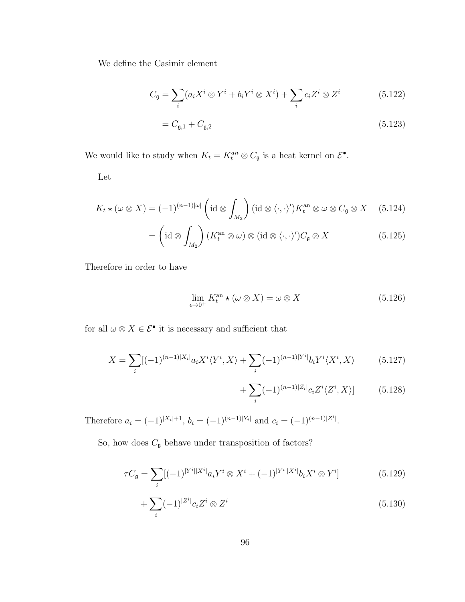We define the Casimir element

$$
C_{\mathfrak{g}} = \sum_{i} (a_i X^i \otimes Y^i + b_i Y^i \otimes X^i) + \sum_{i} c_i Z^i \otimes Z^i \tag{5.122}
$$

$$
=C_{\mathfrak{g},1}+C_{\mathfrak{g},2}\tag{5.123}
$$

We would like to study when  $K_t = K_t^{an} \otimes C_{\mathfrak{g}}$  is a heat kernel on  $\mathcal{E}^{\bullet}$ .

Let

$$
K_t \star (\omega \otimes X) = (-1)^{(n-1)|\omega|} \left( \mathrm{id} \otimes \int_{M_2} \right) (\mathrm{id} \otimes \langle \cdot, \cdot \rangle') K_t^{\mathrm{an}} \otimes \omega \otimes C_{\mathfrak{g}} \otimes X \quad (5.124)
$$

$$
= \left(\mathrm{id} \otimes \int_{M_2}\right) \left(K_t^{\mathrm{an}} \otimes \omega\right) \otimes \left(\mathrm{id} \otimes \langle \cdot, \cdot \rangle'\right) C_{\mathfrak{g}} \otimes X \tag{5.125}
$$

Therefore in order to have

$$
\lim_{\epsilon \to 0^+} K_t^{\text{an}} \star (\omega \otimes X) = \omega \otimes X \tag{5.126}
$$

for all  $\omega \otimes X \in \mathcal{E}^{\bullet}$  it is necessary and sufficient that

$$
X = \sum_{i} [(-1)^{(n-1)|X_i|} a_i X^i \langle Y^i, X \rangle + \sum_{i} (-1)^{(n-1)|Y^i|} b_i Y^i \langle X^i, X \rangle \tag{5.127}
$$

$$
+\sum_{i}(-1)^{(n-1)|Z_i|}c_iZ^i\langle Z^i, X\rangle] \tag{5.128}
$$

Therefore  $a_i = (-1)^{|X_i|+1}$ ,  $b_i = (-1)^{(n-1)|Y_i|}$  and  $c_i = (-1)^{(n-1)|Z^i|}$ .

So, how does  $C_{\mathfrak{g}}$  behave under transposition of factors?

$$
\tau C_{\mathfrak{g}} = \sum_{i} [(-1)^{|Y^{i}||X^{i}|} a_{i} Y^{i} \otimes X^{i} + (-1)^{|Y^{i}||X^{i}|} b_{i} X^{i} \otimes Y^{i}] \tag{5.129}
$$

$$
+\sum_{i}(-1)^{|Z^{i}|}c_{i}Z^{i}\otimes Z^{i}
$$
\n(5.130)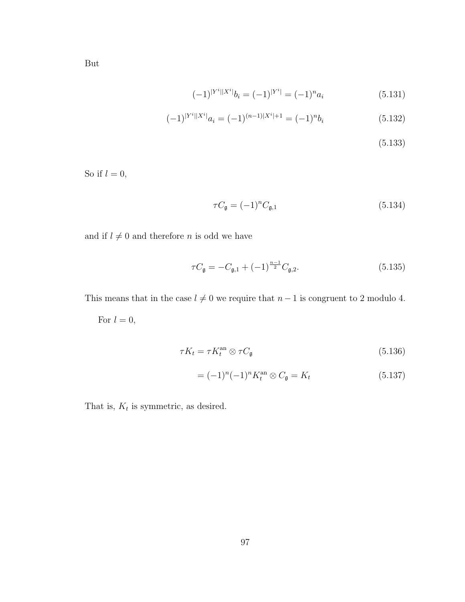But

$$
(-1)^{|Y^i||X^i|}b_i = (-1)^{|Y^i|} = (-1)^n a_i \tag{5.131}
$$

$$
(-1)^{|Y^i||X^i|}a_i = (-1)^{(n-1)|X^i|+1} = (-1)^n b_i \tag{5.132}
$$

(5.133)

So if  $l = 0$ ,

$$
\tau C_{\mathfrak{g}} = (-1)^n C_{\mathfrak{g},1} \tag{5.134}
$$

and if  $l\neq 0$  and therefore  $n$  is odd we have

$$
\tau C_{\mathfrak{g}} = -C_{\mathfrak{g},1} + (-1)^{\frac{n-1}{2}} C_{\mathfrak{g},2}.
$$
\n(5.135)

This means that in the case  $l \neq 0$  we require that  $n - 1$  is congruent to 2 modulo 4.

For  $l=0,$ 

$$
\tau K_t = \tau K_t^{\text{an}} \otimes \tau C_{\mathfrak{g}} \tag{5.136}
$$

$$
= (-1)^{n} (-1)^{n} K_{t}^{\text{an}} \otimes C_{\mathfrak{g}} = K_{t}
$$
\n(5.137)

That is,  $K_t$  is symmetric, as desired.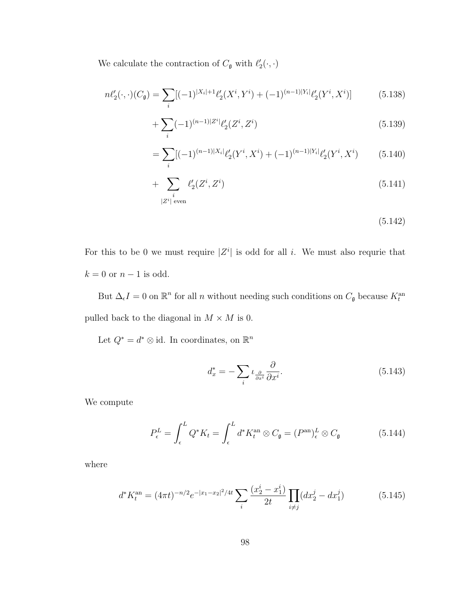We calculate the contraction of  $C_{\mathfrak{g}}$  with  $\ell_2'(\cdot, \cdot)$ 

$$
n\ell_2'(\cdot,\cdot)(C_{\mathfrak{g}}) = \sum_i [(-1)^{|X_i|+1} \ell_2'(X^i, Y^i) + (-1)^{(n-1)|Y_i|} \ell_2'(Y^i, X^i)] \tag{5.138}
$$

$$
+\sum_{i}(-1)^{(n-1)|Z^{i}|}\ell'_{2}(Z^{i},Z^{i})
$$
\n(5.139)

$$
= \sum_{i} [(-1)^{(n-1)|X_i|} \ell'_2(Y^i, X^i) + (-1)^{(n-1)|Y_i|} \ell'_2(Y^i, X^i) \tag{5.140}
$$

$$
+\sum_{\substack{i\\|Z^i|\text{ even}}} \ell_2'(Z^i, Z^i) \tag{5.141}
$$

$$
(5.142)
$$

For this to be 0 we must require  $|Z^i|$  is odd for all i. We must also requrie that  $k=0$  or  $n-1$  is odd.

But  $\Delta_{\epsilon}I = 0$  on  $\mathbb{R}^n$  for all n without needing such conditions on  $C_{\mathfrak{g}}$  because  $K_t^{\text{an}}$ pulled back to the diagonal in  $M \times M$  is 0.

Let  $Q^* = d^* \otimes id$ . In coordinates, on  $\mathbb{R}^n$ 

$$
d_x^* = -\sum_i \iota_{\frac{\partial}{\partial x^i}} \frac{\partial}{\partial x^i}.
$$
\n(5.143)

We compute

$$
P_{\epsilon}^{L} = \int_{\epsilon}^{L} Q^* K_t = \int_{\epsilon}^{L} d^* K_t^{\text{an}} \otimes C_{\mathfrak{g}} = (P^{\text{an}})_{\epsilon}^{L} \otimes C_{\mathfrak{g}}
$$
(5.144)

where

$$
d^* K_t^{\text{an}} = (4\pi t)^{-n/2} e^{-|x_1 - x_2|^2/4t} \sum_i \frac{(x_2^i - x_1^i)}{2t} \prod_{i \neq j} (dx_2^j - dx_1^j)
$$
(5.145)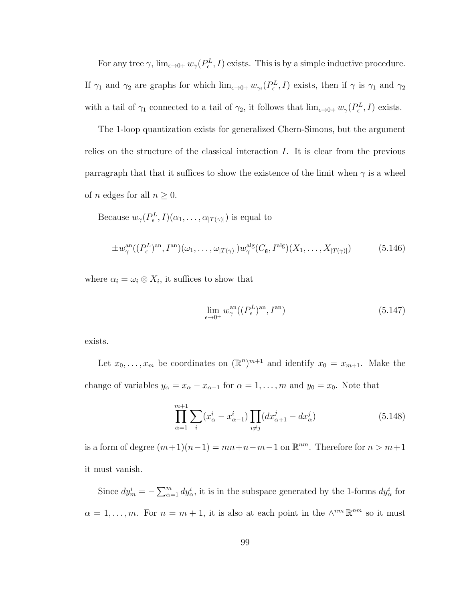For any tree  $\gamma$ ,  $\lim_{\epsilon \to 0+} w_{\gamma}(P_{\epsilon}^{L}, I)$  exists. This is by a simple inductive procedure. If  $\gamma_1$  and  $\gamma_2$  are graphs for which  $\lim_{\epsilon \to 0+} w_{\gamma_i}(P^L_{\epsilon}, I)$  exists, then if  $\gamma$  is  $\gamma_1$  and  $\gamma_2$ with a tail of  $\gamma_1$  connected to a tail of  $\gamma_2$ , it follows that  $\lim_{\epsilon \to 0+} w_{\gamma}(P_{\epsilon}^L, I)$  exists.

The 1-loop quantization exists for generalized Chern-Simons, but the argument relies on the structure of the classical interaction I. It is clear from the previous parragraph that that it suffices to show the existence of the limit when  $\gamma$  is a wheel of *n* edges for all  $n \geq 0$ .

Because  $w_{\gamma}(P_{\epsilon}^L, I)(\alpha_1, \ldots, \alpha_{|T(\gamma)|})$  is equal to

$$
\pm w^{\text{an}}_{\gamma}((P_{\epsilon}^{L})^{\text{an}}, I^{\text{an}})(\omega_{1}, \dots, \omega_{|T(\gamma)|})w^{\text{alg}}_{\gamma}(C_{\mathfrak{g}}, I^{\text{alg}})(X_{1}, \dots, X_{|T(\gamma)|})
$$
(5.146)

where  $\alpha_i = \omega_i \otimes X_i$ , it suffices to show that

$$
\lim_{\epsilon \to 0^+} w^{\text{an}}_{\gamma}((P^L_{\epsilon})^{\text{an}}, I^{\text{an}}) \tag{5.147}
$$

exists.

Let  $x_0, \ldots, x_m$  be coordinates on  $(\mathbb{R}^n)^{m+1}$  and identify  $x_0 = x_{m+1}$ . Make the change of variables  $y_{\alpha} = x_{\alpha} - x_{\alpha-1}$  for  $\alpha = 1, \ldots, m$  and  $y_0 = x_0$ . Note that

$$
\prod_{\alpha=1}^{m+1} \sum_{i} (x_{\alpha}^{i} - x_{\alpha-1}^{i}) \prod_{i \neq j} (dx_{\alpha+1}^{j} - dx_{\alpha}^{j})
$$
\n(5.148)

is a form of degree  $(m+1)(n-1) = mn+n-m-1$  on  $\mathbb{R}^{nm}$ . Therefore for  $n > m+1$ it must vanish.

Since  $dy_m^i = -\sum_{\alpha=1}^m dy_\alpha^i$ , it is in the subspace generated by the 1-forms  $dy_\alpha^i$  for  $\alpha = 1, \ldots, m$ . For  $n = m + 1$ , it is also at each point in the  $\wedge^{nm} \mathbb{R}^{nm}$  so it must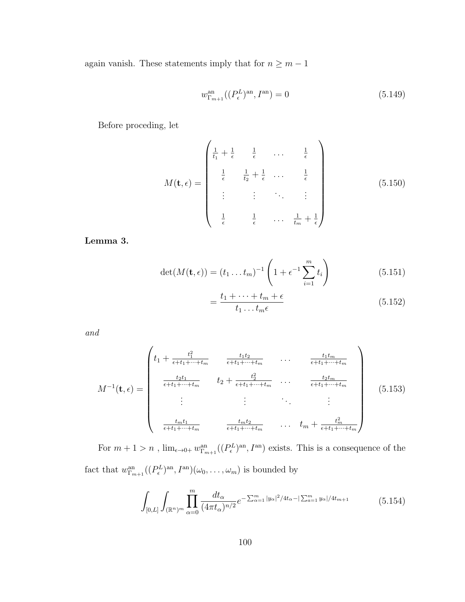again vanish. These statements imply that for  $n\geq m-1$ 

$$
w_{\Gamma_{m+1}}^{\text{an}}((P_\epsilon^L)^{\text{an}}, I^{\text{an}}) = 0 \tag{5.149}
$$

Before proceding, let

$$
M(\mathbf{t}, \epsilon) = \begin{pmatrix} \frac{1}{t_1} + \frac{1}{\epsilon} & \frac{1}{\epsilon} & \cdots & \frac{1}{\epsilon} \\ \frac{1}{\epsilon} & \frac{1}{t_2} + \frac{1}{\epsilon} & \cdots & \frac{1}{\epsilon} \\ \vdots & \vdots & \ddots & \vdots \\ \frac{1}{\epsilon} & \frac{1}{\epsilon} & \cdots & \frac{1}{t_m} + \frac{1}{\epsilon} \end{pmatrix}
$$
(5.150)

Lemma 3.

$$
\det(M(\mathbf{t}, \epsilon)) = (t_1 \dots t_m)^{-1} \left( 1 + \epsilon^{-1} \sum_{i=1}^m t_i \right)
$$
(5.151)

$$
=\frac{t_1+\dots+t_m+\epsilon}{t_1\dots t_m\epsilon} \tag{5.152}
$$

and

$$
M^{-1}(\mathbf{t}, \epsilon) = \begin{pmatrix} t_1 + \frac{t_1^2}{\epsilon + t_1 + \dots + t_m} & \frac{t_1 t_2}{\epsilon + t_1 + \dots + t_m} & \dots & \frac{t_1 t_m}{\epsilon + t_1 + \dots + t_m} \\ \frac{t_2 t_1}{\epsilon + t_1 + \dots + t_m} & t_2 + \frac{t_2^2}{\epsilon + t_1 + \dots + t_m} & \dots & \frac{t_2 t_m}{\epsilon + t_1 + \dots + t_m} \\ \vdots & \vdots & \ddots & \vdots \\ \frac{t_m t_1}{\epsilon + t_1 + \dots + t_m} & \frac{t_m t_2}{\epsilon + t_1 + \dots + t_m} & \dots & t_m + \frac{t_m^2}{\epsilon + t_1 + \dots + t_m} \end{pmatrix}
$$
(5.153)

For  $m+1 > n$ ,  $\lim_{\epsilon \to 0+} w^{\text{an}}_{\Gamma_{m+1}}((P^L_{\epsilon})^{\text{an}}, I^{\text{an}})$  exists. This is a consequence of the fact that  $w^{\text{an}}_{\Gamma_{m+1}}((P^L_{\epsilon})^{\text{an}}, I^{\text{an}})(\omega_0, \ldots, \omega_m)$  is bounded by

$$
\int_{[0,L]} \int_{(\mathbb{R}^n)^m} \prod_{\alpha=0}^m \frac{dt_\alpha}{(4\pi t_\alpha)^{n/2}} e^{-\sum_{\alpha=1}^m |y_\alpha|^2/4t_\alpha - |\sum_{a=1}^m y_\alpha|/4t_{m+1}} \tag{5.154}
$$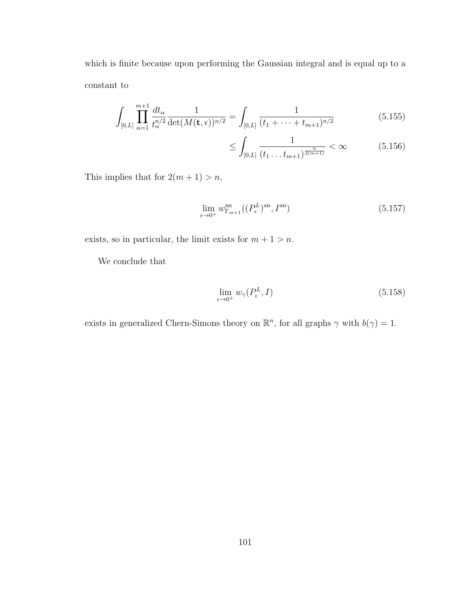which is finite because upon performing the Gaussian integral and is equal up to a constant to

$$
\int_{[0,L]} \prod_{\alpha=1}^{m+1} \frac{dt_{\alpha}}{t_{\alpha}^{n/2}} \frac{1}{\det(M(\mathbf{t},\epsilon))^{n/2}} = \int_{[0,L]} \frac{1}{(t_1 + \dots + t_{m+1})^{n/2}} \tag{5.155}
$$

$$
\leq \int_{[0,L]} \frac{1}{(t_1 \dots t_{m+1})^{\frac{n}{2(m+1)}}} < \infty \tag{5.156}
$$

This implies that for  $2(m + 1) > n$ ,

$$
\lim_{\epsilon \to 0^+} w^{\text{an}}_{\Gamma_{m+1}}((P^L_{\epsilon})^{\text{an}}, I^{\text{an}})
$$
\n(5.157)

exists, so in particular, the limit exists for  $m+1>n.$ 

We conclude that

$$
\lim_{\epsilon \to 0^+} w_\gamma(P_\epsilon^L, I) \tag{5.158}
$$

exists in generalized Chern-Simons theory on  $\mathbb{R}^n$ , for all graphs  $\gamma$  with  $b(\gamma) = 1$ .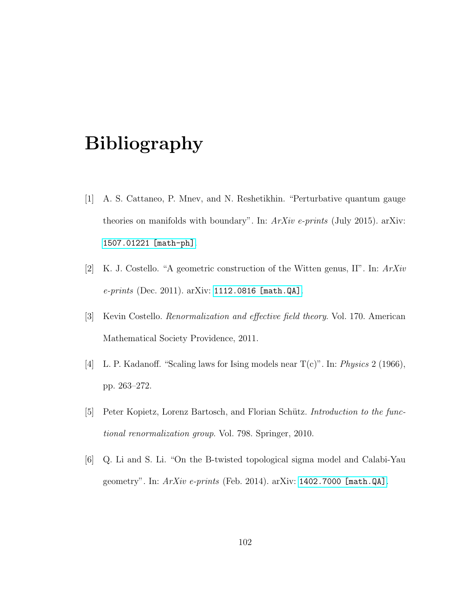## Bibliography

- <span id="page-106-0"></span>[1] A. S. Cattaneo, P. Mnev, and N. Reshetikhin. "Perturbative quantum gauge theories on manifolds with boundary". In:  $ArXiv$  e-prints (July 2015). arXiv: [1507.01221 \[math-ph\]](http://arxiv.org/abs/1507.01221).
- <span id="page-106-1"></span>[2] K. J. Costello. "A geometric construction of the Witten genus, II". In: ArXiv *e-prints* (Dec. 2011).  $\arXiv: 1112.0816$  [math.QA].
- [3] Kevin Costello. Renormalization and effective field theory. Vol. 170. American Mathematical Society Providence, 2011.
- [4] L. P. Kadanoff. "Scaling laws for Ising models near T(c)". In: *Physics* 2 (1966), pp. 263–272.
- [5] Peter Kopietz, Lorenz Bartosch, and Florian Schütz. *Introduction to the func*tional renormalization group. Vol. 798. Springer, 2010.
- <span id="page-106-2"></span>[6] Q. Li and S. Li. "On the B-twisted topological sigma model and Calabi-Yau geometry". In:  $ArXiv$  e-prints (Feb. 2014). arXiv: [1402.7000 \[math.QA\]](http://arxiv.org/abs/1402.7000).